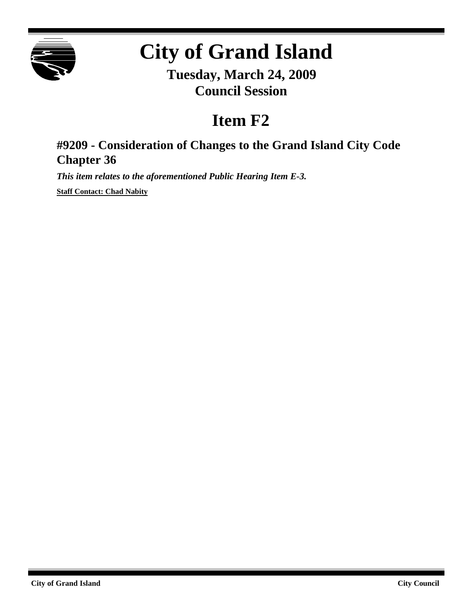

# **City of Grand Island**

**Tuesday, March 24, 2009 Council Session**

## **Item F2**

### **#9209 - Consideration of Changes to the Grand Island City Code Chapter 36**

*This item relates to the aforementioned Public Hearing Item E-3.*

**Staff Contact: Chad Nabity**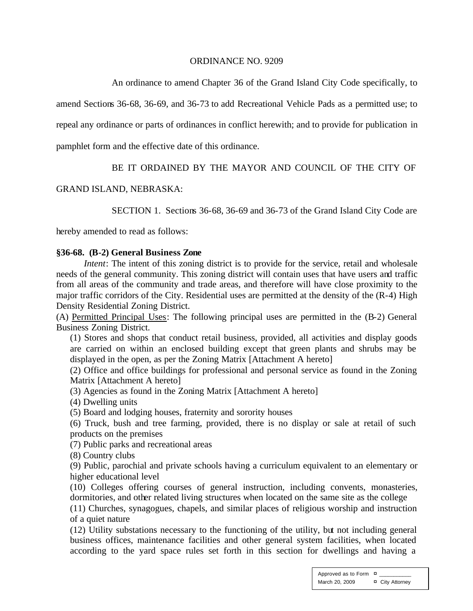#### ORDINANCE NO. 9209

An ordinance to amend Chapter 36 of the Grand Island City Code specifically, to

amend Sections 36-68, 36-69, and 36-73 to add Recreational Vehicle Pads as a permitted use; to

repeal any ordinance or parts of ordinances in conflict herewith; and to provide for publication in

pamphlet form and the effective date of this ordinance.

#### BE IT ORDAINED BY THE MAYOR AND COUNCIL OF THE CITY OF

#### GRAND ISLAND, NEBRASKA:

SECTION 1. Sections 36-68, 36-69 and 36-73 of the Grand Island City Code are

hereby amended to read as follows:

#### **§36-68. (B-2) General Business Zone**

*Intent*: The intent of this zoning district is to provide for the service, retail and wholesale needs of the general community. This zoning district will contain uses that have users and traffic from all areas of the community and trade areas, and therefore will have close proximity to the major traffic corridors of the City. Residential uses are permitted at the density of the (R-4) High Density Residential Zoning District.

(A) Permitted Principal Uses: The following principal uses are permitted in the (B-2) General Business Zoning District.

(1) Stores and shops that conduct retail business, provided, all activities and display goods are carried on within an enclosed building except that green plants and shrubs may be displayed in the open, as per the Zoning Matrix [Attachment A hereto]

(2) Office and office buildings for professional and personal service as found in the Zoning Matrix [Attachment A hereto]

(3) Agencies as found in the Zoning Matrix [Attachment A hereto]

(4) Dwelling units

(5) Board and lodging houses, fraternity and sorority houses

(6) Truck, bush and tree farming, provided, there is no display or sale at retail of such products on the premises

(7) Public parks and recreational areas

(8) Country clubs

(9) Public, parochial and private schools having a curriculum equivalent to an elementary or higher educational level

(10) Colleges offering courses of general instruction, including convents, monasteries, dormitories, and other related living structures when located on the same site as the college

(11) Churches, synagogues, chapels, and similar places of religious worship and instruction of a quiet nature

(12) Utility substations necessary to the functioning of the utility, but not including general business offices, maintenance facilities and other general system facilities, when located according to the yard space rules set forth in this section for dwellings and having a

> Approved as to Form  $\overline{a}$ March 20, 2009 ¤ City Attorney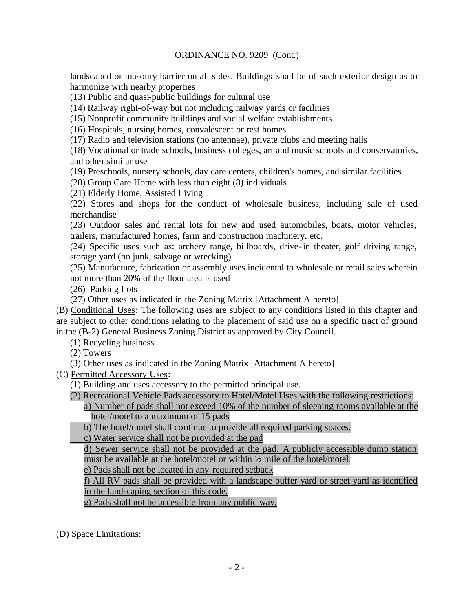landscaped or masonry barrier on all sides. Buildings shall be of such exterior design as to harmonize with nearby properties

(13) Public and quasi-public buildings for cultural use

(14) Railway right-of-way but not including railway yards or facilities

(15) Nonprofit community buildings and social welfare establishments

(16) Hospitals, nursing homes, convalescent or rest homes

(17) Radio and television stations (no antennae), private clubs and meeting halls

(18) Vocational or trade schools, business colleges, art and music schools and conservatories, and other similar use

(19) Preschools, nursery schools, day care centers, children's homes, and similar facilities

(20) Group Care Home with less than eight (8) individuals

(21) Elderly Home, Assisted Living

(22) Stores and shops for the conduct of wholesale business, including sale of used merchandise

(23) Outdoor sales and rental lots for new and used automobiles, boats, motor vehicles, trailers, manufactured homes, farm and construction machinery, etc.

(24) Specific uses such as: archery range, billboards, drive-in theater, golf driving range, storage yard (no junk, salvage or wrecking)

(25) Manufacture, fabrication or assembly uses incidental to wholesale or retail sales wherein not more than 20% of the floor area is used

(26) Parking Lots

(27) Other uses as indicated in the Zoning Matrix [Attachment A hereto]

(B) Conditional Uses: The following uses are subject to any conditions listed in this chapter and are subject to other conditions relating to the placement of said use on a specific tract of ground in the (B-2) General Business Zoning District as approved by City Council.

(1) Recycling business

(2) Towers

(3) Other uses as indicated in the Zoning Matrix [Attachment A hereto]

(C) Permitted Accessory Uses:

(1) Building and uses accessory to the permitted principal use.

(2) Recreational Vehicle Pads accessory to Hotel/Motel Uses with the following restrictions:

a) Number of pads shall not exceed 10% of the number of sleeping rooms available at the hotel/motel to a maximum of 15 pads

b) The hotel/motel shall continue to provide all required parking spaces,

c) Water service shall not be provided at the pad

d) Sewer service shall not be provided at the pad. A publicly accessible dump station must be available at the hotel/motel or within ½ mile of the hotel/motel.

e) Pads shall not be located in any required setback

f) All RV pads shall be provided with a landscape buffer yard or street yard as identified in the landscaping section of this code.

g) Pads shall not be accessible from any public way.

(D) Space Limitations: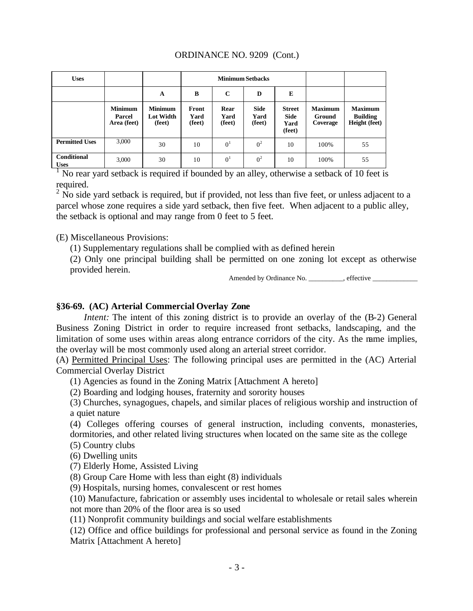| <b>Uses</b>                       |                                         |                                              |                         |                        | <b>Minimum Setbacks</b>       |                                         |                                      |                                                    |
|-----------------------------------|-----------------------------------------|----------------------------------------------|-------------------------|------------------------|-------------------------------|-----------------------------------------|--------------------------------------|----------------------------------------------------|
|                                   |                                         | A                                            | B                       | $\mathbf C$            | D                             | E                                       |                                      |                                                    |
|                                   | <b>Minimum</b><br>Parcel<br>Area (feet) | <b>Minimum</b><br><b>Lot Width</b><br>(feet) | Front<br>Yard<br>(feet) | Rear<br>Yard<br>(feet) | <b>Side</b><br>Yard<br>(feet) | <b>Street</b><br>Side<br>Yard<br>(feet) | <b>Maximum</b><br>Ground<br>Coverage | <b>Maximum</b><br><b>Building</b><br>Height (feet) |
| <b>Permitted Uses</b>             | 3,000                                   | 30                                           | 10                      | 0 <sup>1</sup>         | 0 <sup>2</sup>                | 10                                      | 100%                                 | 55                                                 |
| <b>Conditional</b><br><b>Uses</b> | 3,000                                   | 30                                           | 10                      | 0 <sup>1</sup>         | 0 <sup>2</sup>                | 10                                      | 100%                                 | 55                                                 |

Uses
<sup>1</sup> No rear yard setback is required if bounded by an alley, otherwise a setback of 10 feet is required.

 $2$  No side yard setback is required, but if provided, not less than five feet, or unless adjacent to a parcel whose zone requires a side yard setback, then five feet. When adjacent to a public alley, the setback is optional and may range from 0 feet to 5 feet.

(E) Miscellaneous Provisions:

(1) Supplementary regulations shall be complied with as defined herein

(2) Only one principal building shall be permitted on one zoning lot except as otherwise provided herein.

Amended by Ordinance No. \_\_\_\_\_\_\_\_\_\_, effective \_\_\_\_\_\_\_\_\_\_\_\_\_

#### **§36-69. (AC) Arterial Commercial Overlay Zone**

*Intent:* The intent of this zoning district is to provide an overlay of the  $(B-2)$  General Business Zoning District in order to require increased front setbacks, landscaping, and the limitation of some uses within areas along entrance corridors of the city. As the name implies, the overlay will be most commonly used along an arterial street corridor.

(A) Permitted Principal Uses: The following principal uses are permitted in the (AC) Arterial Commercial Overlay District

(1) Agencies as found in the Zoning Matrix [Attachment A hereto]

(2) Boarding and lodging houses, fraternity and sorority houses

(3) Churches, synagogues, chapels, and similar places of religious worship and instruction of a quiet nature

(4) Colleges offering courses of general instruction, including convents, monasteries, dormitories, and other related living structures when located on the same site as the college

(5) Country clubs

(6) Dwelling units

(7) Elderly Home, Assisted Living

(8) Group Care Home with less than eight (8) individuals

(9) Hospitals, nursing homes, convalescent or rest homes

(10) Manufacture, fabrication or assembly uses incidental to wholesale or retail sales wherein not more than 20% of the floor area is so used

(11) Nonprofit community buildings and social welfare establishments

(12) Office and office buildings for professional and personal service as found in the Zoning Matrix [Attachment A hereto]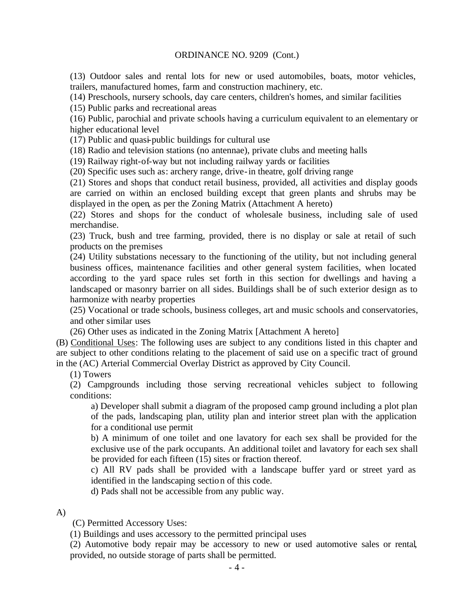(13) Outdoor sales and rental lots for new or used automobiles, boats, motor vehicles, trailers, manufactured homes, farm and construction machinery, etc.

(14) Preschools, nursery schools, day care centers, children's homes, and similar facilities

(15) Public parks and recreational areas

(16) Public, parochial and private schools having a curriculum equivalent to an elementary or higher educational level

(17) Public and quasi-public buildings for cultural use

(18) Radio and television stations (no antennae), private clubs and meeting halls

(19) Railway right-of-way but not including railway yards or facilities

(20) Specific uses such as: archery range, drive-in theatre, golf driving range

(21) Stores and shops that conduct retail business, provided, all activities and display goods are carried on within an enclosed building except that green plants and shrubs may be displayed in the open, as per the Zoning Matrix (Attachment A hereto)

(22) Stores and shops for the conduct of wholesale business, including sale of used merchandise.

(23) Truck, bush and tree farming, provided, there is no display or sale at retail of such products on the premises

(24) Utility substations necessary to the functioning of the utility, but not including general business offices, maintenance facilities and other general system facilities, when located according to the yard space rules set forth in this section for dwellings and having a landscaped or masonry barrier on all sides. Buildings shall be of such exterior design as to harmonize with nearby properties

(25) Vocational or trade schools, business colleges, art and music schools and conservatories, and other similar uses

(26) Other uses as indicated in the Zoning Matrix [Attachment A hereto]

(B) Conditional Uses: The following uses are subject to any conditions listed in this chapter and are subject to other conditions relating to the placement of said use on a specific tract of ground in the (AC) Arterial Commercial Overlay District as approved by City Council.

(1) Towers

(2) Campgrounds including those serving recreational vehicles subject to following conditions:

a) Developer shall submit a diagram of the proposed camp ground including a plot plan of the pads, landscaping plan, utility plan and interior street plan with the application for a conditional use permit

b) A minimum of one toilet and one lavatory for each sex shall be provided for the exclusive use of the park occupants. An additional toilet and lavatory for each sex shall be provided for each fifteen (15) sites or fraction thereof.

c) All RV pads shall be provided with a landscape buffer yard or street yard as identified in the landscaping section of this code.

d) Pads shall not be accessible from any public way.

A)

(C) Permitted Accessory Uses:

(1) Buildings and uses accessory to the permitted principal uses

(2) Automotive body repair may be accessory to new or used automotive sales or rental, provided, no outside storage of parts shall be permitted.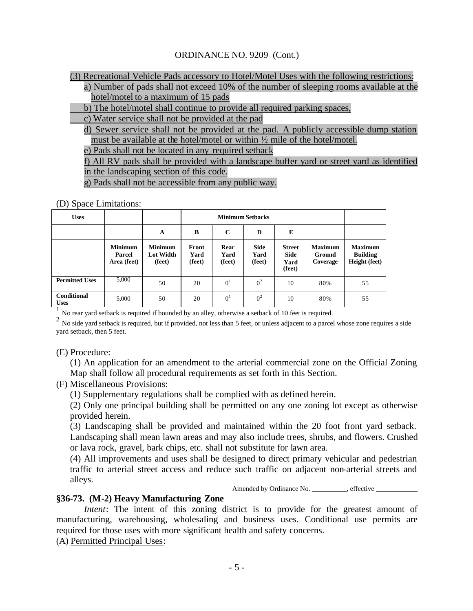(3) Recreational Vehicle Pads accessory to Hotel/Motel Uses with the following restrictions:

a) Number of pads shall not exceed 10% of the number of sleeping rooms available at the hotel/motel to a maximum of 15 pads

b) The hotel/motel shall continue to provide all required parking spaces,

c) Water service shall not be provided at the pad

d) Sewer service shall not be provided at the pad. A publicly accessible dump station must be available at the hotel/motel or within ½ mile of the hotel/motel.

e) Pads shall not be located in any required setback

f) All RV pads shall be provided with a landscape buffer yard or street yard as identified in the landscaping section of this code.

g) Pads shall not be accessible from any public way.

(D) Space Limitations:

| <b>Uses</b>                       |                                         |                                              |                         |                        | <b>Minimum Setbacks</b>       |                                                |                                      |                                                           |
|-----------------------------------|-----------------------------------------|----------------------------------------------|-------------------------|------------------------|-------------------------------|------------------------------------------------|--------------------------------------|-----------------------------------------------------------|
|                                   |                                         | A                                            | B                       | $\mathbf C$            | D                             | E                                              |                                      |                                                           |
|                                   | <b>Minimum</b><br>Parcel<br>Area (feet) | <b>Minimum</b><br><b>Lot Width</b><br>(feet) | Front<br>Yard<br>(feet) | Rear<br>Yard<br>(feet) | <b>Side</b><br>Yard<br>(feet) | <b>Street</b><br><b>Side</b><br>Yard<br>(feet) | <b>Maximum</b><br>Ground<br>Coverage | <b>Maximum</b><br><b>Building</b><br><b>Height</b> (feet) |
| <b>Permitted Uses</b>             | 5,000                                   | 50                                           | 20                      | 0 <sup>1</sup>         | 0 <sup>2</sup>                | 10                                             | 80%                                  | 55                                                        |
| <b>Conditional</b><br><b>Uses</b> | 5,000                                   | 50                                           | 20                      | 0 <sup>1</sup>         | 0 <sup>2</sup>                | 10                                             | 80%                                  | 55                                                        |

<sup>1</sup> No rear yard setback is required if bounded by an alley, otherwise a setback of 10 feet is required.

 $^2$  No side yard setback is required, but if provided, not less than 5 feet, or unless adjacent to a parcel whose zone requires a side yard setback, then 5 feet.

(E) Procedure:

(1) An application for an amendment to the arterial commercial zone on the Official Zoning Map shall follow all procedural requirements as set forth in this Section.

(F) Miscellaneous Provisions:

(1) Supplementary regulations shall be complied with as defined herein.

(2) Only one principal building shall be permitted on any one zoning lot except as otherwise provided herein.

(3) Landscaping shall be provided and maintained within the 20 foot front yard setback. Landscaping shall mean lawn areas and may also include trees, shrubs, and flowers. Crushed or lava rock, gravel, bark chips, etc. shall not substitute for lawn area.

(4) All improvements and uses shall be designed to direct primary vehicular and pedestrian traffic to arterial street access and reduce such traffic on adjacent non-arterial streets and alleys.

Amended by Ordinance No. \_\_\_\_\_\_\_\_\_\_, effective \_\_\_\_\_\_\_\_\_\_\_\_

#### **§36-73. (M-2) Heavy Manufacturing Zone**

*Intent*: The intent of this zoning district is to provide for the greatest amount of manufacturing, warehousing, wholesaling and business uses. Conditional use permits are required for those uses with more significant health and safety concerns.

(A) Permitted Principal Uses: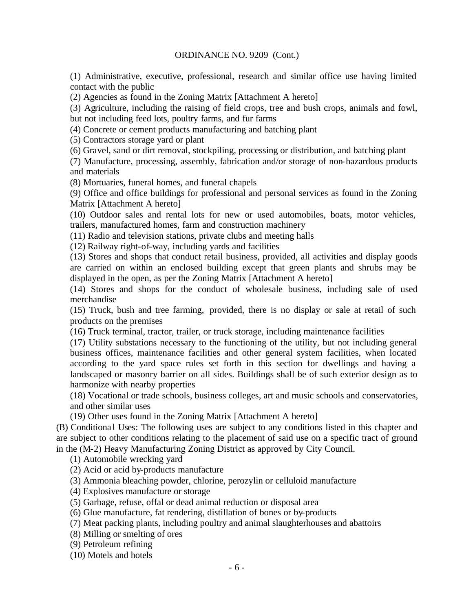(1) Administrative, executive, professional, research and similar office use having limited contact with the public

(2) Agencies as found in the Zoning Matrix [Attachment A hereto]

(3) Agriculture, including the raising of field crops, tree and bush crops, animals and fowl, but not including feed lots, poultry farms, and fur farms

(4) Concrete or cement products manufacturing and batching plant

(5) Contractors storage yard or plant

(6) Gravel, sand or dirt removal, stockpiling, processing or distribution, and batching plant

(7) Manufacture, processing, assembly, fabrication and/or storage of non-hazardous products and materials

(8) Mortuaries, funeral homes, and funeral chapels

(9) Office and office buildings for professional and personal services as found in the Zoning Matrix [Attachment A hereto]

(10) Outdoor sales and rental lots for new or used automobiles, boats, motor vehicles, trailers, manufactured homes, farm and construction machinery

(11) Radio and television stations, private clubs and meeting halls

(12) Railway right-of-way, including yards and facilities

(13) Stores and shops that conduct retail business, provided, all activities and display goods are carried on within an enclosed building except that green plants and shrubs may be displayed in the open, as per the Zoning Matrix [Attachment A hereto]

(14) Stores and shops for the conduct of wholesale business, including sale of used merchandise

(15) Truck, bush and tree farming, provided, there is no display or sale at retail of such products on the premises

(16) Truck terminal, tractor, trailer, or truck storage, including maintenance facilities

(17) Utility substations necessary to the functioning of the utility, but not including general business offices, maintenance facilities and other general system facilities, when located according to the yard space rules set forth in this section for dwellings and having a landscaped or masonry barrier on all sides. Buildings shall be of such exterior design as to harmonize with nearby properties

(18) Vocational or trade schools, business colleges, art and music schools and conservatories, and other similar uses

(19) Other uses found in the Zoning Matrix [Attachment A hereto]

(B) Conditiona l Uses: The following uses are subject to any conditions listed in this chapter and are subject to other conditions relating to the placement of said use on a specific tract of ground in the (M-2) Heavy Manufacturing Zoning District as approved by City Council.

(1) Automobile wrecking yard

(2) Acid or acid by-products manufacture

(3) Ammonia bleaching powder, chlorine, perozylin or celluloid manufacture

(4) Explosives manufacture or storage

(5) Garbage, refuse, offal or dead animal reduction or disposal area

(6) Glue manufacture, fat rendering, distillation of bones or by-products

(7) Meat packing plants, including poultry and animal slaughterhouses and abattoirs

(8) Milling or smelting of ores

(9) Petroleum refining

(10) Motels and hotels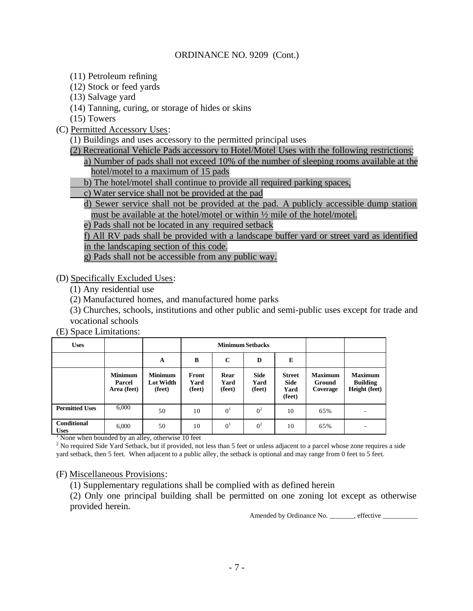- (11) Petroleum refining
- (12) Stock or feed yards
- (13) Salvage yard
- (14) Tanning, curing, or storage of hides or skins

(15) Towers

- (C) Permitted Accessory Uses:
	- (1) Buildings and uses accessory to the permitted principal uses
	- (2) Recreational Vehicle Pads accessory to Hotel/Motel Uses with the following restrictions:

a) Number of pads shall not exceed 10% of the number of sleeping rooms available at the hotel/motel to a maximum of 15 pads

- b) The hotel/motel shall continue to provide all required parking spaces,
- c) Water service shall not be provided at the pad
- d) Sewer service shall not be provided at the pad. A publicly accessible dump station must be available at the hotel/motel or within ½ mile of the hotel/motel.
- e) Pads shall not be located in any required setback

f) All RV pads shall be provided with a landscape buffer yard or street yard as identified

in the landscaping section of this code.

g) Pads shall not be accessible from any public way.

(D) Specifically Excluded Uses:

- (1) Any residential use
- (2) Manufactured homes, and manufactured home parks

(3) Churches, schools, institutions and other public and semi-public uses except for trade and vocational schools

(E) Space Limitations:

| <b>Uses</b>                       |                                         |                                              |                         |                        | <b>Minimum Setbacks</b>       |                                                |                                      |                                                    |
|-----------------------------------|-----------------------------------------|----------------------------------------------|-------------------------|------------------------|-------------------------------|------------------------------------------------|--------------------------------------|----------------------------------------------------|
|                                   |                                         | A                                            | B                       | $\mathbf C$            | D                             | E                                              |                                      |                                                    |
|                                   | <b>Minimum</b><br>Parcel<br>Area (feet) | <b>Minimum</b><br><b>Lot Width</b><br>(feet) | Front<br>Yard<br>(feet) | Rear<br>Yard<br>(feet) | <b>Side</b><br>Yard<br>(feet) | <b>Street</b><br><b>Side</b><br>Yard<br>(feet) | <b>Maximum</b><br>Ground<br>Coverage | <b>Maximum</b><br><b>Building</b><br>Height (feet) |
| <b>Permitted Uses</b>             | 6,000                                   | 50                                           | 10                      | 0 <sup>1</sup>         | 0 <sup>2</sup>                | 10                                             | 65%                                  |                                                    |
| <b>Conditional</b><br><b>Uses</b> | 6,000                                   | 50                                           | 10                      | 0 <sup>1</sup>         | 0 <sup>2</sup>                | 10                                             | 65%                                  |                                                    |

<sup>1</sup> None when bounded by an alley, otherwise 10 feet

<sup>2</sup> No required Side Yard Setback, but if provided, not less than 5 feet or unless adjacent to a parcel whose zone requires a side yard setback, then 5 feet. When adjacent to a public alley, the setback is optional and may range from 0 feet to 5 feet.

#### (F) Miscellaneous Provisions:

(1) Supplementary regulations shall be complied with as defined herein

(2) Only one principal building shall be permitted on one zoning lot except as otherwise provided herein.

Amended by Ordinance No. \_\_\_\_\_\_, effective \_\_\_\_\_\_\_\_\_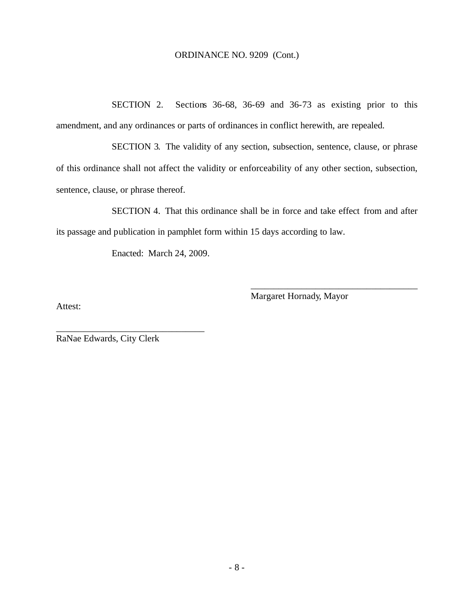SECTION 2. Sections 36-68, 36-69 and 36-73 as existing prior to this amendment, and any ordinances or parts of ordinances in conflict herewith, are repealed.

SECTION 3. The validity of any section, subsection, sentence, clause, or phrase of this ordinance shall not affect the validity or enforceability of any other section, subsection, sentence, clause, or phrase thereof.

SECTION 4. That this ordinance shall be in force and take effect from and after its passage and publication in pamphlet form within 15 days according to law.

Enacted: March 24, 2009.

Margaret Hornady, Mayor

\_\_\_\_\_\_\_\_\_\_\_\_\_\_\_\_\_\_\_\_\_\_\_\_\_\_\_\_\_\_\_\_\_\_\_\_

Attest:

RaNae Edwards, City Clerk

\_\_\_\_\_\_\_\_\_\_\_\_\_\_\_\_\_\_\_\_\_\_\_\_\_\_\_\_\_\_\_\_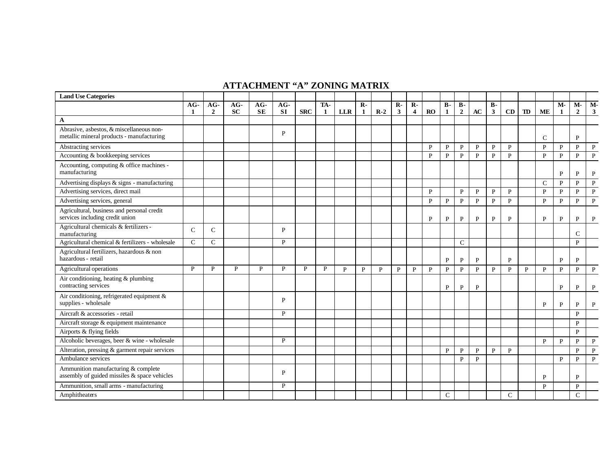#### **ATTACHMENT "A" ZONING MATRIX**

| <b>Land Use Categories</b>                                                            |               |                         |           |                    |                    |            |          |            |              |       |                                |                                         |              |               |                             |              |                       |               |              |               |              |                      |                    |
|---------------------------------------------------------------------------------------|---------------|-------------------------|-----------|--------------------|--------------------|------------|----------|------------|--------------|-------|--------------------------------|-----------------------------------------|--------------|---------------|-----------------------------|--------------|-----------------------|---------------|--------------|---------------|--------------|----------------------|--------------------|
|                                                                                       | $AG-$<br>-1   | $AG-$<br>$\overline{2}$ | AG-<br>SC | $AG-$<br><b>SE</b> | $AG-$<br><b>SI</b> | <b>SRC</b> | TA-<br>1 | <b>LLR</b> | $R -$<br>1   | $R-2$ | $\mathbf{R}$ -<br>$\mathbf{3}$ | $\mathbf{R}$<br>$\overline{\mathbf{4}}$ | <b>RO</b>    | $B -$<br>1    | <b>B-</b><br>$\overline{2}$ | AC           | $B -$<br>$\mathbf{3}$ | CD            | TD           | <b>ME</b>     | M-<br>1      | M-<br>$\overline{2}$ | M-<br>$\mathbf{3}$ |
| A                                                                                     |               |                         |           |                    |                    |            |          |            |              |       |                                |                                         |              |               |                             |              |                       |               |              |               |              |                      |                    |
| Abrasive, asbestos, & miscellaneous non-<br>metallic mineral products - manufacturing |               |                         |           |                    | P                  |            |          |            |              |       |                                |                                         |              |               |                             |              |                       |               |              | $\mathcal{C}$ |              | P                    |                    |
| Abstracting services                                                                  |               |                         |           |                    |                    |            |          |            |              |       |                                |                                         | P            | $\mathbf{P}$  | $\, {\bf P}$                | $\mathbf{P}$ | $\mathbf{P}$          | $\mathbf{P}$  |              | $\mathbf{p}$  | $\mathbf{P}$ | $\mathbf{P}$         | $\mathbf{P}$       |
| Accounting & bookkeeping services                                                     |               |                         |           |                    |                    |            |          |            |              |       |                                |                                         | $\mathbf{P}$ | $\mathbf{P}$  | $\mathbf{P}$                | $\mathbf{P}$ | $\mathbf{P}$          | $\mathbf{P}$  |              | $\mathbf{P}$  | $\mathbf{P}$ | P                    | $\, {\bf P}$       |
| Accounting, computing & office machines -<br>manufacturing                            |               |                         |           |                    |                    |            |          |            |              |       |                                |                                         |              |               |                             |              |                       |               |              |               | $\mathbf{P}$ | P                    | P                  |
| Advertising displays & signs - manufacturing                                          |               |                         |           |                    |                    |            |          |            |              |       |                                |                                         |              |               |                             |              |                       |               |              | $\mathcal{C}$ | $\mathbf{P}$ | $\mathbf{p}$         | $\mathbf{P}$       |
| Advertising services, direct mail                                                     |               |                         |           |                    |                    |            |          |            |              |       |                                |                                         | P            |               | P                           | P            | P                     | P             |              | P             | P            | P                    | $\mathbf{P}$       |
| Advertising services, general                                                         |               |                         |           |                    |                    |            |          |            |              |       |                                |                                         | $\mathbf{P}$ | $\mathbf{P}$  | $\mathbf{P}$                | $\mathbf{P}$ | $\mathbf{P}$          | $\mathbf{P}$  |              | $\mathbf{P}$  | $\mathbf{P}$ | $\mathbf{P}$         | $\, {\bf P}$       |
| Agricultural, business and personal credit<br>services including credit union         |               |                         |           |                    |                    |            |          |            |              |       |                                |                                         | P            | P             | P                           | P            | P                     | P             |              | P             | $\mathbf{P}$ | P                    | P                  |
| Agricultural chemicals & fertilizers -<br>manufacturing                               | $\mathcal{C}$ | $\mathcal{C}$           |           |                    | P                  |            |          |            |              |       |                                |                                         |              |               |                             |              |                       |               |              |               |              | $\mathbf C$          |                    |
| Agricultural chemical & fertilizers - wholesale                                       | $\mathcal{C}$ | $\mathcal{C}$           |           |                    | P                  |            |          |            |              |       |                                |                                         |              |               | $\mathbf C$                 |              |                       |               |              |               |              | $\mathbf{p}$         |                    |
| Agricultural fertilizers, hazardous & non<br>hazardous - retail                       |               |                         |           |                    |                    |            |          |            |              |       |                                |                                         |              | $\mathbf P$   | P                           | P            |                       | P             |              |               | $\mathbf{P}$ | P                    |                    |
| Agricultural operations                                                               | P             | P                       | P         | P                  | P                  | P          | P        | P          | $\mathbf{P}$ | P     | P                              | $\mathbf{P}$                            | $\mathbf{P}$ | P             | P                           | $\mathbf{P}$ | $\mathbf{P}$          | $\mathbf{P}$  | $\mathbf{P}$ | $\mathbf{P}$  | $\mathbf{P}$ | $\mathbf{p}$         | $\mathbf{P}$       |
| Air conditioning, heating & plumbing<br>contracting services                          |               |                         |           |                    |                    |            |          |            |              |       |                                |                                         |              | P             | P                           | P            |                       |               |              |               | $\mathbf{P}$ | P                    | P                  |
| Air conditioning, refrigerated equipment &<br>supplies - wholesale                    |               |                         |           |                    | P                  |            |          |            |              |       |                                |                                         |              |               |                             |              |                       |               |              | P             | P            | P                    | P                  |
| Aircraft & accessories - retail                                                       |               |                         |           |                    | P                  |            |          |            |              |       |                                |                                         |              |               |                             |              |                       |               |              |               |              | P                    |                    |
| Aircraft storage & equipment maintenance                                              |               |                         |           |                    |                    |            |          |            |              |       |                                |                                         |              |               |                             |              |                       |               |              |               |              | P                    |                    |
| Airports & flying fields                                                              |               |                         |           |                    |                    |            |          |            |              |       |                                |                                         |              |               |                             |              |                       |               |              |               |              | $\mathbf{P}$         |                    |
| Alcoholic beverages, beer & wine - wholesale                                          |               |                         |           |                    | P                  |            |          |            |              |       |                                |                                         |              |               |                             |              |                       |               |              | $\mathbf{p}$  | $\mathbf{P}$ | $\mathbf{p}$         | $\mathbf{P}$       |
| Alteration, pressing & garment repair services                                        |               |                         |           |                    |                    |            |          |            |              |       |                                |                                         |              | $\, {\bf P}$  | $\mathbf{P}$                | $\mathbf{P}$ | $\mathbf{P}$          | $\mathbf{P}$  |              |               |              | $\mathbf{p}$         | $\mathbf{P}$       |
| Ambulance services                                                                    |               |                         |           |                    |                    |            |          |            |              |       |                                |                                         |              |               | $\mathbf{P}$                | $\mathbf{P}$ |                       |               |              |               | P            | $\mathbf{P}$         | $\mathbf{P}$       |
| Ammunition manufacturing & complete<br>assembly of guided missiles & space vehicles   |               |                         |           |                    | P                  |            |          |            |              |       |                                |                                         |              |               |                             |              |                       |               |              | P             |              | P                    |                    |
| Ammunition, small arms - manufacturing                                                |               |                         |           |                    | P                  |            |          |            |              |       |                                |                                         |              |               |                             |              |                       |               |              | P             |              | $\mathbf{P}$         |                    |
| Amphitheaters                                                                         |               |                         |           |                    |                    |            |          |            |              |       |                                |                                         |              | $\mathcal{C}$ |                             |              |                       | $\mathcal{C}$ |              |               |              | $\mathcal{C}$        |                    |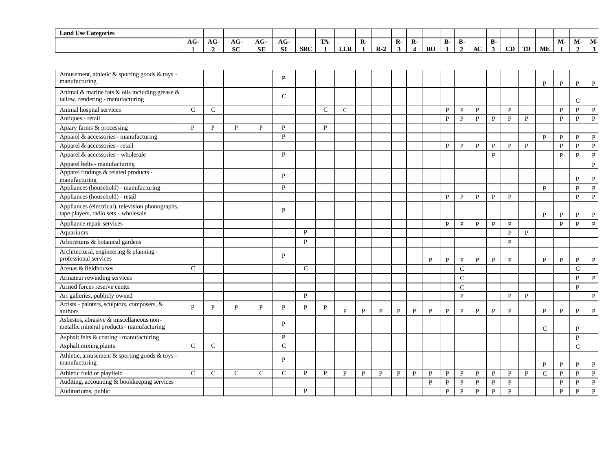| <b>Land Use Categories</b>                                                               |                       |                        |                  |                  |                  |               |                     |              |                                |              |                     |                                           |              |              |                             |              |                           |                |              |               |              |                      |              |
|------------------------------------------------------------------------------------------|-----------------------|------------------------|------------------|------------------|------------------|---------------|---------------------|--------------|--------------------------------|--------------|---------------------|-------------------------------------------|--------------|--------------|-----------------------------|--------------|---------------------------|----------------|--------------|---------------|--------------|----------------------|--------------|
|                                                                                          | $AG-$<br>$\mathbf{1}$ | $AG-$<br>$\mathcal{L}$ | AG-<br><b>SC</b> | AG-<br><b>SE</b> | AG-<br><b>SI</b> | <b>SRC</b>    | TA-<br>$\mathbf{1}$ | <b>LLR</b>   | $\overline{R}$<br>$\mathbf{1}$ | $R-2$        | $\overline{R}$<br>3 | $\overline{R}$<br>$\overline{\mathbf{4}}$ | <b>RO</b>    | В-<br>1      | <b>B-</b><br>$\overline{2}$ | AC           | <b>B-</b><br>$\mathbf{3}$ | CD             | <b>TD</b>    | ME            | M-           | M-<br>$\overline{2}$ | M-<br>3      |
|                                                                                          |                       |                        |                  |                  |                  |               |                     |              |                                |              |                     |                                           |              |              |                             |              |                           |                |              |               |              |                      |              |
|                                                                                          |                       |                        |                  |                  |                  |               |                     |              |                                |              |                     |                                           |              |              |                             |              |                           |                |              |               |              |                      |              |
| Amusement, athletic & sporting goods & toys -<br>manufacturing                           |                       |                        |                  |                  | P                |               |                     |              |                                |              |                     |                                           |              |              |                             |              |                           |                |              | $\, {\bf P}$  | $\mathbf{P}$ | P                    | P            |
| Animal & marine fats & oils including grease &<br>tallow, rendering - manufacturing      |                       |                        |                  |                  | $\mathsf{C}$     |               |                     |              |                                |              |                     |                                           |              |              |                             |              |                           |                |              |               |              | $\mathsf{C}$         |              |
| Animal hospital services                                                                 | $\mathsf{C}$          | $\mathsf{C}$           |                  |                  |                  |               | $\mathsf{C}$        | $\mathsf{C}$ |                                |              |                     |                                           |              | P            | P                           | $\mathbf{P}$ |                           | $\mathbf{P}$   |              |               | $\mathbf{P}$ | $\mathbf{P}$         | $\, {\bf P}$ |
| Antiques - retail                                                                        |                       |                        |                  |                  |                  |               |                     |              |                                |              |                     |                                           |              | $\mathbf{P}$ | $\, {\bf P}$                | $\mathbf{P}$ | $\mathbf{P}$              | $\overline{P}$ | $\mathbf{P}$ |               | $\mathbf{P}$ | $\mathbf{P}$         | $\, {\bf P}$ |
| Apiary farms & processing                                                                | ${\bf P}$             | $\mathbf{P}$           | P                | $\mathbf{P}$     | $\mathbf{P}$     |               | $\mathbf{P}$        |              |                                |              |                     |                                           |              |              |                             |              |                           |                |              |               |              |                      |              |
| Apparel & accessories - manufacturing                                                    |                       |                        |                  |                  | $\mathbf{P}$     |               |                     |              |                                |              |                     |                                           |              |              |                             |              |                           |                |              | $\mathbf{P}$  | P            | P                    | $\mathbf{P}$ |
| Apparel & accessories - retail                                                           |                       |                        |                  |                  |                  |               |                     |              |                                |              |                     |                                           |              | P            | P                           | P            | P                         | P              | $\mathbf{P}$ |               | $\mathbf{P}$ | P                    | $\mathbf{P}$ |
| Apparel & accessories - wholesale                                                        |                       |                        |                  |                  | P                |               |                     |              |                                |              |                     |                                           |              |              |                             |              | $\mathbf{P}$              |                |              |               | $\mathbf{P}$ | $\, {\bf P}$         | $\mathbf{P}$ |
| Apparel belts - manufacturing                                                            |                       |                        |                  |                  |                  |               |                     |              |                                |              |                     |                                           |              |              |                             |              |                           |                |              |               |              |                      | $\mathbf{P}$ |
| Apparel findings & related products -                                                    |                       |                        |                  |                  | P                |               |                     |              |                                |              |                     |                                           |              |              |                             |              |                           |                |              |               |              |                      |              |
| manufacturing                                                                            |                       |                        |                  |                  |                  |               |                     |              |                                |              |                     |                                           |              |              |                             |              |                           |                |              |               |              | P                    | $\mathbf{P}$ |
| Appliances (household) - manufacturing                                                   |                       |                        |                  |                  | $\mathbf{P}$     |               |                     |              |                                |              |                     |                                           |              |              |                             |              |                           |                |              | P             |              | P                    | P            |
| Appliances (household) - retail                                                          |                       |                        |                  |                  |                  |               |                     |              |                                |              |                     |                                           |              | P            | $\mathbf{P}$                | P            | P                         | P              |              |               |              | $\mathbf{P}$         | $\mathbf{P}$ |
| Appliances (electrical), television phonographs,<br>tape players, radio sets - wholesale |                       |                        |                  |                  | P                |               |                     |              |                                |              |                     |                                           |              |              |                             |              |                           |                |              | $\mathbf{P}$  | P            | P                    | $\mathbf{P}$ |
| Appliance repair services                                                                |                       |                        |                  |                  |                  |               |                     |              |                                |              |                     |                                           |              | P            | P                           | P            | P                         | P              |              |               | $\mathbf{P}$ | $\mathbf{P}$         | P            |
| Aquariums                                                                                |                       |                        |                  |                  |                  | P             |                     |              |                                |              |                     |                                           |              |              |                             |              |                           | P              | $\mathbf{P}$ |               |              |                      |              |
| Arboretums & botanical gardens                                                           |                       |                        |                  |                  |                  | P             |                     |              |                                |              |                     |                                           |              |              |                             |              |                           | $\mathbf{P}$   |              |               |              |                      |              |
| Architectural, engineering & planning -<br>professional services                         |                       |                        |                  |                  | $\mathbf{P}$     |               |                     |              |                                |              |                     |                                           | P            | P            | P                           | P            | $\mathbf{P}$              | P              |              | P             | P            | P                    | P            |
| Arenas & fieldhouses                                                                     | $\mathbf C$           |                        |                  |                  |                  | $\mathcal{C}$ |                     |              |                                |              |                     |                                           |              |              | $\overline{C}$              |              |                           |                |              |               |              | $\overline{C}$       |              |
| Armateur rewinding services                                                              |                       |                        |                  |                  |                  |               |                     |              |                                |              |                     |                                           |              |              | $\mathsf{C}$                |              |                           |                |              |               |              | $\mathbf{P}$         | $\mathbf{P}$ |
| Armed forces reserve center                                                              |                       |                        |                  |                  |                  |               |                     |              |                                |              |                     |                                           |              |              | $\mathcal{C}$               |              |                           |                |              |               |              | P                    |              |
| Art galleries, publicly owned                                                            |                       |                        |                  |                  |                  | $\mathbf{P}$  |                     |              |                                |              |                     |                                           |              |              | $\mathbf{P}$                |              |                           | P              | $\mathbf{P}$ |               |              |                      | $\mathbf{P}$ |
| Artists - painters, sculptors, composers, &                                              |                       |                        |                  |                  |                  |               |                     |              |                                |              |                     |                                           |              |              |                             |              |                           |                |              |               |              |                      |              |
| authors                                                                                  | $\mathbf{p}$          | P                      | $\mathbf{P}$     | $\mathbf{P}$     | $\mathbf{P}$     | $\mathbf{P}$  | $\mathbf{P}$        | $\mathbf{P}$ | $\mathbf{P}$                   | $\mathbf{P}$ | $\mathbf{P}$        | $\mathbf{P}$                              | P            | P            | $\mathbf{P}$                | P            | $\mathbf{P}$              | P              |              | $\mathbf{P}$  | P            | P                    | $\mathbf{P}$ |
| Asbestos, abrasive & miscellaneous non-<br>metallic mineral products - manufacturing     |                       |                        |                  |                  | P                |               |                     |              |                                |              |                     |                                           |              |              |                             |              |                           |                |              | $\mathcal{C}$ |              | $\mathbf{P}$         |              |
| Asphalt felts & coating - manufacturing                                                  |                       |                        |                  |                  | P                |               |                     |              |                                |              |                     |                                           |              |              |                             |              |                           |                |              |               |              | $\mathbf{P}$         |              |
| Asphalt mixing plants                                                                    | $\mathcal{C}$         | $\mathsf{C}$           |                  |                  | $\mathcal{C}$    |               |                     |              |                                |              |                     |                                           |              |              |                             |              |                           |                |              |               |              | $\mathcal{C}$        |              |
| Athletic, amusement & sporting goods & toys -<br>manufacturing                           |                       |                        |                  |                  | P                |               |                     |              |                                |              |                     |                                           |              |              |                             |              |                           |                |              | P             | $\mathbf{P}$ | P                    | $\mathbf{P}$ |
| Athletic field or playfield                                                              | $\mathcal{C}$         | $\mathsf{C}$           | $\mathsf{C}$     | $\mathcal{C}$    | $\mathcal{C}$    | P             | P                   | $\mathbf{P}$ | $\mathbf{P}$                   | $\mathbf{P}$ | $\mathbf{P}$        | $\mathbf{P}$                              | $\mathbf{P}$ | P            | $\mathbf{P}$                | P            | $\mathbf{P}$              | $\mathbf{P}$   | $\mathbf{P}$ | $\mathcal{C}$ | $\mathbf{P}$ | $\mathbf{P}$         | $\mathbf{P}$ |
| Auditing, accounting & bookkeeping services                                              |                       |                        |                  |                  |                  |               |                     |              |                                |              |                     |                                           | $\mathbf{P}$ | $\, {\bf P}$ | $\mathbf{P}$                | $\mathbf{P}$ | $\mathbf{P}$              | $\mathbf{P}$   |              |               | P            | $\mathbf{P}$         | $\mathbf{P}$ |
| Auditoriums, public                                                                      |                       |                        |                  |                  |                  | P             |                     |              |                                |              |                     |                                           |              | $\mathbf{P}$ | $\, {\bf P}$                | $\mathbf{P}$ | $\mathbf{P}$              | $\mathbf{P}$   |              |               | P            | $\mathbf{P}$         | P            |
|                                                                                          |                       |                        |                  |                  |                  |               |                     |              |                                |              |                     |                                           |              |              |                             |              |                           |                |              |               |              |                      |              |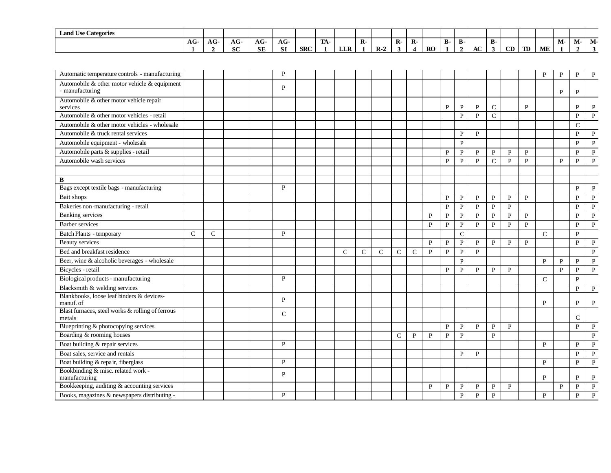| <b>Land Use Categories</b>                                 |                     |                     |                  |                  |                  |            |                     |              |              |              |                     |                                         |              |              |                             |              |                           |              |              |               |              |                    |                    |
|------------------------------------------------------------|---------------------|---------------------|------------------|------------------|------------------|------------|---------------------|--------------|--------------|--------------|---------------------|-----------------------------------------|--------------|--------------|-----------------------------|--------------|---------------------------|--------------|--------------|---------------|--------------|--------------------|--------------------|
|                                                            | AG-<br>$\mathbf{1}$ | AG-<br>$\mathbf{2}$ | AG-<br><b>SC</b> | AG-<br><b>SE</b> | AG-<br><b>SI</b> | <b>SRC</b> | TA-<br>$\mathbf{1}$ | <b>LLR</b>   | $\mathbf{R}$ | $R-2$        | $\mathbf{R}$ -<br>3 | $\mathbf{R}$<br>$\overline{\mathbf{4}}$ | RO           | <b>B-</b>    | <b>B-</b><br>$\overline{2}$ | $\bf AC$     | <b>B-</b><br>$\mathbf{3}$ | CD           | TD           | ME            | M-           | M-<br>$\mathbf{2}$ | M-<br>$\mathbf{3}$ |
|                                                            |                     |                     |                  |                  |                  |            |                     |              |              |              |                     |                                         |              |              |                             |              |                           |              |              |               |              |                    |                    |
| Automatic temperature controls - manufacturing             |                     |                     |                  |                  | $\mathbf{P}$     |            |                     |              |              |              |                     |                                         |              |              |                             |              |                           |              |              | $\mathbf{P}$  | $\mathbf{P}$ | P                  |                    |
| Automobile & other motor vehicle & equipment               |                     |                     |                  |                  |                  |            |                     |              |              |              |                     |                                         |              |              |                             |              |                           |              |              |               |              |                    |                    |
| - manufacturing                                            |                     |                     |                  |                  | $\mathbf{P}$     |            |                     |              |              |              |                     |                                         |              |              |                             |              |                           |              |              |               | P            | P                  |                    |
| Automobile & other motor vehicle repair<br>services        |                     |                     |                  |                  |                  |            |                     |              |              |              |                     |                                         |              | P            | P                           | P            | $\mathsf{C}$              |              | P            |               |              | P                  | $\, {\bf P}$       |
| Automobile & other motor vehicles - retail                 |                     |                     |                  |                  |                  |            |                     |              |              |              |                     |                                         |              |              | $\mathbf{P}$                | $\mathbf{P}$ | $\mathbf C$               |              |              |               |              | $\mathbf{P}$       | $\, {\bf P}$       |
| Automobile & other motor vehicles - wholesale              |                     |                     |                  |                  |                  |            |                     |              |              |              |                     |                                         |              |              |                             |              |                           |              |              |               |              | $\mathcal{C}$      |                    |
| Automobile & truck rental services                         |                     |                     |                  |                  |                  |            |                     |              |              |              |                     |                                         |              |              | P                           | $\mathbf{P}$ |                           |              |              |               |              | $\mathbf{P}$       | $\mathbf{P}$       |
| Automobile equipment - wholesale                           |                     |                     |                  |                  |                  |            |                     |              |              |              |                     |                                         |              |              | $\mathbf{P}$                |              |                           |              |              |               |              | $\mathbf{P}$       | $\, {\bf P}$       |
| Automobile parts & supplies - retail                       |                     |                     |                  |                  |                  |            |                     |              |              |              |                     |                                         |              | $\mathbf{P}$ | $\mathbf{P}$                | $\mathbf{P}$ | $\mathbf{P}$              | $\mathbf{P}$ | $\mathbf{P}$ |               |              | $\mathbf{P}$       | $\, {\bf P}$       |
| Automobile wash services                                   |                     |                     |                  |                  |                  |            |                     |              |              |              |                     |                                         |              | $\mathbf{P}$ | $\mathbf{P}$                | $\mathbf{P}$ | $\mathbf C$               | $\mathbf{P}$ | $\mathbf{P}$ |               | $\mathbf{P}$ | ${\bf P}$          | $\, {\bf P}$       |
|                                                            |                     |                     |                  |                  |                  |            |                     |              |              |              |                     |                                         |              |              |                             |              |                           |              |              |               |              |                    |                    |
| B                                                          |                     |                     |                  |                  |                  |            |                     |              |              |              |                     |                                         |              |              |                             |              |                           |              |              |               |              |                    |                    |
| Bags except textile bags - manufacturing                   |                     |                     |                  |                  | $\mathbf{P}$     |            |                     |              |              |              |                     |                                         |              |              |                             |              |                           |              |              |               |              | P                  | $\mathbf{P}$       |
| Bait shops                                                 |                     |                     |                  |                  |                  |            |                     |              |              |              |                     |                                         |              | $\mathbf{P}$ | $\, {\bf P}$                | $\mathbf{P}$ | $\mathbf{P}$              | $\mathbf{P}$ | $\mathbf{P}$ |               |              | $\mathbf{P}$       | $\, {\bf P}$       |
| Bakeries non-manufacturing - retail                        |                     |                     |                  |                  |                  |            |                     |              |              |              |                     |                                         |              | $\mathbf{P}$ | $\mathbf{P}$                | $\mathbf{P}$ | $\mathbf{P}$              | $\mathbf{P}$ |              |               |              | $\mathbf{P}$       | $\, {\bf P}$       |
| <b>Banking</b> services                                    |                     |                     |                  |                  |                  |            |                     |              |              |              |                     |                                         | P            | $\mathbf{P}$ | $\mathbf{P}$                | $\mathbf{P}$ | $\mathbf{P}$              | $\mathbf{P}$ | $\, {\bf P}$ |               |              | $\mathbf{P}$       | $\, {\bf P}$       |
| Barber services                                            |                     |                     |                  |                  |                  |            |                     |              |              |              |                     |                                         | $\mathbf{P}$ | $\mathbf{P}$ | $\mathbf{P}$                | $\mathbf{P}$ | $\mathbf{P}$              | $\mathbf{P}$ | $\mathbf{P}$ |               |              | $\mathbf{P}$       | $\, {\bf P}$       |
| Batch Plants - temporary                                   | $\mathbf C$         | $\mathsf{C}$        |                  |                  | $\mathbf{P}$     |            |                     |              |              |              |                     |                                         |              |              | $\mathbf C$                 |              |                           |              |              | $\mathsf{C}$  |              | $\mathbf{P}$       |                    |
| Beauty services                                            |                     |                     |                  |                  |                  |            |                     |              |              |              |                     |                                         | $\mathbf{P}$ | $\mathbf{P}$ | $\mathbf{P}$                | $\mathbf{P}$ | $\mathbf{P}$              | $\mathbf{P}$ | $\mathbf{P}$ |               |              | $\mathbf{P}$       | $\, {\bf P}$       |
| Bed and breakfast residence                                |                     |                     |                  |                  |                  |            |                     | $\mathsf{C}$ | $\mathsf{C}$ | $\mathbf{C}$ | $\mathsf{C}$        | $\mathsf{C}$                            | $\mathbf{P}$ | $\mathbf{P}$ | $\mathbf{P}$                | $\mathbf{P}$ |                           |              |              |               |              |                    | $\mathbf{P}$       |
| Beer, wine & alcoholic beverages - wholesale               |                     |                     |                  |                  |                  |            |                     |              |              |              |                     |                                         |              |              | $\mathbf{P}$                |              |                           |              |              | P             | $\mathbf{P}$ | P                  | $\mathbf{P}$       |
| Bicycles - retail                                          |                     |                     |                  |                  |                  |            |                     |              |              |              |                     |                                         |              | P            | P                           | $\mathbf{P}$ | $\mathbf{P}$              | $\mathbf{P}$ |              |               | P            | $\mathbf{P}$       | $\, {\bf P}$       |
| Biological products - manufacturing                        |                     |                     |                  |                  | P                |            |                     |              |              |              |                     |                                         |              |              |                             |              |                           |              |              | $\mathcal{C}$ |              | $\mathbf{P}$       |                    |
| Blacksmith & welding services                              |                     |                     |                  |                  |                  |            |                     |              |              |              |                     |                                         |              |              |                             |              |                           |              |              |               |              | P                  | $\mathbf{P}$       |
| Blankbooks, loose leaf binders & devices-                  |                     |                     |                  |                  | P                |            |                     |              |              |              |                     |                                         |              |              |                             |              |                           |              |              |               |              |                    |                    |
| manuf. of                                                  |                     |                     |                  |                  |                  |            |                     |              |              |              |                     |                                         |              |              |                             |              |                           |              |              | P             |              | P                  | $\mathbf{P}$       |
| Blast furnaces, steel works & rolling of ferrous<br>metals |                     |                     |                  |                  | $\mathcal{C}$    |            |                     |              |              |              |                     |                                         |              |              |                             |              |                           |              |              |               |              | $\mathbf C$        |                    |
| Blueprinting & photocopying services                       |                     |                     |                  |                  |                  |            |                     |              |              |              |                     |                                         |              | $\mathbf{P}$ | $\mathbf{P}$                | $\mathbf{P}$ | $\mathbf{P}$              | $\mathbf{P}$ |              |               |              | $\mathbf{P}$       | $\, {\bf P}$       |
| Boarding & rooming houses                                  |                     |                     |                  |                  |                  |            |                     |              |              |              | $\mathsf{C}$        | $\mathbf{P}$                            | $\mathbf{P}$ | $\mathbf{P}$ | $\mathbf{P}$                |              | $\mathbf{P}$              |              |              |               |              |                    | $\, {\bf p}$       |
| Boat building & repair services                            |                     |                     |                  |                  | P                |            |                     |              |              |              |                     |                                         |              |              |                             |              |                           |              |              | $\mathbf{P}$  |              | $\mathbf{P}$       | $\, {\bf P}$       |
| Boat sales, service and rentals                            |                     |                     |                  |                  |                  |            |                     |              |              |              |                     |                                         |              |              | P                           | P            |                           |              |              |               |              | P                  | $\mathbf{P}$       |
| Boat building & repair, fiberglass                         |                     |                     |                  |                  | P                |            |                     |              |              |              |                     |                                         |              |              |                             |              |                           |              |              | P             |              | $\mathbf{P}$       | $\mathbf{P}$       |
| Bookbinding & misc. related work -                         |                     |                     |                  |                  |                  |            |                     |              |              |              |                     |                                         |              |              |                             |              |                           |              |              |               |              |                    |                    |
| manufacturing                                              |                     |                     |                  |                  | $\mathbf{P}$     |            |                     |              |              |              |                     |                                         |              |              |                             |              |                           |              |              | ${\bf P}$     |              | P                  | $\mathbf{P}$       |
| Bookkeeping, auditing & accounting services                |                     |                     |                  |                  |                  |            |                     |              |              |              |                     |                                         | $\mathbf{P}$ | $\mathbf{P}$ | $\mathbf{P}$                | $\mathbf{P}$ | $\mathbf{P}$              | $\mathbf{P}$ |              |               | $\mathbf{P}$ | $\mathbf{P}$       | $\mathbf{P}$       |

P P P

P

P

P

P

Books, magazines & newspapers distributing -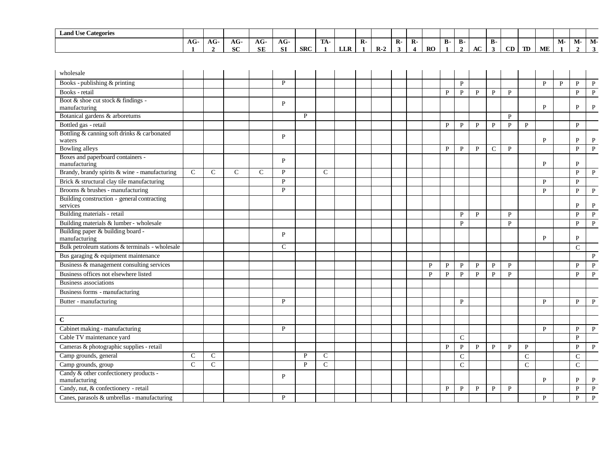| <b>Land Use Categories</b> |    |                            |               |                     |           |            |                   |            |       |    |     |           |       |    |                      |               |                |    |    |    |                      |    |
|----------------------------|----|----------------------------|---------------|---------------------|-----------|------------|-------------------|------------|-------|----|-----|-----------|-------|----|----------------------|---------------|----------------|----|----|----|----------------------|----|
|                            | AG | $\ddot{\phantom{a}}$<br>AG | $\sim$<br>AG- | $\sqrt{2}$<br>АU    | $AG-$     |            | <b>FRIA</b><br>ıА |            |       | R. | TZ. |           | - D - | D- |                      | в.            |                |    |    | M- | $\mathbf{A}$<br>IVI- | M- |
|                            |    |                            | $\sim$<br>0U  | $C\mathbb{T}$<br>ЭĽ | <b>SI</b> | <b>SRC</b> |                   | <b>LLR</b> | $R-2$ |    |     | <b>RO</b> |       |    | $\sim$<br>${\bf AC}$ | $\rightarrow$ | $\alpha$<br>◡╜ | TD | ME |    |                      |    |

| wholesale                                               |               |               |               |               |              |              |               |  |  |              |              |              |              |              |              |               |              |              |               |              |
|---------------------------------------------------------|---------------|---------------|---------------|---------------|--------------|--------------|---------------|--|--|--------------|--------------|--------------|--------------|--------------|--------------|---------------|--------------|--------------|---------------|--------------|
| Books - publishing & printing                           |               |               |               |               | P            |              |               |  |  |              |              | $\, {\bf P}$ |              |              |              |               | $\mathbf{P}$ | $\mathbf{P}$ | $\mathbf{P}$  | $\mathbf{P}$ |
| Books - retail                                          |               |               |               |               |              |              |               |  |  |              | $\mathbf{P}$ | $\mathbf{P}$ | $\, {\bf P}$ | $\mathbf{P}$ | P            |               |              |              | $\mathbf{P}$  | $\mathbf{P}$ |
| Boot & shoe cut stock & findings -<br>manufacturing     |               |               |               |               | P            |              |               |  |  |              |              |              |              |              |              |               | P            |              | P             | P            |
| Botanical gardens & arboretums                          |               |               |               |               |              | P            |               |  |  |              |              |              |              |              | P            |               |              |              |               |              |
| Bottled gas - retail                                    |               |               |               |               |              |              |               |  |  |              | P            | P            | $\mathbf P$  | P            | P            | P             |              |              | P             |              |
| Bottling & canning soft drinks & carbonated             |               |               |               |               |              |              |               |  |  |              |              |              |              |              |              |               |              |              |               |              |
| waters                                                  |               |               |               |               | $\mathbf{P}$ |              |               |  |  |              |              |              |              |              |              |               | $\mathbf{P}$ |              | P             | P            |
| <b>Bowling alleys</b>                                   |               |               |               |               |              |              |               |  |  |              | P            | P            | P            | $\mathsf{C}$ | $\mathbf{P}$ |               |              |              | P             | P            |
| Boxes and paperboard containers -<br>manufacturing      |               |               |               |               | P            |              |               |  |  |              |              |              |              |              |              |               | P            |              | P             |              |
| Brandy, brandy spirits & wine - manufacturing           | $\mathsf{C}$  | $\mathcal{C}$ | $\mathcal{C}$ | $\mathcal{C}$ | P            |              | $\mathcal{C}$ |  |  |              |              |              |              |              |              |               |              |              | $\mathbf{P}$  | P            |
| Brick & structural clay tile manufacturing              |               |               |               |               | P            |              |               |  |  |              |              |              |              |              |              |               | P            |              | $\mathbf{p}$  |              |
| Brooms & brushes - manufacturing                        |               |               |               |               | P            |              |               |  |  |              |              |              |              |              |              |               | P            |              | P             | P            |
| Building construction - general contracting<br>services |               |               |               |               |              |              |               |  |  |              |              |              |              |              |              |               |              |              | P             | P            |
| Building materials - retail                             |               |               |               |               |              |              |               |  |  |              |              | P            | $\mathbf{P}$ |              | $\mathbf{P}$ |               |              |              | $\mathbf{P}$  | $\mathbf{P}$ |
| Building materials & lumber - wholesale                 |               |               |               |               |              |              |               |  |  |              |              | P            |              |              | $\mathbf{P}$ |               |              |              | P             | P            |
| Building paper & building board -<br>manufacturing      |               |               |               |               | P            |              |               |  |  |              |              |              |              |              |              |               | P            |              | P             |              |
| Bulk petroleum stations & terminals - wholesale         |               |               |               |               | $\mathsf{C}$ |              |               |  |  |              |              |              |              |              |              |               |              |              | $\mathcal{C}$ |              |
| Bus garaging & equipment maintenance                    |               |               |               |               |              |              |               |  |  |              |              |              |              |              |              |               |              |              |               | P            |
| Business & management consulting services               |               |               |               |               |              |              |               |  |  | P            | $\mathbf{P}$ | $\mathbf{P}$ | P            | P            | $\mathbf{P}$ |               |              |              | P             | P            |
| Business offices not elsewhere listed                   |               |               |               |               |              |              |               |  |  | $\mathbf{P}$ | $\mathbf{P}$ | $\, {\bf P}$ | $\mathbf{P}$ | $\mathbf{P}$ | $\mathbf{P}$ |               |              |              | $\mathbf{P}$  | $\mathbf{P}$ |
| <b>Business associations</b>                            |               |               |               |               |              |              |               |  |  |              |              |              |              |              |              |               |              |              |               |              |
| Business forms - manufacturing                          |               |               |               |               |              |              |               |  |  |              |              |              |              |              |              |               |              |              |               |              |
| Butter - manufacturing                                  |               |               |               |               | P            |              |               |  |  |              |              | P            |              |              |              |               | P            |              | P             | $\mathbf{P}$ |
|                                                         |               |               |               |               |              |              |               |  |  |              |              |              |              |              |              |               |              |              |               |              |
| $\mathbf C$                                             |               |               |               |               |              |              |               |  |  |              |              |              |              |              |              |               |              |              |               |              |
| Cabinet making - manufacturing                          |               |               |               |               | P            |              |               |  |  |              |              |              |              |              |              |               | P            |              | P             | P            |
| Cable TV maintenance yard                               |               |               |               |               |              |              |               |  |  |              |              | C            |              |              |              |               |              |              | P             |              |
| Cameras & photographic supplies - retail                |               |               |               |               |              |              |               |  |  |              | P            | $\mathbf{P}$ | P            | P            | $\mathbf{P}$ | P             |              |              | P             | P            |
| Camp grounds, general                                   | $\mathsf{C}$  | $\mathcal{C}$ |               |               |              | $\mathbf{P}$ | $\mathcal{C}$ |  |  |              |              | $\mathsf{C}$ |              |              |              | $\mathcal{C}$ |              |              | $\mathsf{C}$  |              |
| Camp grounds, group                                     | $\mathcal{C}$ | $\mathcal{C}$ |               |               |              | $\mathbf{P}$ | $\mathcal{C}$ |  |  |              |              | $\mathsf{C}$ |              |              |              | $\mathsf{C}$  |              |              | $\mathsf{C}$  |              |
| Candy & other confectionery products -<br>manufacturing |               |               |               |               | P            |              |               |  |  |              |              |              |              |              |              |               | P            |              | P             | P            |
| Candy, nut, & confectionery - retail                    |               |               |               |               |              |              |               |  |  |              | $\mathbf{P}$ | $\, {\bf P}$ | $\, {\bf P}$ | $\mathbf{P}$ | $\mathbf{P}$ |               |              |              | $\mathbf{P}$  | $\mathbf{P}$ |
| Canes, parasols & umbrellas - manufacturing             |               |               |               |               | P            |              |               |  |  |              |              |              |              |              |              |               | P            |              | $\mathbf{P}$  | $\mathbf{P}$ |
|                                                         |               |               |               |               |              |              |               |  |  |              |              |              |              |              |              |               |              |              |               |              |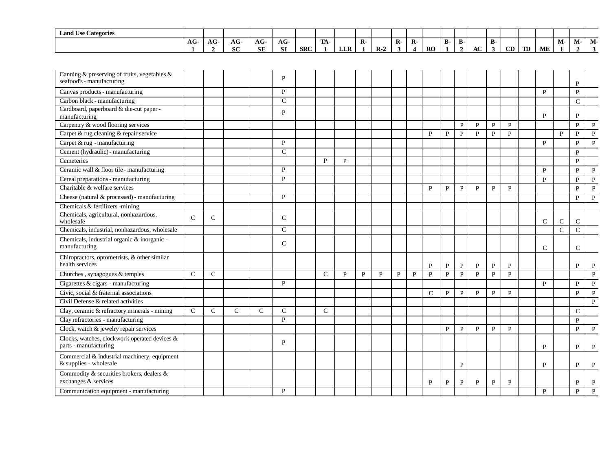| $\mathbf{r}$<br>$\sim$<br><b>Land Use Categories</b> |     |                     |               |                  |                   |            |                     |            |    |       |    |         |           |            |    |              |    |    |    |    |    |                      |    |
|------------------------------------------------------|-----|---------------------|---------------|------------------|-------------------|------------|---------------------|------------|----|-------|----|---------|-----------|------------|----|--------------|----|----|----|----|----|----------------------|----|
|                                                      | AG- | $\mathbf{A}$<br>AU- | $\sim$<br>AG- | $\sqrt{2}$<br>АU | $\sqrt{2}$<br>AG- |            | <b>COLLA</b><br>TW. |            | K. |       | R. | D<br>K. |           | Ð<br>- D - | D- |              | в. |    |    |    | М- | $\mathbf{A}$<br>IVI- | M- |
|                                                      |     |                     | $\sim$<br>0U  | <b>SE</b>        | <b>SI</b>         | <b>SRC</b> |                     | <b>LLR</b> |    | $R-2$ |    |         | <b>RO</b> |            |    | $\sim$<br>AC | .э | CD | TD | ME |    |                      |    |

| Canning & preserving of fruits, vegetables $\&$<br>seafood's - manufacturing |               |               |               |               | P             |               |              |   |   |   |   |               |              |              |              |              |              |               |               | P             |              |
|------------------------------------------------------------------------------|---------------|---------------|---------------|---------------|---------------|---------------|--------------|---|---|---|---|---------------|--------------|--------------|--------------|--------------|--------------|---------------|---------------|---------------|--------------|
| Canvas products - manufacturing                                              |               |               |               |               | P             |               |              |   |   |   |   |               |              |              |              |              |              | P             |               | P             |              |
| Carbon black - manufacturing                                                 |               |               |               |               | $\mathcal{C}$ |               |              |   |   |   |   |               |              |              |              |              |              |               |               | $\mathcal{C}$ |              |
| Cardboard, paperboard & die-cut paper -<br>manufacturing                     |               |               |               |               | P             |               |              |   |   |   |   |               |              |              |              |              |              | P             |               | P             |              |
| Carpentry & wood flooring services                                           |               |               |               |               |               |               |              |   |   |   |   |               |              | P            | $\mathbf{P}$ | $\mathbf{P}$ | $\mathbf{P}$ |               |               | $\mathbf{P}$  | $\mathbf{P}$ |
| Carpet & rug cleaning & repair service                                       |               |               |               |               |               |               |              |   |   |   |   | $\mathbf{p}$  | P            | $\mathbf{P}$ | $\mathbf{p}$ | $\mathbf{P}$ | $\mathbf{P}$ |               | $\mathbf{p}$  | $\mathbf{P}$  | $\mathbf{P}$ |
| Carpet & rug - manufacturing                                                 |               |               |               |               | P             |               |              |   |   |   |   |               |              |              |              |              |              | $\mathbf{p}$  |               | P             | $\mathbf{P}$ |
| Cement (hydraulic) - manufacturing                                           |               |               |               |               | $\mathcal{C}$ |               |              |   |   |   |   |               |              |              |              |              |              |               |               | $\mathbf{P}$  |              |
| Cemeteries                                                                   |               |               |               |               |               | P             | $\mathbf{P}$ |   |   |   |   |               |              |              |              |              |              |               |               | P             |              |
| Ceramic wall & floor tile - manufacturing                                    |               |               |               |               | P             |               |              |   |   |   |   |               |              |              |              |              |              | P             |               | P             | P            |
| Cereal preparations - manufacturing                                          |               |               |               |               | P             |               |              |   |   |   |   |               |              |              |              |              |              | P             |               | P             | P            |
| Charitable & welfare services                                                |               |               |               |               |               |               |              |   |   |   |   | P             | P            | P            | P            | $\mathbf{P}$ | P            |               |               | P             | $\mathbf{P}$ |
| Cheese (natural & processed) - manufacturing                                 |               |               |               |               | P             |               |              |   |   |   |   |               |              |              |              |              |              |               |               | P             | $\, {\bf P}$ |
| Chemicals & fertilizers -mining                                              |               |               |               |               |               |               |              |   |   |   |   |               |              |              |              |              |              |               |               |               |              |
| Chemicals, agricultural, nonhazardous,<br>wholesale                          | $\mathcal{C}$ | $\mathcal{C}$ |               |               | $\mathcal{C}$ |               |              |   |   |   |   |               |              |              |              |              |              | $\mathcal{C}$ | $\mathbf C$   | $\mathbf C$   |              |
| Chemicals, industrial, nonhazardous, wholesale                               |               |               |               |               | $\mathcal{C}$ |               |              |   |   |   |   |               |              |              |              |              |              |               | $\mathcal{C}$ | $\mathbf C$   |              |
| Chemicals, industrial organic & inorganic -<br>manufacturing                 |               |               |               |               | $\mathcal{C}$ |               |              |   |   |   |   |               |              |              |              |              |              | $\mathcal{C}$ |               | $\mathcal{C}$ |              |
| Chiropractors, optometrists, & other similar<br>health services              |               |               |               |               |               |               |              |   |   |   |   | P             | P            | P            | P            | $\mathbf{P}$ | $\mathbf{P}$ |               |               | P             | $\mathbf{P}$ |
| Churches, synagogues & temples                                               | $\mathsf{C}$  | $\mathcal{C}$ |               |               |               | $\mathcal{C}$ | P            | P | P | P | P | P             | $\mathbf{P}$ | $\mathbf{P}$ | $\mathbf{P}$ | $\mathbf{P}$ | $\mathbf{P}$ |               |               |               | $\mathbf{P}$ |
| Cigarettes & cigars - manufacturing                                          |               |               |               |               | P             |               |              |   |   |   |   |               |              |              |              |              |              | P             |               | P             | $\mathbf P$  |
| Civic, social & fraternal associations                                       |               |               |               |               |               |               |              |   |   |   |   | $\mathcal{C}$ | P            | P            | P            | P            | P            |               |               | P             | $\mathbf{P}$ |
| Civil Defense & related activities                                           |               |               |               |               |               |               |              |   |   |   |   |               |              |              |              |              |              |               |               |               | $\mathbf{P}$ |
| Clay, ceramic & refractory minerals - mining                                 | $\mathcal{C}$ | $\mathsf{C}$  | $\mathcal{C}$ | $\mathcal{C}$ | $\mathcal{C}$ | $\mathcal{C}$ |              |   |   |   |   |               |              |              |              |              |              |               |               | $\mathsf{C}$  |              |
| Clay refractories - manufacturing                                            |               |               |               |               | P             |               |              |   |   |   |   |               |              |              |              |              |              |               |               | P             |              |
| Clock, watch & jewelry repair services                                       |               |               |               |               |               |               |              |   |   |   |   |               | $\mathbf{P}$ | $\mathbf{P}$ | $\mathbf{P}$ | $\mathbf{P}$ | $\mathbf{P}$ |               |               | $\mathbf{P}$  | $\mathbf{P}$ |
| Clocks, watches, clockwork operated devices &<br>parts - manufacturing       |               |               |               |               | P             |               |              |   |   |   |   |               |              |              |              |              |              | $\mathbf{P}$  |               | P             | P            |
| Commercial & industrial machinery, equipment<br>& supplies - wholesale       |               |               |               |               |               |               |              |   |   |   |   |               |              | P            |              |              |              | P             |               | P             | P            |
| Commodity & securities brokers, dealers &<br>exchanges & services            |               |               |               |               |               |               |              |   |   |   |   | $\mathbf{P}$  | $\mathbf{P}$ | $\mathbf{P}$ | P            | $\mathbf{P}$ | P            |               |               | P             | P            |
| Communication equipment - manufacturing                                      |               |               |               |               | P             |               |              |   |   |   |   |               |              |              |              |              |              | $\mathbf{P}$  |               | P             | P            |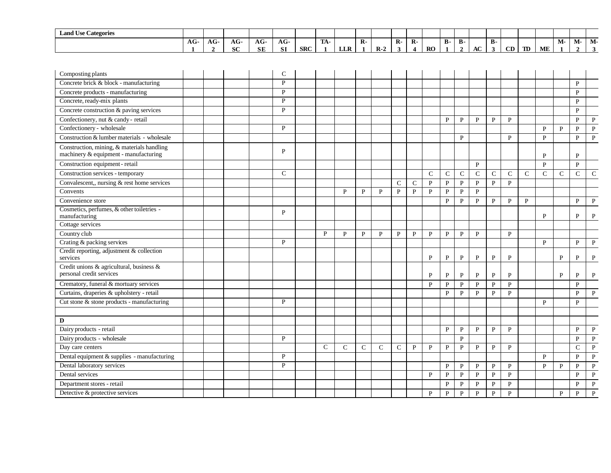| $\mathbf{r}$<br>$\sim$<br><b>Land Use Categories</b> |     |                     |               |                  |                   |            |                     |            |    |       |    |         |           |            |    |              |    |    |    |    |    |                      |    |
|------------------------------------------------------|-----|---------------------|---------------|------------------|-------------------|------------|---------------------|------------|----|-------|----|---------|-----------|------------|----|--------------|----|----|----|----|----|----------------------|----|
|                                                      | AG- | $\mathbf{A}$<br>AU- | $\sim$<br>AG- | $\sqrt{2}$<br>АU | $\sqrt{2}$<br>AG- |            | <b>COLLA</b><br>TW. |            | K. |       | R. | D<br>K. |           | Ð<br>- D - | D- |              | в. |    |    |    | М- | $\mathbf{A}$<br>IVI- | M- |
|                                                      |     |                     | $\sim$<br>0U  | <b>SE</b>        | <b>SI</b>         | <b>SRC</b> |                     | <b>LLR</b> |    | $R-2$ |    |         | <b>RO</b> |            |    | $\sim$<br>AC | .э | CD | TD | ME |    |                      |    |

| Composting plants                                                                   |  |  | C             |               |              |              |               |               |              |              |              |              |              |              |               |             |               |              |              |              |
|-------------------------------------------------------------------------------------|--|--|---------------|---------------|--------------|--------------|---------------|---------------|--------------|--------------|--------------|--------------|--------------|--------------|---------------|-------------|---------------|--------------|--------------|--------------|
| Concrete brick & block - manufacturing                                              |  |  | P             |               |              |              |               |               |              |              |              |              |              |              |               |             |               |              | P            |              |
| Concrete products - manufacturing                                                   |  |  | $\mathbf{P}$  |               |              |              |               |               |              |              |              |              |              |              |               |             |               |              | $\mathbf{P}$ |              |
| Concrete, ready-mix plants                                                          |  |  | P             |               |              |              |               |               |              |              |              |              |              |              |               |             |               |              | $\mathbf{P}$ |              |
| Concrete construction & paving services                                             |  |  | P             |               |              |              |               |               |              |              |              |              |              |              |               |             |               |              | $\mathbf{P}$ |              |
| Confectionery, nut & candy - retail                                                 |  |  |               |               |              |              |               |               |              |              | $\mathbf{P}$ | P            | $\mathbf{P}$ | $\mathbf{P}$ | $\mathbf{P}$  |             |               |              | $\mathbf{P}$ | $\mathbf{P}$ |
| Confectionery - wholesale                                                           |  |  | P             |               |              |              |               |               |              |              |              |              |              |              |               |             | P             | P            | P            | P            |
| Construction & lumber materials - wholesale                                         |  |  |               |               |              |              |               |               |              |              |              | P            |              |              | $\mathbf{P}$  |             | $\mathbf{p}$  |              | $\mathbf{P}$ | $\mathbf{P}$ |
| Construction, mining, & materials handling<br>machinery & equipment - manufacturing |  |  | P             |               |              |              |               |               |              |              |              |              |              |              |               |             | P             |              | $\mathbf{P}$ |              |
| Construction equipment - retail                                                     |  |  |               |               |              |              |               |               |              |              |              |              | $\mathbf{P}$ |              |               |             | $\mathbf{p}$  |              | $\mathbf{P}$ |              |
| Construction services - temporary                                                   |  |  | $\mathcal{C}$ |               |              |              |               |               |              | C            | $\mathsf{C}$ | $\mathsf{C}$ | $\mathsf{C}$ | C            | $\mathcal{C}$ | $\mathbf C$ | $\mathcal{C}$ | C            | $\mathbf C$  | $\mathbf C$  |
| Convalescent,, nursing & rest home services                                         |  |  |               |               |              |              |               | $\mathcal{C}$ | $\mathsf{C}$ | $\mathbf{P}$ | $\mathbf{P}$ | $\mathbf{P}$ | $\mathbf{P}$ | $\mathbf{P}$ | $\mathbf{P}$  |             |               |              |              |              |
| Convents                                                                            |  |  |               |               | P            | $\mathbf{P}$ | $\mathbf{P}$  | $\mathbf{P}$  | $\mathbf{P}$ | $\mathbf{P}$ | $\mathbf{P}$ | $\mathbf{P}$ | $\mathbf{P}$ |              |               |             |               |              |              |              |
| Convenience store                                                                   |  |  |               |               |              |              |               |               |              |              | P            | P            | P            | P            | $\mathbf{P}$  | P           |               |              | P            | P            |
| Cosmetics, perfumes, & other toiletries -<br>manufacturing                          |  |  | P             |               |              |              |               |               |              |              |              |              |              |              |               |             | P             |              | P            | P            |
| Cottage services                                                                    |  |  |               |               |              |              |               |               |              |              |              |              |              |              |               |             |               |              |              |              |
| Country club                                                                        |  |  |               | P             | $\mathbf{P}$ | $\mathbf{P}$ | $\mathbf{P}$  | $\mathbf{P}$  | $\mathbf{P}$ | $\mathbf P$  | P            | P            | $\mathbf{P}$ |              | $\mathbf{P}$  |             |               |              |              |              |
| Crating & packing services                                                          |  |  | P             |               |              |              |               |               |              |              |              |              |              |              |               |             | P             |              | $\mathbf{P}$ | P            |
| Credit reporting, adjustment & collection<br>services                               |  |  |               |               |              |              |               |               |              | P            | P            | P            | $\mathbf{P}$ | $\mathbf{P}$ | $\mathbf{P}$  |             |               | P            | P            | P            |
| Credit unions & agricultural, business &<br>personal credit services                |  |  |               |               |              |              |               |               |              | P            | P            | P            | P            | $\mathbf{P}$ | P             |             |               | P            | P            | P            |
| Crematory, funeral & mortuary services                                              |  |  |               |               |              |              |               |               |              | P            | P            | P            | $\mathbf{P}$ | $\mathbf{P}$ | $\mathbf{P}$  |             |               |              | $\mathbf{P}$ |              |
| Curtains, draperies & upholstery - retail                                           |  |  |               |               |              |              |               |               |              |              | P            | P            | $\mathbf{P}$ | $\mathbf{P}$ | $\mathbf{P}$  |             |               |              | $\mathbf{P}$ | $\mathbf{P}$ |
| Cut stone & stone products - manufacturing                                          |  |  | P             |               |              |              |               |               |              |              |              |              |              |              |               |             | P             |              | P            |              |
|                                                                                     |  |  |               |               |              |              |               |               |              |              |              |              |              |              |               |             |               |              |              |              |
| D                                                                                   |  |  |               |               |              |              |               |               |              |              |              |              |              |              |               |             |               |              |              |              |
| Dairy products - retail                                                             |  |  |               |               |              |              |               |               |              |              | P            | P            | $\mathbf{P}$ | $\mathbf{P}$ | $\mathbf{P}$  |             |               |              | $\mathbf{P}$ | $\mathbf{P}$ |
| Dairy products - wholesale                                                          |  |  | P             |               |              |              |               |               |              |              |              | P            |              |              |               |             |               |              | P            | $\, {\bf P}$ |
| Day care centers                                                                    |  |  |               | $\mathcal{C}$ | $\mathsf{C}$ | $\mathsf{C}$ | $\mathcal{C}$ | $\mathcal{C}$ | P            | P            | P            | P            | P            | $\mathbf{P}$ | $\mathbf{P}$  |             |               |              | $\mathsf{C}$ | $\, {\bf P}$ |
| Dental equipment & supplies - manufacturing                                         |  |  | P             |               |              |              |               |               |              |              |              |              |              |              |               |             | $\mathbf{P}$  |              | $\mathbf{P}$ | $\, {\bf P}$ |
| Dental laboratory services                                                          |  |  | P             |               |              |              |               |               |              |              | P            | $\mathbf{P}$ | P            | $\mathbf{P}$ | P             |             | P             | P            | P            | $\mathbf{P}$ |
| Dental services                                                                     |  |  |               |               |              |              |               |               |              | P            | P            | P            | $\mathbf{P}$ | P            | $\mathbf{P}$  |             |               |              | P            | $\mathbf{P}$ |
| Department stores - retail                                                          |  |  |               |               |              |              |               |               |              |              | P            | P            | $\mathbf{P}$ | $\mathbf{P}$ | $\mathbf{P}$  |             |               |              | P            | $\mathbf{P}$ |
| Detective & protective services                                                     |  |  |               |               |              |              |               |               |              | P            | $\mathbf{P}$ | $\mathbf{P}$ | $\mathbf{P}$ | $\mathbf{P}$ | $\mathbf{P}$  |             |               | $\mathbf{P}$ | $\mathbf{P}$ | $\mathbf{P}$ |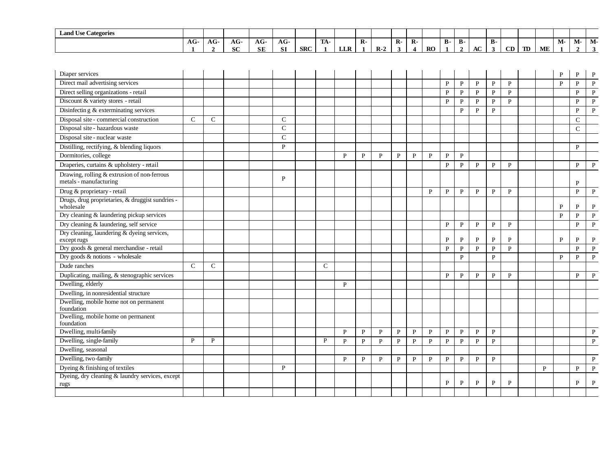| <b>Land Use Categories</b> |     |                   |                   |                   |                   |            |     |                    |              |       |              |                |    |            |            |    |    |    |    |    |                         |      |                      |
|----------------------------|-----|-------------------|-------------------|-------------------|-------------------|------------|-----|--------------------|--------------|-------|--------------|----------------|----|------------|------------|----|----|----|----|----|-------------------------|------|----------------------|
|                            | AG- | $\sqrt{ }$<br>AG- | $\sqrt{ }$<br>AG. | $\sqrt{2}$<br>AG- | $\sqrt{ }$<br>AG. |            | TA- |                    | $\mathbf{R}$ |       | $\mathbf{R}$ | $\mathbf{R}$ - |    | <b>B</b> - | <b>B</b> - |    | в. |    |    |    | <b>B</b> <i>B</i><br>M- | IVI- | $\mathbf{A}$<br>IVI. |
|                            |     |                   | $\alpha$<br>эv.   | <b>SE</b>         | $\sim$            | <b>SRC</b> |     | <b>TTD</b><br>LLIN |              | $R-2$ |              |                | RO |            |            | AC |    | CD | TD | ME |                         |      |                      |

| Diaper services                                                       |               |               |  |              |               |              |              |              |              |              |              |              |              |              |              |              |              | P            | P             | P            |
|-----------------------------------------------------------------------|---------------|---------------|--|--------------|---------------|--------------|--------------|--------------|--------------|--------------|--------------|--------------|--------------|--------------|--------------|--------------|--------------|--------------|---------------|--------------|
| Direct mail advertising services                                      |               |               |  |              |               |              |              |              |              |              |              | $\, {\bf P}$ | $\mathbf P$  | $\, {\bf P}$ | $\, {\bf P}$ | ${\bf P}$    |              | $\mathbf{P}$ | $\mathbf{P}$  | $\mathbf{P}$ |
| Direct selling organizations - retail                                 |               |               |  |              |               |              |              |              |              |              |              | P            | $\mathbf{P}$ | P            | P            | $\mathbf{P}$ |              |              | P             | P            |
| Discount & variety stores - retail                                    |               |               |  |              |               |              |              |              |              |              |              | P            | $\mathbf{P}$ | $\mathbf{P}$ | P            | $\mathbf{P}$ |              |              | P             | P            |
| Disinfectin g & exterminating services                                |               |               |  |              |               |              |              |              |              |              |              |              | $\mathbf{P}$ | $\mathbf{P}$ | $\mathbf P$  |              |              |              | P             | $\mathbf{P}$ |
| Disposal site - commercial construction                               | $\mathsf{C}$  | $\mathcal{C}$ |  | $\mathbf C$  |               |              |              |              |              |              |              |              |              |              |              |              |              |              | $\mathcal{C}$ |              |
| Disposal site - hazardous waste                                       |               |               |  | $\mathbf C$  |               |              |              |              |              |              |              |              |              |              |              |              |              |              | $\mathbf C$   |              |
| Disposal site - nuclear waste                                         |               |               |  | $\mathbf C$  |               |              |              |              |              |              |              |              |              |              |              |              |              |              |               |              |
| Distilling, rectifying, & blending liquors                            |               |               |  | P            |               |              |              |              |              |              |              |              |              |              |              |              |              |              | $\mathbf{P}$  |              |
| Dormitories, college                                                  |               |               |  |              |               | P            | P            | P            | P            | $\mathbf{P}$ | P            | P            | $\mathbf{P}$ |              |              |              |              |              |               |              |
| Draperies, curtains & upholstery - retail                             |               |               |  |              |               |              |              |              |              |              |              | P            | P            | $\mathbf{P}$ | P            | $\mathbf{P}$ |              |              | P             | $\mathbf{P}$ |
| Drawing, rolling & extrusion of non-ferrous<br>metals - manufacturing |               |               |  | P            |               |              |              |              |              |              |              |              |              |              |              |              |              |              | P             |              |
| Drug & proprietary - retail                                           |               |               |  |              |               |              |              |              |              |              | P            | $\mathbf{P}$ | $\mathbf{P}$ | P            | P            | $\mathbf{P}$ |              |              | $\mathbf{P}$  | $\mathbf{P}$ |
| Drugs, drug proprietaries, & druggist sundries -<br>wholesale         |               |               |  |              |               |              |              |              |              |              |              |              |              |              |              |              |              | P            | P             | P            |
| Dry cleaning & laundering pickup services                             |               |               |  |              |               |              |              |              |              |              |              |              |              |              |              |              |              | P            | P             | P            |
| Dry cleaning & laundering, self service                               |               |               |  |              |               |              |              |              |              |              |              | P            | P            | P            | $\mathbf{P}$ | $\mathbf P$  |              |              | P             | $\, {\bf P}$ |
| Dry cleaning, laundering & dyeing services,<br>except rugs            |               |               |  |              |               |              |              |              |              |              |              | P            | P            | P            | $\mathbf{P}$ | P            |              | P            | P             | ${\bf P}$    |
| Dry goods & general merchandise - retail                              |               |               |  |              |               |              |              |              |              |              |              | $\mathbf{P}$ | $\mathbf{P}$ | $\mathbf{P}$ | $\mathbf{P}$ | $\mathbf{P}$ |              |              | $\mathbf{p}$  | $\mathbf{P}$ |
| Dry goods & notions - wholesale                                       |               |               |  |              |               |              |              |              |              |              |              |              | $\mathbf{P}$ |              | $\mathbf{P}$ |              |              | $\mathbf{p}$ | $\mathbf{P}$  | $\mathbf{P}$ |
| Dude ranches                                                          | $\mathcal{C}$ | $\mathsf{C}$  |  |              | $\mathcal{C}$ |              |              |              |              |              |              |              |              |              |              |              |              |              |               |              |
| Duplicating, mailing, & stenographic services                         |               |               |  |              |               |              |              |              |              |              |              | $\mathbf{P}$ | $\mathbf{P}$ | P            | P            | P            |              |              | P             | $\mathbf{P}$ |
| Dwelling, elderly                                                     |               |               |  |              |               | P            |              |              |              |              |              |              |              |              |              |              |              |              |               |              |
| Dwelling, in nonresidential structure                                 |               |               |  |              |               |              |              |              |              |              |              |              |              |              |              |              |              |              |               |              |
| Dwelling, mobile home not on permanent<br>foundation                  |               |               |  |              |               |              |              |              |              |              |              |              |              |              |              |              |              |              |               |              |
| Dwelling, mobile home on permanent<br>foundation                      |               |               |  |              |               |              |              |              |              |              |              |              |              |              |              |              |              |              |               |              |
| Dwelling, multi-family                                                |               |               |  |              |               | P            | P            | $\mathbf{P}$ | $\mathbf{P}$ | P            | P            | P            | $\mathbf{P}$ | P            | $\mathbf{P}$ |              |              |              |               | $\mathbf{P}$ |
| Dwelling, single-family                                               | P             | P             |  |              | P             | P            | P            | P            | $\mathbf{P}$ | P            | P            | $\mathbf{P}$ | $\mathbf{P}$ | $\mathbf{P}$ | $\mathbf{P}$ |              |              |              |               | $\, {\bf P}$ |
| Dwelling, seasonal                                                    |               |               |  |              |               |              |              |              |              |              |              |              |              |              |              |              |              |              |               |              |
| Dwelling, two-family                                                  |               |               |  |              |               | $\mathbf{P}$ | $\mathbf{P}$ | $\mathbf{P}$ | $\mathbf{P}$ | $\mathbf{P}$ | $\mathbf{P}$ | $\mathbf{P}$ | $\, {\bf P}$ | $\, {\bf P}$ | $\mathbf{P}$ |              |              |              |               | $\mathbf{P}$ |
| Dyeing & finishing of textiles                                        |               |               |  | $\mathbf{P}$ |               |              |              |              |              |              |              |              |              |              |              |              | $\mathbf{P}$ |              | $\mathbf{p}$  | $\mathbf{P}$ |
| Dyeing, dry cleaning & laundry services, except<br>rugs               |               |               |  |              |               |              |              |              |              |              |              | $\mathbf{P}$ | $\mathbf{P}$ | $\mathbf{P}$ | ${\bf P}$    | $\mathbf{P}$ |              |              | P             | P            |
|                                                                       |               |               |  |              |               |              |              |              |              |              |              |              |              |              |              |              |              |              |               |              |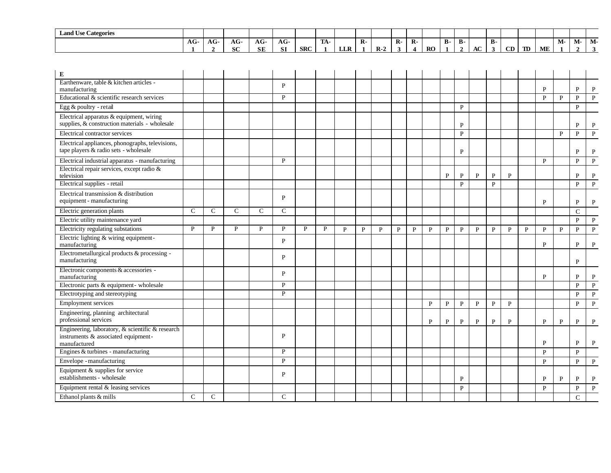| <b>Land Use Categories</b> |       |                   |               |           |                   |            |                    |                    |       |      |              |              |           |           |            |    |           |    |    |           |       |        |       |
|----------------------------|-------|-------------------|---------------|-----------|-------------------|------------|--------------------|--------------------|-------|------|--------------|--------------|-----------|-----------|------------|----|-----------|----|----|-----------|-------|--------|-------|
|                            | $AG-$ | $\sqrt{2}$<br>Au- | $\sim$<br>AG. | AG        | $\sqrt{2}$<br>AG- |            | <b>FIRA</b><br>ТW. |                    | $R -$ |      | $\mathbf{R}$ | $\mathbf{R}$ |           | <b>B-</b> | <b>B</b> - |    | <b>B-</b> |    |    |           | $M -$ | - IVI- | -IVI- |
|                            |       |                   | $\sim$<br>50. | <b>SE</b> | C1<br>Ю.          | <b>SRC</b> |                    | <b>TTD</b><br>LLIN |       | $R-$ |              |              | <b>RO</b> |           |            | AC |           | CD | TD | <b>ME</b> |       |        |       |

| E                                                                                                       |               |               |              |   |               |   |   |   |              |              |              |              |              |              |              |              |              |              |              |              |              |               |              |
|---------------------------------------------------------------------------------------------------------|---------------|---------------|--------------|---|---------------|---|---|---|--------------|--------------|--------------|--------------|--------------|--------------|--------------|--------------|--------------|--------------|--------------|--------------|--------------|---------------|--------------|
| Earthenware, table & kitchen articles -<br>manufacturing                                                |               |               |              |   | $\mathbf{P}$  |   |   |   |              |              |              |              |              |              |              |              |              |              |              | $\mathbf{p}$ |              | P             | P            |
| Educational & scientific research services                                                              |               |               |              |   | P             |   |   |   |              |              |              |              |              |              |              |              |              |              |              | $\mathbf{P}$ | $\mathbf{p}$ | $\mathbf{P}$  | $\mathbf{P}$ |
| Egg & poultry - retail                                                                                  |               |               |              |   |               |   |   |   |              |              |              |              |              |              | $\mathbf{P}$ |              |              |              |              |              |              | $\mathbf{P}$  |              |
| Electrical apparatus & equipment, wiring<br>supplies, & construction materials - wholesale              |               |               |              |   |               |   |   |   |              |              |              |              |              |              | $\mathbf{P}$ |              |              |              |              |              |              | P             | P            |
| Electrical contractor services                                                                          |               |               |              |   |               |   |   |   |              |              |              |              |              |              | $\mathbf{P}$ |              |              |              |              |              | $\mathbf{p}$ | $\mathbf{p}$  | $\mathbf{P}$ |
| Electrical appliances, phonographs, televisions,<br>tape players & radio sets - wholesale               |               |               |              |   |               |   |   |   |              |              |              |              |              |              | $\mathbf{P}$ |              |              |              |              |              |              | P             | P            |
| Electrical industrial apparatus - manufacturing                                                         |               |               |              |   | P             |   |   |   |              |              |              |              |              |              |              |              |              |              |              | $\mathbf{p}$ |              | $\mathbf{p}$  | P            |
| Electrical repair services, except radio &<br>television                                                |               |               |              |   |               |   |   |   |              |              |              |              |              | P            | $\mathbf{P}$ | P            | P            | P            |              |              |              | P             | P            |
| Electrical supplies - retail                                                                            |               |               |              |   |               |   |   |   |              |              |              |              |              |              | $\mathbf{P}$ |              | $\, {\bf P}$ |              |              |              |              | P             | $\mathbf{P}$ |
| Electrical transmission & distribution<br>equipment - manufacturing                                     |               |               |              |   | P             |   |   |   |              |              |              |              |              |              |              |              |              |              |              | P            |              | P             | P            |
| Electric generation plants                                                                              | $\mathcal{C}$ | C             | $\mathsf{C}$ | C | $\mathsf{C}$  |   |   |   |              |              |              |              |              |              |              |              |              |              |              |              |              | $\mathcal{C}$ |              |
| Electric utility maintenance yard                                                                       |               |               |              |   |               |   |   |   |              |              |              |              |              |              |              |              |              |              |              |              |              | P             | P            |
| Electricity regulating substations                                                                      | P             | P             | P            | P | P             | P | P | P | $\mathbf{P}$ | $\mathbf{P}$ | $\mathbf{P}$ | $\mathbf{P}$ | $\mathbf{p}$ | $\mathbf{P}$ | $\mathbf{P}$ | $\mathbf{P}$ | $\mathbf{P}$ | $\mathbf{P}$ | $\mathbf{p}$ | $\mathbf{P}$ | $\mathbf{P}$ | $\mathbf{P}$  | $\mathbf{P}$ |
| Electric lighting & wiring equipment-<br>manufacturing                                                  |               |               |              |   | P             |   |   |   |              |              |              |              |              |              |              |              |              |              |              | P            |              | P             | P            |
| Electrometallurgical products & processing -<br>manufacturing                                           |               |               |              |   | P             |   |   |   |              |              |              |              |              |              |              |              |              |              |              |              |              | P             |              |
| Electronic components & accessories -<br>manufacturing                                                  |               |               |              |   | P             |   |   |   |              |              |              |              |              |              |              |              |              |              |              | P            |              | P             | P            |
| Electronic parts & equipment-wholesale                                                                  |               |               |              |   | P             |   |   |   |              |              |              |              |              |              |              |              |              |              |              |              |              | $\mathbf{p}$  | $\mathbf{P}$ |
| Electrotyping and stereotyping                                                                          |               |               |              |   | P             |   |   |   |              |              |              |              |              |              |              |              |              |              |              |              |              | P             | $\mathbf{P}$ |
| Employment services                                                                                     |               |               |              |   |               |   |   |   |              |              |              |              | $\mathbf{p}$ | $\mathbf{P}$ | $\mathbf{P}$ | $\mathbf{P}$ | $\, {\bf P}$ | $\mathbf{P}$ |              |              |              | $\mathbf{P}$  | $\mathbf{P}$ |
| Engineering, planning architectural<br>professional services                                            |               |               |              |   |               |   |   |   |              |              |              |              | P            | $\mathbf{P}$ | $\mathbf{P}$ | P            | $\, {\bf P}$ | P            |              | P            | P            | P             | P            |
| Engineering, laboratory, & scientific & research<br>instruments & associated equipment-<br>manufactured |               |               |              |   | P             |   |   |   |              |              |              |              |              |              |              |              |              |              |              | P            |              | P             | P            |
| Engines & turbines - manufacturing                                                                      |               |               |              |   | P             |   |   |   |              |              |              |              |              |              |              |              |              |              |              | $\mathbf{P}$ |              | $\mathbf{P}$  |              |
| Envelope - manufacturing                                                                                |               |               |              |   | $\mathbf{P}$  |   |   |   |              |              |              |              |              |              |              |              |              |              |              | $\mathbf{P}$ |              | $\mathbf{P}$  | $\mathbf{P}$ |
| Equipment & supplies for service<br>establishments - wholesale                                          |               |               |              |   | P             |   |   |   |              |              |              |              |              |              | P            |              |              |              |              | P            | P            | P             | P            |
| Equipment rental & leasing services                                                                     |               |               |              |   |               |   |   |   |              |              |              |              |              |              | $\mathbf{P}$ |              |              |              |              | $\mathbf{P}$ |              | P             | $\mathbf{P}$ |
| Ethanol plants & mills                                                                                  | $\mathcal{C}$ | $\mathcal{C}$ |              |   | $\mathcal{C}$ |   |   |   |              |              |              |              |              |              |              |              |              |              |              |              |              | $\mathcal{C}$ |              |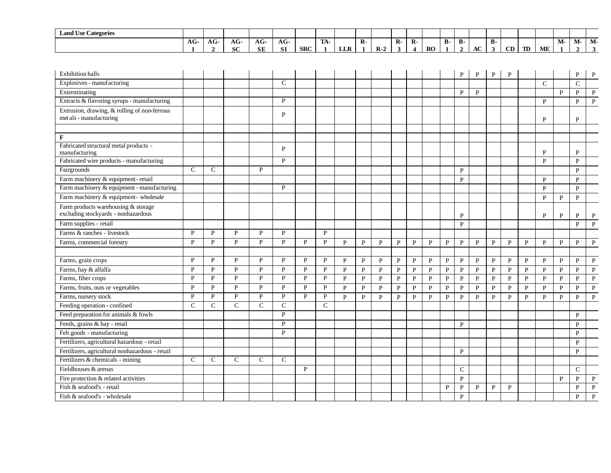| $\mathbf{r}$<br>$\sim$<br><b>Land Use Categories</b> |               |     |              |                   |            |            |                  |                          |              |               |    |                    |           |           |    |    |    |    |    |    |      |       |       |
|------------------------------------------------------|---------------|-----|--------------|-------------------|------------|------------|------------------|--------------------------|--------------|---------------|----|--------------------|-----------|-----------|----|----|----|----|----|----|------|-------|-------|
|                                                      | $\sim$<br>AG. | AG- | $\sim$<br>AG | $\sqrt{ }$<br>AG. | $AG-$      |            | <b>TRA</b><br>ЛA |                          | $\mathbf{R}$ |               | R- | $\mathbf{D}$<br>к- |           | Ð<br>- р- | D- |    | в. |    |    |    | IVI- | -IVI- | -IVI. |
|                                                      |               |     | <b>SC</b>    | <b>SE</b>         | C1<br>0. L | <b>SRC</b> |                  | <b>TTD</b><br><b>LLA</b> |              | D<br>- IX - 2 |    |                    | <b>RO</b> |           |    | AC |    | CD | TD | ME |      |       |       |

| <b>Exhibition halls</b>                                                    |               |              |              |               |               |              |               |              |              |              |              |              |              |              | P            | P            | $\mathbf{P}$ | P            |              |               |              | P              | P            |
|----------------------------------------------------------------------------|---------------|--------------|--------------|---------------|---------------|--------------|---------------|--------------|--------------|--------------|--------------|--------------|--------------|--------------|--------------|--------------|--------------|--------------|--------------|---------------|--------------|----------------|--------------|
| Explosives - manufacturing                                                 |               |              |              |               | $\mathcal{C}$ |              |               |              |              |              |              |              |              |              |              |              |              |              |              | $\mathcal{C}$ |              | $\overline{C}$ |              |
| Exterminating                                                              |               |              |              |               |               |              |               |              |              |              |              |              |              |              | P            | $\mathbf{P}$ |              |              |              |               | $\mathbf{p}$ | $\mathbf{p}$   | $\mathbf{P}$ |
| Extracts & flavoring syrups - manufacturing                                |               |              |              |               | P             |              |               |              |              |              |              |              |              |              |              |              |              |              |              | P             |              | P              | $\mathbf{P}$ |
| Extrusion, drawing, & rolling of non-ferrous<br>met als - manufacturing    |               |              |              |               | P             |              |               |              |              |              |              |              |              |              |              |              |              |              |              | P             |              | P              |              |
|                                                                            |               |              |              |               |               |              |               |              |              |              |              |              |              |              |              |              |              |              |              |               |              |                |              |
| F                                                                          |               |              |              |               |               |              |               |              |              |              |              |              |              |              |              |              |              |              |              |               |              |                |              |
| Fabricated structural metal products -<br>manufacturing                    |               |              |              |               | P             |              |               |              |              |              |              |              |              |              |              |              |              |              |              | $\mathbf{P}$  |              | P              |              |
| Fabricated wire products - manufacturing                                   |               |              |              |               | P             |              |               |              |              |              |              |              |              |              |              |              |              |              |              | $\mathbf{P}$  |              | P              |              |
| Fairgrounds                                                                | $\mathcal{C}$ | C            |              | P             |               |              |               |              |              |              |              |              |              |              | P            |              |              |              |              |               |              | P              |              |
| Farm machinery & equipment-retail                                          |               |              |              |               |               |              |               |              |              |              |              |              |              |              | P            |              |              |              |              | P             |              | P              |              |
| Farm machinery & equipment - manufacturing                                 |               |              |              |               | P             |              |               |              |              |              |              |              |              |              |              |              |              |              |              | P             |              | P              |              |
| Farm machinery & equipment- wholesale                                      |               |              |              |               |               |              |               |              |              |              |              |              |              |              |              |              |              |              |              | $\mathbf{P}$  | P            | $\mathbf{P}$   |              |
| Farm products warehousing & storage<br>excluding stockyards - nonhazardous |               |              |              |               |               |              |               |              |              |              |              |              |              |              | P            |              |              |              |              | P             | P            | P              | P            |
| Farm supplies - retail                                                     |               |              |              |               |               |              |               |              |              |              |              |              |              |              | P            |              |              |              |              |               |              | P              | $\mathbf{P}$ |
| Farms & ranches - livestock                                                | P             | D            | $\mathbf{p}$ | P             | P             |              | P             |              |              |              |              |              |              |              |              |              |              |              |              |               |              |                |              |
| Farms, commercial forestry                                                 | $\mathbf{P}$  | P            | P            | $\mathbf{P}$  | P             | P            | P             | P            | P            | P            | $\mathbf{P}$ | P            | P            | P            | $\mathbf{P}$ | $\mathbf{P}$ | $\mathbf{P}$ | P            | P            | P             | P            | P              | $\mathbf{P}$ |
|                                                                            |               |              |              |               |               |              |               |              |              |              |              |              |              |              |              |              |              |              |              |               |              |                |              |
| Farms, grain crops                                                         | P             | P            | P            | P             | P             | P            | P             | P            | P            | P            | $\mathbf{P}$ | P            | P            | $\mathbf{P}$ | $\mathbf{P}$ | P            | $\mathbf{P}$ | $\mathbf P$  | P            | P             | P            | P              | $\mathbf{P}$ |
| Farms, hay & alfalfa                                                       | $\mathbf{P}$  | P            | $\mathbf{P}$ | $\mathbf{P}$  | $\mathbf{P}$  | $\mathbf{P}$ | P             | $\mathbf{P}$ | $\mathbf{P}$ | $\mathbf{P}$ | $\mathbf{P}$ | $\mathbf{P}$ | $\mathbf{P}$ | $\mathbf{P}$ | $\, {\bf P}$ | $\mathbf{P}$ | ${\bf P}$    | ${\bf P}$    | $\mathbf{P}$ | $\mathbf{P}$  | $\mathbf{P}$ | P              | $\mathbf{P}$ |
| Farms, fiber crops                                                         | $\mathbf{P}$  | P            | $\mathbf{P}$ | $\mathbf{P}$  | $\mathbf{P}$  | $\mathbf{P}$ | P             | $\mathbf{P}$ | $\mathbf{P}$ | $\mathbf{P}$ | $\mathbf{P}$ | $\mathbf{P}$ | $\mathbf{P}$ | $\mathbf{P}$ | $\mathbf{P}$ | ${\bf P}$    | $\, {\bf P}$ | $\, {\bf P}$ | $\mathbf{P}$ | P             | P            | $\mathbf{P}$   | $\, {\bf P}$ |
| Farms, fruits, nuts or vegetables                                          | P             | P            | P            | $\mathbf{P}$  | P             | P            | P             | $\mathbf{P}$ | $\mathbf{P}$ | $\mathbf{P}$ | $\mathbf{P}$ | $\mathbf{P}$ | $\mathbf{P}$ | $\mathbf{P}$ | $\, {\bf P}$ | $\mathbf{P}$ | $\mathbf{P}$ | $\mathbf{P}$ | $\mathbf{P}$ | P             | $\mathbf{P}$ | $\mathbf{P}$   | $\mathbf{P}$ |
| Farms, nursery stock                                                       | $\mathbf{P}$  | P            | $\mathbf{P}$ | P             | $\mathbf{P}$  | $\mathbf{P}$ | P             | $\mathbf{p}$ | $\mathbf{P}$ | $\mathbf{P}$ | $\mathbf{P}$ | P            | P            | $\mathbf{P}$ | $\mathbf{P}$ | $\mathbf{P}$ | $\mathbf{P}$ | $\mathbf{P}$ | $\mathbf{p}$ | $\mathbf{P}$  | P            | P              | $\mathbf{P}$ |
| Feeding operation - confined                                               | $\mathcal{C}$ | $\mathsf{C}$ | $\mathbf C$  | $\mathcal{C}$ | $\mathcal{C}$ |              | $\mathcal{C}$ |              |              |              |              |              |              |              |              |              |              |              |              |               |              |                |              |
| Feed preparation for animals & fowls                                       |               |              |              |               | $\mathbf{P}$  |              |               |              |              |              |              |              |              |              |              |              |              |              |              |               |              | $\mathbf{P}$   |              |
| Feeds, grains & hay - retail                                               |               |              |              |               | P             |              |               |              |              |              |              |              |              |              | P            |              |              |              |              |               |              | P              |              |
| Felt goods - manufacturing                                                 |               |              |              |               | $\mathbf{P}$  |              |               |              |              |              |              |              |              |              |              |              |              |              |              |               |              | P              |              |
| Fertilizers, agricultural hazardous - retail                               |               |              |              |               |               |              |               |              |              |              |              |              |              |              |              |              |              |              |              |               |              | P              |              |
| Fertilizers, agricultural nonhazardous - retail                            |               |              |              |               |               |              |               |              |              |              |              |              |              |              | P            |              |              |              |              |               |              | $\mathbf{P}$   |              |
| Fertilizers & chemicals - mining                                           | $\mathbf C$   | $\mathsf C$  | ${\bf C}$    | $\mathcal{C}$ | $\mathbf C$   |              |               |              |              |              |              |              |              |              |              |              |              |              |              |               |              |                |              |
| Fieldhouses & arenas                                                       |               |              |              |               |               | P            |               |              |              |              |              |              |              |              | C            |              |              |              |              |               |              | $\mathsf{C}$   |              |
| Fire protection & related activities                                       |               |              |              |               |               |              |               |              |              |              |              |              |              |              | $\mathbf{P}$ |              |              |              |              |               | P            | $\mathbf{p}$   | P            |
| Fish & seafood's - retail                                                  |               |              |              |               |               |              |               |              |              |              |              |              |              | P            | $\mathbf P$  | $\mathbf P$  | $\mathbf P$  | P            |              |               |              | P              | P            |
| Fish & seafood's - wholesale                                               |               |              |              |               |               |              |               |              |              |              |              |              |              |              | $\mathbf{P}$ |              |              |              |              |               |              | P              | P            |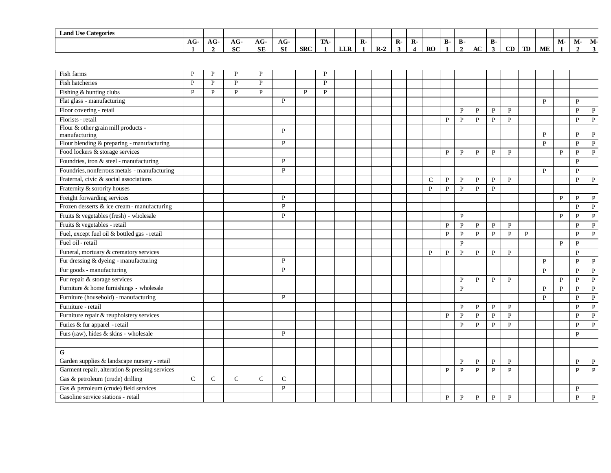| <b>Land Use Categories</b>                           | AG-          | $AG-$        | AG-          | AG-          | AG-          |              | TA-          |     | $\overline{R}$ |       | $\mathbf{R}$ - | $\overline{R}$          |              | <b>B-</b>    | <b>B-</b>         |              | <b>B-</b>         |                   |              |              |                    | М-           | M-                          |
|------------------------------------------------------|--------------|--------------|--------------|--------------|--------------|--------------|--------------|-----|----------------|-------|----------------|-------------------------|--------------|--------------|-------------------|--------------|-------------------|-------------------|--------------|--------------|--------------------|--------------|-----------------------------|
|                                                      |              | $\mathbf{2}$ | SC           | <b>SE</b>    | <b>SI</b>    | <b>SRC</b>   | $\mathbf{1}$ | LLR | $\mathbf{1}$   | $R-2$ | 3              | $\overline{\mathbf{4}}$ | RO           | $\mathbf{1}$ | $\overline{2}$    | AC           | $\mathbf{3}$      | CD                | <b>TD</b>    | ME           | M-<br>$\mathbf{1}$ | $\mathbf{2}$ | $\mathbf{3}$                |
|                                                      |              |              |              |              |              |              |              |     |                |       |                |                         |              |              |                   |              |                   |                   |              |              |                    |              |                             |
|                                                      |              | P            |              |              |              |              | P            |     |                |       |                |                         |              |              |                   |              |                   |                   |              |              |                    |              |                             |
| Fish farms                                           | P            |              | P            | P            |              |              |              |     |                |       |                |                         |              |              |                   |              |                   |                   |              |              |                    |              |                             |
| Fish hatcheries                                      | $\mathbf{P}$ | $\mathbf{P}$ | $\mathbf{P}$ | $\mathbf{P}$ |              |              | $\mathbf{P}$ |     |                |       |                |                         |              |              |                   |              |                   |                   |              |              |                    |              |                             |
| Fishing & hunting clubs                              | $\mathbf{P}$ | P            | $\mathbf{P}$ | $\mathbf{P}$ |              | $\mathbf{P}$ | P            |     |                |       |                |                         |              |              |                   |              |                   |                   |              |              |                    |              |                             |
| Flat glass - manufacturing                           |              |              |              |              | P            |              |              |     |                |       |                |                         |              |              |                   |              |                   |                   |              | P            |                    | P            |                             |
| Floor covering - retail                              |              |              |              |              |              |              |              |     |                |       |                |                         |              |              | $\, {\bf P}$      | $\, {\bf P}$ | $\mathbf{P}$      | $\mathbf{P}$      |              |              |                    | P            | $\, {\bf P}$                |
| Florists - retail                                    |              |              |              |              |              |              |              |     |                |       |                |                         |              | $\mathbf{P}$ | $\mathbf{P}$      | $\mathbf{P}$ | $\mathbf{P}$      | $\mathbf{P}$      |              |              |                    | $\mathbf{P}$ | $\mathbf{P}$                |
| Flour & other grain mill products -<br>manufacturing |              |              |              |              | P            |              |              |     |                |       |                |                         |              |              |                   |              |                   |                   |              | P            |                    | P            | $\mathbf P$                 |
| Flour blending & preparing - manufacturing           |              |              |              |              | P            |              |              |     |                |       |                |                         |              |              |                   |              |                   |                   |              | $\mathbf{P}$ |                    | P            | $\, {\bf P}$                |
| Food lockers & storage services                      |              |              |              |              |              |              |              |     |                |       |                |                         |              | ${\bf P}$    | $\mathbf{P}$      | $\mathbf{P}$ | $\mathbf{P}$      | $\mathbf{P}$      |              |              | $\mathbf{P}$       | $\mathbf{P}$ | $\mathbf{P}$                |
| Foundries, iron & steel - manufacturing              |              |              |              |              | P            |              |              |     |                |       |                |                         |              |              |                   |              |                   |                   |              |              |                    | P            |                             |
| Foundries, nonferrous metals - manufacturing         |              |              |              |              | $\mathbf{P}$ |              |              |     |                |       |                |                         |              |              |                   |              |                   |                   |              | $\mathbf{P}$ |                    | P            |                             |
| Fraternal, civic & social associations               |              |              |              |              |              |              |              |     |                |       |                |                         | $\mathsf{C}$ | P            | $\mathbf{P}$      | $\mathbf{P}$ | $\mathbf{P}$      | $\mathbf{P}$      |              |              |                    | P            | $\mathbf{P}$                |
| Fraternity & sorority houses                         |              |              |              |              |              |              |              |     |                |       |                |                         | $\mathbf{P}$ | $\, {\bf P}$ | $\mathbf{P}$      | $\mathbf{P}$ | $\mathbf{P}$      |                   |              |              |                    |              |                             |
| Freight forwarding services                          |              |              |              |              | P            |              |              |     |                |       |                |                         |              |              |                   |              |                   |                   |              |              | P                  | P            | $\mathbf{P}$                |
| Frozen desserts $\&$ ice cream - manufacturing       |              |              |              |              | $\mathbf{P}$ |              |              |     |                |       |                |                         |              |              |                   |              |                   |                   |              |              |                    | $\mathbf{P}$ | $\mathbf{P}$                |
| Fruits & vegetables (fresh) - wholesale              |              |              |              |              | $\mathbf{P}$ |              |              |     |                |       |                |                         |              |              | $\mathbf{P}$      |              |                   |                   |              |              | $\mathbf{P}$       | $\mathbf{P}$ | $\, {\bf P}$                |
| Fruits & vegetables - retail                         |              |              |              |              |              |              |              |     |                |       |                |                         |              | P            | $\mathbf{P}$      | P            | $\mathbf{P}$      | $\mathbf{P}$      |              |              |                    | P            | $\, {\bf P}$                |
| Fuel, except fuel oil & bottled gas - retail         |              |              |              |              |              |              |              |     |                |       |                |                         |              | $\mathbf{P}$ | $\mathbf{P}$      | ${\bf P}$    | $\mathbf{P}$      | $\mathbf{P}$      | $\mathbf{P}$ |              |                    | $\mathbf{p}$ | $\, {\bf P}$                |
| Fuel oil - retail                                    |              |              |              |              |              |              |              |     |                |       |                |                         |              |              | P                 |              |                   |                   |              |              | P                  | P            |                             |
| Funeral, mortuary & crematory services               |              |              |              |              |              |              |              |     |                |       |                |                         | $\mathbf{P}$ | $\, {\bf P}$ | $\mathbf{P}$      | $\, {\bf P}$ | $\mathbf{P}$      | $\mathbf{P}$      |              |              |                    | P            |                             |
| Fur dressing & dyeing - manufacturing                |              |              |              |              | P            |              |              |     |                |       |                |                         |              |              |                   |              |                   |                   |              | $\mathbf{P}$ |                    | $\mathbf{P}$ | $\, {\bf P}$                |
| Fur goods - manufacturing                            |              |              |              |              | P            |              |              |     |                |       |                |                         |              |              |                   |              |                   |                   |              | $\mathbf{P}$ |                    | $\mathbf{P}$ | $\mathbf{P}$                |
| Fur repair & storage services                        |              |              |              |              |              |              |              |     |                |       |                |                         |              |              |                   | $\mathbf{P}$ | $\mathbf{P}$      | $\mathbf{P}$      |              |              | $\mathbf{P}$       | $\mathbf{P}$ |                             |
| Furniture & home furnishings - wholesale             |              |              |              |              |              |              |              |     |                |       |                |                         |              |              | P<br>P            |              |                   |                   |              | P            | P                  | P            | $\, {\bf P}$                |
| Furniture (household) - manufacturing                |              |              |              |              | P            |              |              |     |                |       |                |                         |              |              |                   |              |                   |                   |              | P            |                    | $\mathbf{P}$ | $\mathbf{P}$                |
|                                                      |              |              |              |              |              |              |              |     |                |       |                |                         |              |              |                   |              |                   |                   |              |              |                    | $\mathbf{P}$ | $\, {\bf P}$                |
| Furniture - retail                                   |              |              |              |              |              |              |              |     |                |       |                |                         |              |              | P                 | P            | P                 | $\mathbf{P}$      |              |              |                    |              | $\, {\bf P}$                |
| Furniture repair & reupholstery services             |              |              |              |              |              |              |              |     |                |       |                |                         |              | P            | $\mathbf{P}$      | $\mathbf{P}$ | $\mathbf{P}$      | $\mathbf{P}$      |              |              |                    | P            | $\mathbf{P}$                |
| Furies & fur apparel - retail                        |              |              |              |              |              |              |              |     |                |       |                |                         |              |              | $\mathbf{P}$      | $\mathbf{P}$ | $\mathbf{P}$      | $\mathbf{P}$      |              |              |                    | P            | $\, {\bf P}$                |
| Furs (raw), hides & skins - wholesale                |              |              |              |              | P            |              |              |     |                |       |                |                         |              |              |                   |              |                   |                   |              |              |                    | P            |                             |
| G                                                    |              |              |              |              |              |              |              |     |                |       |                |                         |              |              |                   |              |                   |                   |              |              |                    |              |                             |
| Garden supplies & landscape nursery - retail         |              |              |              |              |              |              |              |     |                |       |                |                         |              |              |                   |              |                   |                   |              |              |                    | P            |                             |
| Garment repair, alteration & pressing services       |              |              |              |              |              |              |              |     |                |       |                |                         |              |              | P<br>$\mathbf{P}$ | $\mathbf{P}$ | P<br>$\mathbf{P}$ | P<br>$\mathbf{P}$ |              |              |                    | $\mathbf{P}$ | $\mathbf P$<br>$\mathbf{P}$ |
|                                                      |              |              |              |              |              |              |              |     |                |       |                |                         |              | P            |                   | $\, {\bf P}$ |                   |                   |              |              |                    |              |                             |
| Gas & petroleum (crude) drilling                     | $\mathbf C$  | C            | $\mathbf C$  | $\mathsf{C}$ | $\mathbf C$  |              |              |     |                |       |                |                         |              |              |                   |              |                   |                   |              |              |                    |              |                             |
| Gas & petroleum (crude) field services               |              |              |              |              | $\mathbf{P}$ |              |              |     |                |       |                |                         |              |              |                   |              |                   |                   |              |              |                    | P            |                             |
| Gasoline service stations - retail                   |              |              |              |              |              |              |              |     |                |       |                |                         |              | $\mathbf{P}$ | P                 | $\mathbf{P}$ | $\mathbf{P}$      | $\mathbf{P}$      |              |              |                    | P            | $\mathbf{P}$                |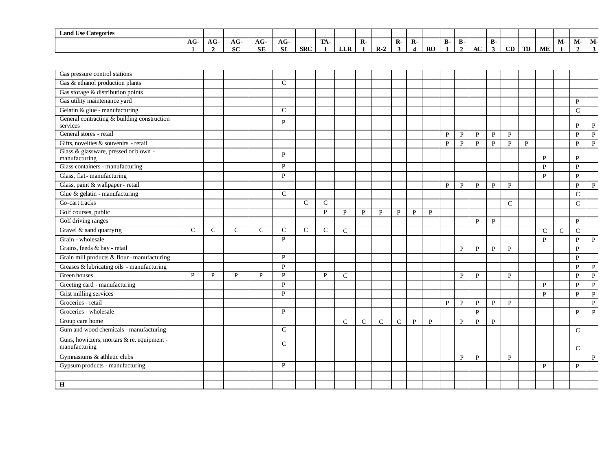| $\mathbf{r}$<br>$\sim$<br><b>Land Use Categories</b> |     |                     |                         |                  |                   |            |                     |            |    |       |    |         |           |            |    |              |    |    |    |    |    |                      |    |
|------------------------------------------------------|-----|---------------------|-------------------------|------------------|-------------------|------------|---------------------|------------|----|-------|----|---------|-----------|------------|----|--------------|----|----|----|----|----|----------------------|----|
|                                                      | AG- | $\mathbf{A}$<br>AU- | $\sim$<br>AG-           | $\sqrt{2}$<br>АU | $\sqrt{2}$<br>AG- |            | <b>COLLA</b><br>TW. |            | K. |       | R. | D<br>K. |           | Ð<br>- D - | D- |              | в. |    |    |    | М- | $\mathbf{A}$<br>IVI- | M- |
|                                                      |     |                     | $\alpha$ $\alpha$<br>0U | <b>SE</b>        | <b>SI</b>         | <b>SRC</b> |                     | <b>LLR</b> |    | $R-2$ |    |         | <b>RO</b> |            |    | $\sim$<br>AC | .э | CD | TD | ME |    |                      |    |

| Gas pressure control stations                               |   |   |               |   |               |               |               |               |              |               |               |              |   |              |              |              |              |               |              |               |               |               |              |
|-------------------------------------------------------------|---|---|---------------|---|---------------|---------------|---------------|---------------|--------------|---------------|---------------|--------------|---|--------------|--------------|--------------|--------------|---------------|--------------|---------------|---------------|---------------|--------------|
| Gas & ethanol production plants                             |   |   |               |   | $\mathcal{C}$ |               |               |               |              |               |               |              |   |              |              |              |              |               |              |               |               |               |              |
| Gas storage & distribution points                           |   |   |               |   |               |               |               |               |              |               |               |              |   |              |              |              |              |               |              |               |               |               |              |
| Gas utility maintenance yard                                |   |   |               |   |               |               |               |               |              |               |               |              |   |              |              |              |              |               |              |               |               | P             |              |
| Gelatin & glue - manufacturing                              |   |   |               |   | $\mathsf{C}$  |               |               |               |              |               |               |              |   |              |              |              |              |               |              |               |               | $\mathcal{C}$ |              |
| General contracting & building construction                 |   |   |               |   | P             |               |               |               |              |               |               |              |   |              |              |              |              |               |              |               |               |               |              |
| services                                                    |   |   |               |   |               |               |               |               |              |               |               |              |   |              |              |              |              |               |              |               |               | P             | P            |
| General stores - retail                                     |   |   |               |   |               |               |               |               |              |               |               |              |   | P            | P            | $\mathbf{P}$ | $\mathbf{P}$ | $\mathbf{P}$  |              |               |               | $\mathbf{P}$  | $\, {\bf P}$ |
| Gifts, novelties & souvenirs - retail                       |   |   |               |   |               |               |               |               |              |               |               |              |   | $\mathbf{P}$ | $\mathbf{P}$ | $\mathbf{P}$ | $\mathbf{P}$ | $\mathbf{P}$  | $\mathbf{P}$ |               |               | $\mathbf{P}$  | $\mathbf{P}$ |
| Glass & glassware, pressed or blown -<br>manufacturing      |   |   |               |   | P             |               |               |               |              |               |               |              |   |              |              |              |              |               |              | P             |               | P             |              |
| Glass containers - manufacturing                            |   |   |               |   | P             |               |               |               |              |               |               |              |   |              |              |              |              |               |              | $\mathbf{P}$  |               | $\mathbf{P}$  |              |
| Glass, flat-manufacturing                                   |   |   |               |   | P             |               |               |               |              |               |               |              |   |              |              |              |              |               |              | $\mathbf{P}$  |               | $\mathbf{P}$  |              |
| Glass, paint & wallpaper - retail                           |   |   |               |   |               |               |               |               |              |               |               |              |   | P            | P            | P            | P            | P             |              |               |               | P             | P            |
| Glue & gelatin - manufacturing                              |   |   |               |   | $\mathcal{C}$ |               |               |               |              |               |               |              |   |              |              |              |              |               |              |               |               | $\mathsf{C}$  |              |
| Go-cart tracks                                              |   |   |               |   |               | $\mathcal{C}$ | $\mathcal{C}$ |               |              |               |               |              |   |              |              |              |              | $\mathcal{C}$ |              |               |               | $\mathsf{C}$  |              |
| Golf courses, public                                        |   |   |               |   |               |               | P             | $\mathbf{P}$  | $\mathbf{P}$ | P             | $\mathbf{P}$  | $\mathbf{P}$ | P |              |              |              |              |               |              |               |               |               |              |
| Golf driving ranges                                         |   |   |               |   |               |               |               |               |              |               |               |              |   |              |              | P            | P            |               |              |               |               | $\mathbf{P}$  |              |
| Gravel & sand quarrying                                     | C | C | $\mathcal{C}$ | C | C             | C             | C             | $\mathcal{C}$ |              |               |               |              |   |              |              |              |              |               |              | $\mathcal{C}$ | $\mathcal{C}$ | $\mathcal{C}$ |              |
| Grain - wholesale                                           |   |   |               |   | $\mathbf{P}$  |               |               |               |              |               |               |              |   |              |              |              |              |               |              | P             |               | $\mathbf{P}$  | P            |
| Grains, feeds & hay - retail                                |   |   |               |   |               |               |               |               |              |               |               |              |   |              | P            | P            | $\mathbf{P}$ | $\mathbf{P}$  |              |               |               | $\mathbf{P}$  |              |
| Grain mill products $\&$ flour - manufacturing              |   |   |               |   | P             |               |               |               |              |               |               |              |   |              |              |              |              |               |              |               |               | P             |              |
| Greases & lubricating oils - manufacturing                  |   |   |               |   | P             |               |               |               |              |               |               |              |   |              |              |              |              |               |              |               |               | $\mathbf{P}$  | $\mathbf{P}$ |
| Green houses                                                | P | P | P             | P | P             |               | P             | $\mathcal{C}$ |              |               |               |              |   |              | P            | P            |              | $\mathbf{P}$  |              |               |               | $\mathbf{P}$  | $\mathbf{P}$ |
| Greeting card - manufacturing                               |   |   |               |   | P             |               |               |               |              |               |               |              |   |              |              |              |              |               |              | P             |               | P             | $\mathbf{P}$ |
| Grist milling services                                      |   |   |               |   | $\mathbf{P}$  |               |               |               |              |               |               |              |   |              |              |              |              |               |              | $\mathbf{p}$  |               | $\mathbf{p}$  | $\mathbf{P}$ |
| Groceries - retail                                          |   |   |               |   |               |               |               |               |              |               |               |              |   | P            | $\mathbf{P}$ | P            | $\mathbf{P}$ | $\mathbf{P}$  |              |               |               |               | P            |
| Groceries - wholesale                                       |   |   |               |   | P             |               |               |               |              |               |               |              |   |              |              | $\mathbf{P}$ |              |               |              |               |               | $\mathbf{P}$  | $\mathbf{P}$ |
| Group care home                                             |   |   |               |   |               |               |               | $\mathcal{C}$ | $\mathsf{C}$ | $\mathcal{C}$ | $\mathcal{C}$ | P            | P |              | P            | P            | P            |               |              |               |               |               |              |
| Gum and wood chemicals - manufacturing                      |   |   |               |   | $\mathsf{C}$  |               |               |               |              |               |               |              |   |              |              |              |              |               |              |               |               | $\mathsf{C}$  |              |
| Guns, howitzers, mortars & re. equipment -<br>manufacturing |   |   |               |   | $\mathcal{C}$ |               |               |               |              |               |               |              |   |              |              |              |              |               |              |               |               | $\mathcal{C}$ |              |
| Gymnasiums & athletic clubs                                 |   |   |               |   |               |               |               |               |              |               |               |              |   |              | P            | P            |              | $\mathbf{P}$  |              |               |               |               | $\mathbf{P}$ |
| Gypsum products - manufacturing                             |   |   |               |   | P             |               |               |               |              |               |               |              |   |              |              |              |              |               |              | P             |               | P             |              |
|                                                             |   |   |               |   |               |               |               |               |              |               |               |              |   |              |              |              |              |               |              |               |               |               |              |
| $\mathbf H$                                                 |   |   |               |   |               |               |               |               |              |               |               |              |   |              |              |              |              |               |              |               |               |               |              |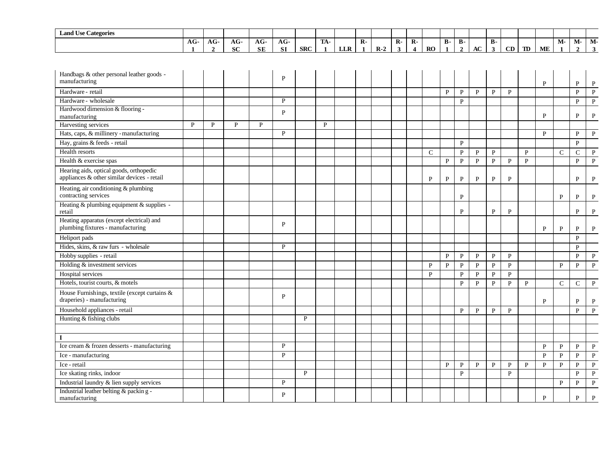| <b>Land Use Categories</b> |       |    |                   |               |                   |            |                    |     |    |       |    |    |           |    |    |    |           |    |    |    |    |      |    |
|----------------------------|-------|----|-------------------|---------------|-------------------|------------|--------------------|-----|----|-------|----|----|-----------|----|----|----|-----------|----|----|----|----|------|----|
|                            | $AG-$ | AG | $\sqrt{ }$<br>AG. | $\sim$<br>AG. | $\sqrt{ }$<br>AG- |            | <b>TELA</b><br>LA- |     | R- |       | R- | R- |           | в. | D- |    | <b>B-</b> |    |    |    | M- | IVI- | M- |
|                            |       |    | $_{\rm cr}$<br>0U | <b>SE</b>     | <b>SI</b>         | <b>SRC</b> |                    | LLR |    | $R-2$ |    |    | <b>RO</b> |    |    | AC |           | CD | TD | ME |    |      |    |

| Handbags & other personal leather goods -<br>manufacturing                             |   |   |   |   | P |              |   |  |  |               |              |              |              |              |              |              | P            |               | P              | P            |
|----------------------------------------------------------------------------------------|---|---|---|---|---|--------------|---|--|--|---------------|--------------|--------------|--------------|--------------|--------------|--------------|--------------|---------------|----------------|--------------|
| Hardware - retail                                                                      |   |   |   |   |   |              |   |  |  |               | $\mathbf{P}$ | $\, {\bf P}$ | $\, {\bf P}$ | $\, {\bf P}$ | $\mathbf{P}$ |              |              |               | $\mathbf{P}$   | $\mathbf{P}$ |
| Hardware - wholesale                                                                   |   |   |   |   | P |              |   |  |  |               |              | $\mathbf{P}$ |              |              |              |              |              |               | $\mathbf{P}$   | P            |
| Hardwood dimension & flooring -                                                        |   |   |   |   | P |              |   |  |  |               |              |              |              |              |              |              |              |               |                |              |
| manufacturing                                                                          |   |   |   |   |   |              |   |  |  |               |              |              |              |              |              |              | P            |               | P              | $\mathbf{P}$ |
| Harvesting services                                                                    | P | P | P | P |   |              | P |  |  |               |              |              |              |              |              |              |              |               |                |              |
| Hats, caps, & millinery - manufacturing                                                |   |   |   |   | P |              |   |  |  |               |              |              |              |              |              |              | P            |               | P              | $\mathbf{P}$ |
| Hay, grains & feeds - retail                                                           |   |   |   |   |   |              |   |  |  |               |              | $\mathbf{P}$ |              |              |              |              |              |               | $\mathbf{P}$   |              |
| Health resorts                                                                         |   |   |   |   |   |              |   |  |  | $\mathcal{C}$ |              | $\, {\bf P}$ | $\mathbf{P}$ | $\, {\bf P}$ |              | $\mathbf{P}$ |              | $\mathbf C$   | $\overline{C}$ | $\mathbf{P}$ |
| Health & exercise spas                                                                 |   |   |   |   |   |              |   |  |  |               | $\mathbf{P}$ | $\, {\bf P}$ | $\mathbf{P}$ | $\mathbf{P}$ | $\mathbf{P}$ | $\mathbf{P}$ |              |               | $\mathbf{P}$   | $\mathbf{P}$ |
| Hearing aids, optical goods, orthopedic<br>appliances & other similar devices - retail |   |   |   |   |   |              |   |  |  | P             | $\, {\bf P}$ | $\mathbf P$  | $\, {\bf P}$ | ${\bf P}$    | $\mathbf P$  |              |              |               | P              | P            |
| Heating, air conditioning & plumbing<br>contracting services                           |   |   |   |   |   |              |   |  |  |               |              | P            |              |              |              |              |              | P             | P              | P            |
| Heating & plumbing equipment & supplies -<br>retail                                    |   |   |   |   |   |              |   |  |  |               |              | $\mathbf{P}$ |              | $\, {\bf P}$ | $\mathbf P$  |              |              |               | P              | P            |
| Heating apparatus (except electrical) and<br>plumbing fixtures - manufacturing         |   |   |   |   | P |              |   |  |  |               |              |              |              |              |              |              | P            | P             | P              | P            |
| Heliport pads                                                                          |   |   |   |   |   |              |   |  |  |               |              |              |              |              |              |              |              |               | $\mathbf{P}$   |              |
| Hides, skins, & raw furs - wholesale                                                   |   |   |   |   | P |              |   |  |  |               |              |              |              |              |              |              |              |               | $\mathbf{P}$   |              |
| Hobby supplies - retail                                                                |   |   |   |   |   |              |   |  |  |               | $\mathbf{P}$ | $\mathbf{P}$ | $\mathbf{P}$ | $\mathbf{P}$ | P            |              |              |               | $\mathbf{P}$   | P            |
| Holding & investment services                                                          |   |   |   |   |   |              |   |  |  | $\mathbf{P}$  | $\mathbf{P}$ | $\, {\bf P}$ | $\mathbf{P}$ | $\, {\bf P}$ | $\, {\bf P}$ |              |              | $\mathbf{P}$  | $\mathbf{P}$   | $\mathbf{P}$ |
| Hospital services                                                                      |   |   |   |   |   |              |   |  |  | P             |              | $\mathbf{P}$ | P            | $\mathbf{P}$ | $\mathbf{P}$ |              |              |               |                |              |
| Hotels, tourist courts, & motels                                                       |   |   |   |   |   |              |   |  |  |               |              | $\mathbf{P}$ | $\mathbf{P}$ | $\mathbf{P}$ | $\mathbf{P}$ | $\mathbf{P}$ |              | $\mathcal{C}$ | $\mathsf{C}$   | P            |
| House Furnishings, textile (except curtains &<br>draperies) - manufacturing            |   |   |   |   | P |              |   |  |  |               |              |              |              |              |              |              | P            |               | P              | P            |
| Household appliances - retail                                                          |   |   |   |   |   |              |   |  |  |               |              | $\mathbf{P}$ | P            | P            | $\mathbf{P}$ |              |              |               | P              | P            |
| Hunting & fishing clubs                                                                |   |   |   |   |   | $\mathbf{P}$ |   |  |  |               |              |              |              |              |              |              |              |               |                |              |
|                                                                                        |   |   |   |   |   |              |   |  |  |               |              |              |              |              |              |              |              |               |                |              |
| $\bf{I}$                                                                               |   |   |   |   |   |              |   |  |  |               |              |              |              |              |              |              |              |               |                |              |
| Ice cream & frozen desserts - manufacturing                                            |   |   |   |   | P |              |   |  |  |               |              |              |              |              |              |              | $\mathbf{P}$ | $\mathbf{p}$  | $\mathbf{P}$   | $\mathbf{P}$ |
| Ice - manufacturing                                                                    |   |   |   |   | P |              |   |  |  |               |              |              |              |              |              |              | $\mathbf{P}$ | $\mathbf{P}$  | $\mathbf{P}$   | $\, {\bf P}$ |
| Ice - retail                                                                           |   |   |   |   |   |              |   |  |  |               | $\mathbf{P}$ | $\, {\bf P}$ | $\mathbf{P}$ | $\mathbf{P}$ | $\mathbf{P}$ | $\mathbf{P}$ | $\mathbf{P}$ | $\mathbf{P}$  | P              | $\, {\bf P}$ |
| Ice skating rinks, indoor                                                              |   |   |   |   |   | P            |   |  |  |               |              | $\mathbf{P}$ |              |              | $\mathbf{P}$ |              |              |               | $\mathbf{p}$   | $\mathbf{P}$ |
| Industrial laundry & lien supply services                                              |   |   |   |   | P |              |   |  |  |               |              |              |              |              |              |              |              | P             | P              | $\mathbf{P}$ |
| Industrial leather belting & packing -<br>manufacturing                                |   |   |   |   | P |              |   |  |  |               |              |              |              |              |              |              | P            |               | P              | P            |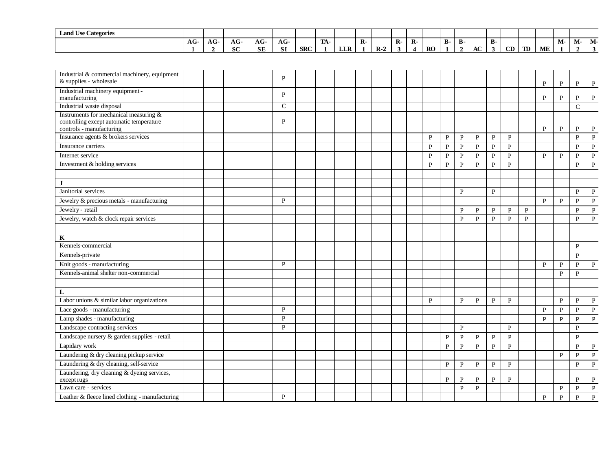| <b>Land Use Categories</b>                                                                                     |              |                |           |           |              |            |              |            |                |       |              |                         |              |              |                |              |                         |              |    |               |              |                |              |
|----------------------------------------------------------------------------------------------------------------|--------------|----------------|-----------|-----------|--------------|------------|--------------|------------|----------------|-------|--------------|-------------------------|--------------|--------------|----------------|--------------|-------------------------|--------------|----|---------------|--------------|----------------|--------------|
|                                                                                                                | $AG-$        | AG-            | $AG-$     | AG-       | AG-          |            | TA-          |            | $\mathbf{R}$ - |       | $\mathbf{R}$ | $\mathbf{R}$            |              | <b>B-</b>    | <b>B-</b>      |              | <b>B-</b>               |              |    |               | $M-$         | М-             | $M-$         |
|                                                                                                                | $\mathbf{1}$ | $\overline{2}$ | <b>SC</b> | <b>SE</b> | <b>SI</b>    | <b>SRC</b> | $\mathbf{1}$ | <b>LLR</b> | $\blacksquare$ | $R-2$ | $\mathbf{3}$ | $\overline{\mathbf{4}}$ | RO           | $\mathbf{1}$ | $\overline{2}$ | $\bf AC$     | $\overline{\mathbf{3}}$ | CD           | TD | $\mathbf{ME}$ | $\mathbf{1}$ | $\overline{2}$ | $\mathbf{3}$ |
|                                                                                                                |              |                |           |           |              |            |              |            |                |       |              |                         |              |              |                |              |                         |              |    |               |              |                |              |
| Industrial & commercial machinery, equipment                                                                   |              |                |           |           |              |            |              |            |                |       |              |                         |              |              |                |              |                         |              |    |               |              |                |              |
| & supplies - wholesale                                                                                         |              |                |           |           | ${\bf P}$    |            |              |            |                |       |              |                         |              |              |                |              |                         |              |    | P             | P            | P              | P            |
| Industrial machinery equipment -<br>manufacturing                                                              |              |                |           |           | $\mathbf{P}$ |            |              |            |                |       |              |                         |              |              |                |              |                         |              |    | $\mathbf{P}$  | $\mathbf{P}$ | $\, {\bf P}$   | $\, {\bf P}$ |
| Industrial waste disposal                                                                                      |              |                |           |           | $\mathsf{C}$ |            |              |            |                |       |              |                         |              |              |                |              |                         |              |    |               |              | $\overline{C}$ |              |
| Instruments for mechanical measuring &<br>controlling except automatic temperature<br>controls - manufacturing |              |                |           |           | P            |            |              |            |                |       |              |                         |              |              |                |              |                         |              |    | P             | $\mathbf{P}$ | $\mathbf P$    | $\mathbf{P}$ |
| Insurance agents & brokers services                                                                            |              |                |           |           |              |            |              |            |                |       |              |                         | P            | $\mathbf{P}$ | $\mathbf{P}$   | $\mathbf{P}$ | $\mathbf{P}$            | $\mathbf{P}$ |    |               |              | $\mathbf{P}$   | $\, {\bf P}$ |
| Insurance carriers                                                                                             |              |                |           |           |              |            |              |            |                |       |              |                         | $\mathbf{P}$ | $\, {\bf P}$ | $\, {\bf P}$   | $\mathbf{P}$ | $\mathbf{P}$            | $\mathbf{P}$ |    |               |              | P              | $\mathbf P$  |
| Internet service                                                                                               |              |                |           |           |              |            |              |            |                |       |              |                         | $\mathbf{P}$ | $\, {\bf P}$ | $\, {\bf P}$   | $\, {\bf P}$ | $\mathbf{P}$            | $\mathbf{P}$ |    | $\mathbf{P}$  | ${\bf P}$    | $\mathbf{P}$   | $\, {\bf P}$ |
| Investment & holding services                                                                                  |              |                |           |           |              |            |              |            |                |       |              |                         | $\mathbf{P}$ | $\mathbf{P}$ | $\mathbf{P}$   | $\mathbf{P}$ | $\mathbf{P}$            | $\mathbf{P}$ |    |               |              | $\mathbf{P}$   | $\, {\bf P}$ |
|                                                                                                                |              |                |           |           |              |            |              |            |                |       |              |                         |              |              |                |              |                         |              |    |               |              |                |              |
| $\mathbf{J}$                                                                                                   |              |                |           |           |              |            |              |            |                |       |              |                         |              |              |                |              |                         |              |    |               |              |                |              |
| Janitorial services                                                                                            |              |                |           |           |              |            |              |            |                |       |              |                         |              |              | $\mathbf{P}$   |              | $\mathbf{P}$            |              |    |               |              | P              | $\mathbf{P}$ |
| Jewelry & precious metals - manufacturing                                                                      |              |                |           |           | P            |            |              |            |                |       |              |                         |              |              |                |              |                         |              |    | $\mathbf{P}$  | ${\bf P}$    | $\mathbf{P}$   | $\, {\bf P}$ |
| Jewelry - retail                                                                                               |              |                |           |           |              |            |              |            |                |       |              |                         |              |              | P              | $\mathbf{P}$ | P                       | P            | P  |               |              | $\mathbf{P}$   | $\, {\bf P}$ |
| Jewelry, watch & clock repair services                                                                         |              |                |           |           |              |            |              |            |                |       |              |                         |              |              | $\mathbf{P}$   | $\mathbf{P}$ | P                       | $\mathbf{P}$ | P  |               |              | P              | $\mathbf{P}$ |
|                                                                                                                |              |                |           |           |              |            |              |            |                |       |              |                         |              |              |                |              |                         |              |    |               |              |                |              |
| K                                                                                                              |              |                |           |           |              |            |              |            |                |       |              |                         |              |              |                |              |                         |              |    |               |              |                |              |
| Kennels-commercial                                                                                             |              |                |           |           |              |            |              |            |                |       |              |                         |              |              |                |              |                         |              |    |               |              | $\mathbf{P}$   |              |
| Kennels-private                                                                                                |              |                |           |           |              |            |              |            |                |       |              |                         |              |              |                |              |                         |              |    |               |              | $\mathbf{P}$   |              |
| Knit goods - manufacturing                                                                                     |              |                |           |           | $\mathbf{P}$ |            |              |            |                |       |              |                         |              |              |                |              |                         |              |    | P             | $\mathbf{P}$ | $\mathbf{P}$   | $\, {\bf P}$ |
| Kennels-animal shelter non-commercial                                                                          |              |                |           |           |              |            |              |            |                |       |              |                         |              |              |                |              |                         |              |    |               | $\mathbf{P}$ | $\mathbf{P}$   |              |
|                                                                                                                |              |                |           |           |              |            |              |            |                |       |              |                         |              |              |                |              |                         |              |    |               |              |                |              |
| L                                                                                                              |              |                |           |           |              |            |              |            |                |       |              |                         |              |              |                |              |                         |              |    |               |              |                |              |
| Labor unions & similar labor organizations                                                                     |              |                |           |           |              |            |              |            |                |       |              |                         | $\mathbf{p}$ |              | $\mathbf{P}$   | $\, {\bf P}$ | $\mathbf{P}$            | $\mathbf{P}$ |    |               | $\mathbf{P}$ | $\mathbf{P}$   | $\, {\bf P}$ |
| Lace goods - manufacturing                                                                                     |              |                |           |           | P            |            |              |            |                |       |              |                         |              |              |                |              |                         |              |    | $\mathbf{P}$  | $\mathbf{P}$ | $\mathbf{P}$   | $\, {\bf P}$ |
| Lamp shades - manufacturing                                                                                    |              |                |           |           | $\mathbf{P}$ |            |              |            |                |       |              |                         |              |              |                |              |                         |              |    | P             | P            | P              | $\mathbf{P}$ |
| Landscape contracting services                                                                                 |              |                |           |           | $\mathbf{P}$ |            |              |            |                |       |              |                         |              |              | $\mathbf{P}$   |              |                         | $\mathbf{P}$ |    |               |              | $\mathbf{P}$   |              |
| Landscape nursery & garden supplies - retail                                                                   |              |                |           |           |              |            |              |            |                |       |              |                         |              | $\, {\bf P}$ | $\mathbf{P}$   | $\mathbf{P}$ | $\mathbf{P}$            | $\mathbf{P}$ |    |               |              | $\mathbf{P}$   |              |
| Lapidary work                                                                                                  |              |                |           |           |              |            |              |            |                |       |              |                         |              | ${\bf P}$    | $\, {\bf P}$   | $\, {\bf P}$ | $\mathbf{P}$            | ${\bf P}$    |    |               |              | $\mathbf{P}$   | ${\bf P}$    |
| Laundering & dry cleaning pickup service                                                                       |              |                |           |           |              |            |              |            |                |       |              |                         |              |              |                |              |                         |              |    |               | $\mathbf{P}$ | $\mathbf{P}$   | $\, {\bf P}$ |
| Laundering & dry cleaning, self-service                                                                        |              |                |           |           |              |            |              |            |                |       |              |                         |              | $\mathbf{P}$ | $\mathbf{P}$   | P            | P                       | P            |    |               |              | P              | $\mathbf{P}$ |
| Laundering, dry cleaning & dyeing services,<br>except rugs                                                     |              |                |           |           |              |            |              |            |                |       |              |                         |              | P            | $\mathbf{P}$   | P            | $\mathbf{P}$            | P            |    |               |              | P              | P            |
| Lawn care - services                                                                                           |              |                |           |           |              |            |              |            |                |       |              |                         |              |              | $\mathbf{P}$   | $\mathbf{P}$ |                         |              |    |               | P            | $\mathbf{P}$   | $\, {\bf P}$ |
| Leather & fleece lined clothing - manufacturing                                                                |              |                |           |           | $\mathbf{P}$ |            |              |            |                |       |              |                         |              |              |                |              |                         |              |    | $\mathbf{P}$  | ${\bf P}$    | $\mathbf{P}$   | $\mathbf{P}$ |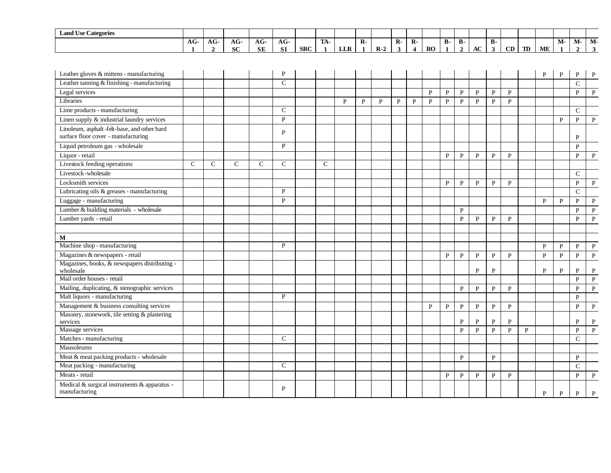| <b>Land Use Categories</b>                                                         |             |                     |                    |                  |                  |            |                     |              |              |              |                   |                                  |              |              |                              |              |                           |              |                      |           |              |                        |                      |
|------------------------------------------------------------------------------------|-------------|---------------------|--------------------|------------------|------------------|------------|---------------------|--------------|--------------|--------------|-------------------|----------------------------------|--------------|--------------|------------------------------|--------------|---------------------------|--------------|----------------------|-----------|--------------|------------------------|----------------------|
|                                                                                    | $AG-$       | AG-<br>$\mathbf{2}$ | $AG-$<br><b>SC</b> | AG-<br><b>SE</b> | AG-<br><b>SI</b> | <b>SRC</b> | TA-<br>$\mathbf{1}$ | <b>LLR</b>   | $\mathbf{R}$ | $R-2$        | $\mathbf{R}$<br>3 | $R -$<br>$\overline{\mathbf{4}}$ | RO           | <b>B-</b>    | <b>B</b> -<br>$\overline{2}$ | $\bf AC$     | <b>B-</b><br>$\mathbf{3}$ | CD           | $\mathbf T\mathbf D$ | <b>ME</b> | M-           | $M-$<br>$\overline{2}$ | $M-$<br>$\mathbf{3}$ |
|                                                                                    |             |                     |                    |                  |                  |            |                     |              |              |              |                   |                                  |              |              |                              |              |                           |              |                      |           |              |                        |                      |
| Leather gloves & mittens - manufacturing                                           |             |                     |                    |                  | P                |            |                     |              |              |              |                   |                                  |              |              |                              |              |                           |              |                      | P         | P            | P                      | P                    |
| Leather tanning & finishing - manufacturing                                        |             |                     |                    |                  | $\mathcal{C}$    |            |                     |              |              |              |                   |                                  |              |              |                              |              |                           |              |                      |           |              | $\mathcal{C}$          |                      |
| Legal services                                                                     |             |                     |                    |                  |                  |            |                     |              |              |              |                   |                                  | P            | P            | P                            | P            | $\mathbf{P}$              | P            |                      |           |              | $\mathbf{P}$           | $\mathbf{P}$         |
| Libraries                                                                          |             |                     |                    |                  |                  |            |                     | $\mathbf{P}$ | $\mathbf{P}$ | $\mathbf{P}$ | $\mathbf{P}$      | $\mathbf{P}$                     | $\mathbf{P}$ | $\mathbf{P}$ | $\mathbf{P}$                 | $\mathbf{P}$ | $\mathbf{P}$              | $\mathbf{P}$ |                      |           |              |                        |                      |
| Lime products - manufacturing                                                      |             |                     |                    |                  | $\mathsf{C}$     |            |                     |              |              |              |                   |                                  |              |              |                              |              |                           |              |                      |           |              | $\mathcal{C}$          |                      |
| Linen supply & industrial laundry services                                         |             |                     |                    |                  | P                |            |                     |              |              |              |                   |                                  |              |              |                              |              |                           |              |                      |           | P            | $\mathbf{P}$           | $\mathbf{P}$         |
| Linoleum, asphalt-felt-base, and other hard<br>surface floor cover - manufacturing |             |                     |                    |                  | $\mathbf{P}$     |            |                     |              |              |              |                   |                                  |              |              |                              |              |                           |              |                      |           |              | P                      |                      |
| Liquid petroleum gas - wholesale                                                   |             |                     |                    |                  | $\, {\bf P}$     |            |                     |              |              |              |                   |                                  |              |              |                              |              |                           |              |                      |           |              | P                      |                      |
| Liquor - retail                                                                    |             |                     |                    |                  |                  |            |                     |              |              |              |                   |                                  |              | P            | $\mathbf{P}$                 | $\mathbf{P}$ | P                         | P            |                      |           |              | $\mathbf{P}$           | $\mathbf{P}$         |
| Livestock feeding operations                                                       | $\mathbf C$ | $\mathsf{C}$        | $\mathbf C$        | $\mathcal{C}$    | $\mathcal{C}$    |            | $\mathcal{C}$       |              |              |              |                   |                                  |              |              |                              |              |                           |              |                      |           |              |                        |                      |
| Livestock-wholesale                                                                |             |                     |                    |                  |                  |            |                     |              |              |              |                   |                                  |              |              |                              |              |                           |              |                      |           |              | $\mathcal{C}$          |                      |
| Locksmith services                                                                 |             |                     |                    |                  |                  |            |                     |              |              |              |                   |                                  |              | $\mathbf{P}$ | $\mathbf{P}$                 | $\mathbf{P}$ | $\mathbf{P}$              | $\mathbf{P}$ |                      |           |              | $\mathbf{P}$           | $\, {\bf P}$         |
| Lubricating oils & greases - manufacturing                                         |             |                     |                    |                  | P                |            |                     |              |              |              |                   |                                  |              |              |                              |              |                           |              |                      |           |              | $\mathbf C$            |                      |
| Luggage - manufacturing                                                            |             |                     |                    |                  | $\mathbf{P}$     |            |                     |              |              |              |                   |                                  |              |              |                              |              |                           |              |                      | P         | P            | P                      | P                    |
| Lumber & building materials - wholesale                                            |             |                     |                    |                  |                  |            |                     |              |              |              |                   |                                  |              |              | $\mathbf{P}$                 |              |                           |              |                      |           |              | $\mathbf{P}$           | $\mathbf{P}$         |
| Lumber yards - retail                                                              |             |                     |                    |                  |                  |            |                     |              |              |              |                   |                                  |              |              | $\mathbf{P}$                 | $\mathbf{P}$ | $\mathbf{P}$              | P            |                      |           |              | P                      | $\mathbf{P}$         |
|                                                                                    |             |                     |                    |                  |                  |            |                     |              |              |              |                   |                                  |              |              |                              |              |                           |              |                      |           |              |                        |                      |
| М                                                                                  |             |                     |                    |                  |                  |            |                     |              |              |              |                   |                                  |              |              |                              |              |                           |              |                      |           |              |                        |                      |
| Machine shop - manufacturing                                                       |             |                     |                    |                  | P                |            |                     |              |              |              |                   |                                  |              |              |                              |              |                           |              |                      | P         | $\mathbf{P}$ | P                      | $\mathbf{P}$         |
| Magazines & newspapers - retail                                                    |             |                     |                    |                  |                  |            |                     |              |              |              |                   |                                  |              | P            | $\mathbf{P}$                 | P            | P                         | $\mathbf{P}$ |                      | P         | $\mathbf{P}$ | P                      | P                    |
| Magazines, books, & newspapers distributing -<br>wholesale                         |             |                     |                    |                  |                  |            |                     |              |              |              |                   |                                  |              |              |                              | P            | $\mathbf{P}$              |              |                      | P         | $\mathbf{P}$ | P                      | $\mathbf{P}$         |
| Mail order houses - retail                                                         |             |                     |                    |                  |                  |            |                     |              |              |              |                   |                                  |              |              |                              |              |                           |              |                      |           |              | $\mathbf{P}$           | $\mathbf{P}$         |
| Mailing, duplicating, & stenographic services                                      |             |                     |                    |                  |                  |            |                     |              |              |              |                   |                                  |              |              | $\mathbf{P}$                 | P            | $\mathbf{P}$              | $\mathbf{P}$ |                      |           |              | $\mathbf{P}$           | $\mathbf{P}$         |
| Malt liquors - manufacturing                                                       |             |                     |                    |                  | P                |            |                     |              |              |              |                   |                                  |              |              |                              |              |                           |              |                      |           |              | P                      |                      |
| Management & business consulting services                                          |             |                     |                    |                  |                  |            |                     |              |              |              |                   |                                  | P            | P            | $\mathbf{P}$                 | $\mathbf{P}$ | $\mathbf{P}$              | $\, {\bf P}$ |                      |           |              | $\mathbf{P}$           | $\mathbf{P}$         |
| Masonry, stonework, tile setting & plastering                                      |             |                     |                    |                  |                  |            |                     |              |              |              |                   |                                  |              |              |                              |              |                           |              |                      |           |              |                        |                      |
| services                                                                           |             |                     |                    |                  |                  |            |                     |              |              |              |                   |                                  |              |              | P                            | P            | P                         | $\mathbf P$  |                      |           |              | P                      | $\, {\bf P}$         |
| Massage services                                                                   |             |                     |                    |                  | $\mathcal{C}$    |            |                     |              |              |              |                   |                                  |              |              | $\mathbf{P}$                 | $\mathbf{P}$ | $\mathbf{P}$              | $\mathbf P$  | $\mathbf{P}$         |           |              | $\, {\bf P}$           | $\, {\bf P}$         |
| Matches - manufacturing                                                            |             |                     |                    |                  |                  |            |                     |              |              |              |                   |                                  |              |              |                              |              |                           |              |                      |           |              | $\mathsf{C}$           |                      |
| Mausoleums                                                                         |             |                     |                    |                  |                  |            |                     |              |              |              |                   |                                  |              |              |                              |              |                           |              |                      |           |              |                        |                      |
| Meat & meat packing products - wholesale                                           |             |                     |                    |                  |                  |            |                     |              |              |              |                   |                                  |              |              | P                            |              | $\mathbf{P}$              |              |                      |           |              | $\mathbf{P}$           |                      |
| Meat packing - manufacturing                                                       |             |                     |                    |                  | $\mathcal{C}$    |            |                     |              |              |              |                   |                                  |              |              |                              |              |                           |              |                      |           |              | $\mathbf C$            |                      |
| Meats - retail                                                                     |             |                     |                    |                  |                  |            |                     |              |              |              |                   |                                  |              | $\mathbf{P}$ | ${\bf P}$                    | $\mathbf{P}$ | $\mathbf{P}$              | $\mathbf{P}$ |                      |           |              | P                      | $\mathbf{P}$         |
| Medical & surgical instruments & apparatus -<br>manufacturing                      |             |                     |                    |                  | P                |            |                     |              |              |              |                   |                                  |              |              |                              |              |                           |              |                      | P         | P            | P                      | P                    |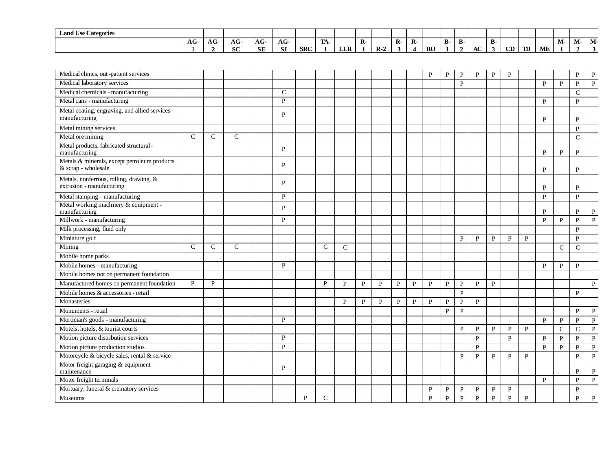| $\mathbf{r}$<br>$\sim$<br><b>Land Use Categories</b> |               |     |              |                  |           |            |                  |                          |             |    |       |          |           |         |         |                  |    |    |    |    |    |      |                        |
|------------------------------------------------------|---------------|-----|--------------|------------------|-----------|------------|------------------|--------------------------|-------------|----|-------|----------|-----------|---------|---------|------------------|----|----|----|----|----|------|------------------------|
|                                                      | $\sim$<br>AG- | AG- | $\sim$<br>АU | $\sqrt{ }$<br>AG | $AG-$     |            | <b>TRA</b><br>ПA |                          | $\mathbf R$ |    | $R -$ | D<br>- д |           | Ð<br>D- | m<br>D- |                  | В٠ |    |    |    | M- | IVI- | $\sim$ $\sim$<br>-IVI. |
|                                                      |               |     | <b>SC</b>    | <b>SE</b>        | <b>SI</b> | <b>SRC</b> |                  | <b>TTD</b><br><b>LLA</b> |             | R- |       |          | <b>RO</b> |         |         | $\sqrt{ }$<br>AC |    | CD | TD | ME |    |      |                        |

| Medical clinics, out -patient services                               |               |               |               |   |   |              |              |   |   |   |   | P            | P            | P            | P            | P            | P            |              |              |              | P             | P            |
|----------------------------------------------------------------------|---------------|---------------|---------------|---|---|--------------|--------------|---|---|---|---|--------------|--------------|--------------|--------------|--------------|--------------|--------------|--------------|--------------|---------------|--------------|
| Medical laboratory services                                          |               |               |               |   |   |              |              |   |   |   |   |              |              | P            |              |              |              |              | P            | $\mathbf{P}$ | P             | $\mathbf{P}$ |
| Medical chemicals - manufacturing                                    |               |               |               | C |   |              |              |   |   |   |   |              |              |              |              |              |              |              |              |              | $\mathcal{C}$ |              |
| Metal cans - manufacturing                                           |               |               |               | P |   |              |              |   |   |   |   |              |              |              |              |              |              |              | P            |              | P             |              |
| Metal coating, engraving, and allied services -<br>manufacturing     |               |               |               | P |   |              |              |   |   |   |   |              |              |              |              |              |              |              | P            |              | P             |              |
| Metal mining services                                                |               |               |               |   |   |              |              |   |   |   |   |              |              |              |              |              |              |              |              |              | $\mathbf{P}$  |              |
| Metal ore mining                                                     | $\mathcal{C}$ | $\mathsf{C}$  | $\mathcal{C}$ |   |   |              |              |   |   |   |   |              |              |              |              |              |              |              |              |              | $\mathsf{C}$  |              |
| Metal products, fabricated structural-<br>manufacturing              |               |               |               | P |   |              |              |   |   |   |   |              |              |              |              |              |              |              | P            | P            | P             |              |
| Metals & minerals, except petroleum products<br>& scrap - wholesale  |               |               |               | P |   |              |              |   |   |   |   |              |              |              |              |              |              |              | P            |              | P             |              |
| Metals, nonferrous, rolling, drawing, &<br>extrusion - manufacturing |               |               |               | P |   |              |              |   |   |   |   |              |              |              |              |              |              |              | P            |              | P             |              |
| Metal stamping - manufacturing                                       |               |               |               | P |   |              |              |   |   |   |   |              |              |              |              |              |              |              | $\mathbf{P}$ |              | $\mathbf{P}$  |              |
| Metal working machinery & equipment -<br>manufacturing               |               |               |               | P |   |              |              |   |   |   |   |              |              |              |              |              |              |              | P            |              | P             | P            |
| Millwork - manufacturing                                             |               |               |               | P |   |              |              |   |   |   |   |              |              |              |              |              |              |              | P            | P            | P             | P            |
| Milk processing, fluid only                                          |               |               |               |   |   |              |              |   |   |   |   |              |              |              |              |              |              |              |              |              | $\mathbf{P}$  |              |
| Miniature golf                                                       |               |               |               |   |   |              |              |   |   |   |   |              |              | P            | P            | $\mathbf{P}$ | $\mathbf{P}$ | P            |              |              | $\mathbf{P}$  |              |
| Mining                                                               | $\mathcal{C}$ | $\mathcal{C}$ | $\mathcal{C}$ |   |   | $\mathsf{C}$ | $\mathsf{C}$ |   |   |   |   |              |              |              |              |              |              |              |              | $\mathsf{C}$ | $\mathsf{C}$  |              |
| Mobile home parks                                                    |               |               |               |   |   |              |              |   |   |   |   |              |              |              |              |              |              |              |              |              |               |              |
| Mobile homes - manufacturing                                         |               |               |               | P |   |              |              |   |   |   |   |              |              |              |              |              |              |              | P            | $\mathbf{P}$ | P             |              |
| Mobile homes not on permanent foundation                             |               |               |               |   |   |              |              |   |   |   |   |              |              |              |              |              |              |              |              |              |               |              |
| Manufactured homes on permanent foundation                           | P             | P             |               |   |   | P            | P            | P | P | P | P | P            | P            | P            | P            | P            |              |              |              |              |               | P            |
| Mobile homes & accessories - retail                                  |               |               |               |   |   |              |              |   |   |   |   |              |              | P            |              |              |              |              |              |              | P             |              |
| Monasteries                                                          |               |               |               |   |   |              | P            | P | P | P | P | P            | P            | P            | P            |              |              |              |              |              |               |              |
| Monuments - retail                                                   |               |               |               |   |   |              |              |   |   |   |   |              | P            | P            |              |              |              |              |              |              | P             | $\mathbf{P}$ |
| Mortician's goods - manufacturing                                    |               |               |               | P |   |              |              |   |   |   |   |              |              |              |              |              |              |              | $\mathbf{P}$ | $\mathbf{P}$ | P             | $\mathbf{P}$ |
| Motels, hotels, & tourist courts                                     |               |               |               |   |   |              |              |   |   |   |   |              |              | P            | $\mathbf{P}$ | P            | $\mathbf{P}$ | P            |              | $\mathsf{C}$ | $\mathsf{C}$  | $\mathbf{P}$ |
| Motion picture distribution services                                 |               |               |               | P |   |              |              |   |   |   |   |              |              |              | $\mathbf{P}$ |              | P            |              | $\mathbf{P}$ | $\mathbf{P}$ | P             | $\mathbf{P}$ |
| Motion picture production studios                                    |               |               |               | P |   |              |              |   |   |   |   |              |              |              | P            |              |              |              | $\mathbf{P}$ | ${\bf P}$    | $\mathbf{P}$  | $\, {\bf P}$ |
| Motorcycle & bicycle sales, rental & service                         |               |               |               |   |   |              |              |   |   |   |   |              |              | P            | $\mathbf{P}$ | $\mathbf{P}$ | $\mathbf{P}$ | $\mathbf{P}$ |              |              | $\mathbf{P}$  | $\, {\bf P}$ |
| Motor freight garaging & equipment<br>maintenance                    |               |               |               | P |   |              |              |   |   |   |   |              |              |              |              |              |              |              |              |              | P             | $\mathbf{P}$ |
| Motor freight terminals                                              |               |               |               |   |   |              |              |   |   |   |   |              |              |              |              |              |              |              | P            |              | P             | $\mathbf{P}$ |
| Mortuary, funeral & crematory services                               |               |               |               |   |   |              |              |   |   |   |   | P            | $\mathbf{P}$ | P            | $\mathbf{P}$ | $\mathbf P$  | $\mathbf{P}$ |              |              |              | P             |              |
| Museums                                                              |               |               |               |   | P | $\mathsf{C}$ |              |   |   |   |   | $\mathbf{P}$ | $\mathbf{P}$ | $\mathbf{P}$ | $\mathbf{P}$ | $\mathbf{P}$ | $\mathbf{P}$ | $\mathbf{P}$ |              |              | $\mathbf{P}$  | $\mathbf{P}$ |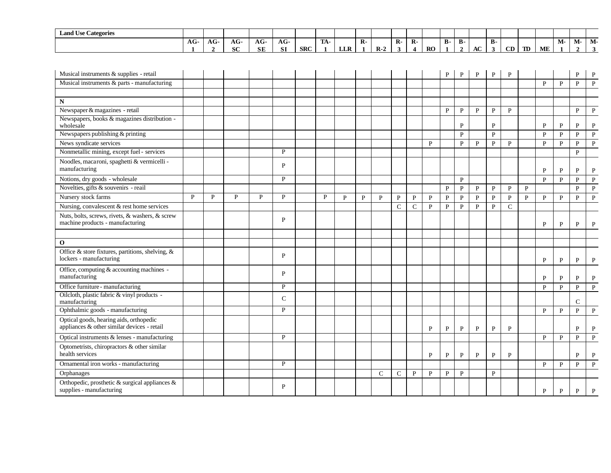| $\mathbf{r}$<br>$\sim$<br><b>Land Use Categories</b> |               |     |              |                   |            |            |                  |                          |              |               |    |                    |           |           |    |    |    |    |    |    |      |       |       |
|------------------------------------------------------|---------------|-----|--------------|-------------------|------------|------------|------------------|--------------------------|--------------|---------------|----|--------------------|-----------|-----------|----|----|----|----|----|----|------|-------|-------|
|                                                      | $\sim$<br>AG. | AG- | $\sim$<br>AG | $\sqrt{ }$<br>AG. | $AG-$      |            | <b>TRA</b><br>ЛA |                          | $\mathbf{R}$ |               | R- | $\mathbf{D}$<br>к- |           | Ð<br>- р- | D- |    | в. |    |    |    | IVI- | -IVI- | -IVI. |
|                                                      |               |     | <b>SC</b>    | <b>SE</b>         | C1<br>0. L | <b>SRC</b> |                  | <b>TTD</b><br><b>LLA</b> |              | D<br>- IX - 2 |    |                    | <b>RO</b> |           |    | AC |    | CD | TD | ME |      |       |       |

| Musical instruments & supplies - retail                                                |   |   |              |   |               |   |              |              |              |               |               |              | $\mathbf P$  | P            | P            | P              | P            |              |              |              | P            |                |
|----------------------------------------------------------------------------------------|---|---|--------------|---|---------------|---|--------------|--------------|--------------|---------------|---------------|--------------|--------------|--------------|--------------|----------------|--------------|--------------|--------------|--------------|--------------|----------------|
| Musical instruments & parts - manufacturing                                            |   |   |              |   |               |   |              |              |              |               |               |              |              |              |              |                |              |              | P            | $\mathbf{P}$ | P            | $\mathbf{P}$   |
|                                                                                        |   |   |              |   |               |   |              |              |              |               |               |              |              |              |              |                |              |              |              |              |              |                |
| N                                                                                      |   |   |              |   |               |   |              |              |              |               |               |              |              |              |              |                |              |              |              |              |              |                |
| Newspaper & magazines - retail                                                         |   |   |              |   |               |   |              |              |              |               |               |              | $\mathbf{P}$ | $\, {\bf P}$ | $\, {\bf P}$ | $\, {\bf P}$   | $\mathbf{P}$ |              |              |              | $\mathbf{P}$ | $\mathbf P$    |
| Newspapers, books & magazines distribution -<br>wholesale                              |   |   |              |   |               |   |              |              |              |               |               |              |              | P            |              | $\mathbf{P}$   |              |              | P            | P            | P            | P              |
| Newspapers publishing & printing                                                       |   |   |              |   |               |   |              |              |              |               |               |              |              | $\, {\bf P}$ |              | ${\bf P}$      |              |              | $\mathbf{P}$ | $\mathbf{P}$ | $\mathbf{P}$ | $\mathbf{P}$   |
| News syndicate services                                                                |   |   |              |   |               |   |              |              |              |               |               | P            |              | P            | P            | P              | P            |              | P            | P            | P            | P              |
| Nonmetallic mining, except fuel - services                                             |   |   |              |   | P             |   |              |              |              |               |               |              |              |              |              |                |              |              |              |              | $\mathbf{P}$ |                |
| Noodles, macaroni, spaghetti & vermicelli -<br>manufacturing                           |   |   |              |   | P             |   |              |              |              |               |               |              |              |              |              |                |              |              | P            | P            | P            | P              |
| Notions, dry goods - wholesale                                                         |   |   |              |   | P             |   |              |              |              |               |               |              |              | $\mathbf{P}$ |              |                |              |              | $\mathbf{P}$ | $\mathbf{P}$ | $\mathbf{P}$ | $\mathbf{P}$   |
| Novelties, gifts & souvenirs - reail                                                   |   |   |              |   |               |   |              |              |              |               |               |              | $\mathbf{P}$ | $\mathbf{P}$ | $\mathbf{P}$ | $\, {\bf P}$   | $\mathbf{P}$ | $\mathbf{P}$ |              |              | $\mathbf{P}$ | ${\bf P}$      |
| Nursery stock farms                                                                    | P | P | $\mathbf{P}$ | P | P             | P | $\mathbf{p}$ | $\mathbf{P}$ | $\mathbf{P}$ | $\mathbf{P}$  | $\mathbf{P}$  | $\mathbf{P}$ | $\, {\bf P}$ | $\, {\bf P}$ | $\mathbf{P}$ | $\mathbf{P}$   | $\mathbf{P}$ | $\mathbf{P}$ | $\mathbf{P}$ | $\mathbf{P}$ | P            | $\mathbf{P}$   |
| Nursing, convalescent & rest home services                                             |   |   |              |   |               |   |              |              |              | $\mathsf{C}$  | $\mathcal{C}$ | $\mathbf{P}$ | $\mathbf{P}$ | $\mathbf{P}$ | $\mathbf{P}$ | $\overline{P}$ | $\mathbf C$  |              |              |              |              |                |
| Nuts, bolts, screws, rivets, & washers, & screw<br>machine products - manufacturing    |   |   |              |   | P             |   |              |              |              |               |               |              |              |              |              |                |              |              | P            | P            | P            | P              |
|                                                                                        |   |   |              |   |               |   |              |              |              |               |               |              |              |              |              |                |              |              |              |              |              |                |
| $\mathbf{o}$                                                                           |   |   |              |   |               |   |              |              |              |               |               |              |              |              |              |                |              |              |              |              |              |                |
| Office & store fixtures, partitions, shelving, &<br>lockers - manufacturing            |   |   |              |   | P             |   |              |              |              |               |               |              |              |              |              |                |              |              | P            | P            | P            | $\mathbf{P}$   |
| Office, computing & accounting machines -<br>manufacturing                             |   |   |              |   | P             |   |              |              |              |               |               |              |              |              |              |                |              |              | $\mathbf{P}$ | P            | P            | P              |
| Office furniture - manufacturing                                                       |   |   |              |   | P             |   |              |              |              |               |               |              |              |              |              |                |              |              | $\mathbf{P}$ | $\mathbf{P}$ | $\mathbf{p}$ | P              |
| Oilcloth, plastic fabric & vinyl products -<br>manufacturing                           |   |   |              |   | $\mathcal{C}$ |   |              |              |              |               |               |              |              |              |              |                |              |              |              |              | $\mathsf{C}$ |                |
| Ophthalmic goods - manufacturing                                                       |   |   |              |   | P             |   |              |              |              |               |               |              |              |              |              |                |              |              | $\mathbf{P}$ | $\mathbf{P}$ | $\mathbf{P}$ | $\mathbf{P}$   |
| Optical goods, hearing aids, orthopedic<br>appliances & other similar devices - retail |   |   |              |   |               |   |              |              |              |               |               | P            | $\, {\bf P}$ | $\mathbf{P}$ | $\, {\bf P}$ | $\, {\bf P}$   | $\mathbf{P}$ |              |              |              | P            | $\mathbf P$    |
| Optical instruments & lenses - manufacturing                                           |   |   |              |   | $\mathbf{P}$  |   |              |              |              |               |               |              |              |              |              |                |              |              | $\mathbf{P}$ | $\mathbf{P}$ | $\mathbf{p}$ | $\overline{P}$ |
| Optometrists, chiropractors & other similar<br>health services                         |   |   |              |   |               |   |              |              |              |               |               | P            | $\mathbf{P}$ | $\mathbf{P}$ | P            | $\mathbf{P}$   | P            |              |              |              | P            | P              |
| Ornamental iron works - manufacturing                                                  |   |   |              |   | P             |   |              |              |              |               |               |              |              |              |              |                |              |              | P            | P            | P            | $\mathbf{P}$   |
| Orphanages                                                                             |   |   |              |   |               |   |              |              | C            | $\mathcal{C}$ | P             | P            | $\mathbf{P}$ | P            |              | $\, {\bf P}$   |              |              |              |              |              |                |
| Orthopedic, prosthetic & surgical appliances &<br>supplies - manufacturing             |   |   |              |   | P             |   |              |              |              |               |               |              |              |              |              |                |              |              | P            | P            | P            | P              |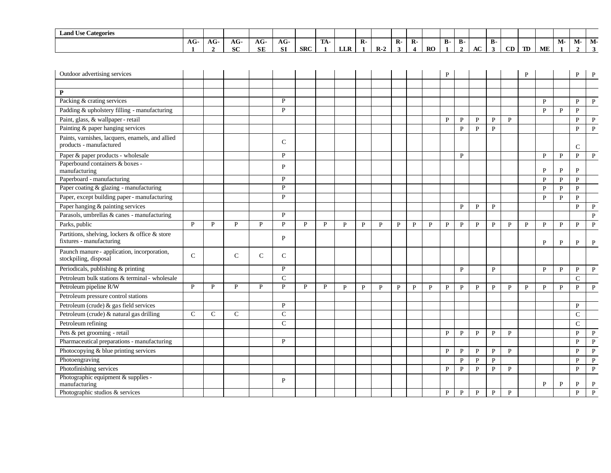| $\mathbf{r}$<br>$\sim$<br><b>Land Use Categories</b> |               |     |              |                   |            |            |                  |                          |              |               |    |                    |           |           |    |    |    |    |    |    |      |       |       |
|------------------------------------------------------|---------------|-----|--------------|-------------------|------------|------------|------------------|--------------------------|--------------|---------------|----|--------------------|-----------|-----------|----|----|----|----|----|----|------|-------|-------|
|                                                      | $\sim$<br>AG. | AG- | $\sim$<br>AG | $\sqrt{ }$<br>AG. | $AG-$      |            | <b>TRA</b><br>ЛA |                          | $\mathbf{R}$ |               | R- | $\mathbf{D}$<br>к- |           | Ð<br>- р- | D- |    | в. |    |    |    | IVI- | -IVI- | -IVI. |
|                                                      |               |     | <b>SC</b>    | <b>SE</b>         | C1<br>0. L | <b>SRC</b> |                  | <b>TTD</b><br><b>LLA</b> |              | D<br>- IX - 2 |    |                    | <b>RO</b> |           |    | AC |    | CD | TD | ME |      |       |       |

| Outdoor advertising services                                                |               |               |               |              |               |   |              |              |              |              |              |              |              | P            |              |              |              |              | P            |              |              | $\mathbf{P}$  | $\mathbf{P}$ |
|-----------------------------------------------------------------------------|---------------|---------------|---------------|--------------|---------------|---|--------------|--------------|--------------|--------------|--------------|--------------|--------------|--------------|--------------|--------------|--------------|--------------|--------------|--------------|--------------|---------------|--------------|
|                                                                             |               |               |               |              |               |   |              |              |              |              |              |              |              |              |              |              |              |              |              |              |              |               |              |
| P                                                                           |               |               |               |              |               |   |              |              |              |              |              |              |              |              |              |              |              |              |              |              |              |               |              |
| Packing & crating services                                                  |               |               |               |              | P             |   |              |              |              |              |              |              |              |              |              |              |              |              |              | $\mathbf{P}$ |              | $\mathbf{P}$  | $\mathbf P$  |
| Padding & upholstery filling - manufacturing                                |               |               |               |              | P             |   |              |              |              |              |              |              |              |              |              |              |              |              |              | P            | P            | P             |              |
| Paint, glass, & wallpaper - retail                                          |               |               |               |              |               |   |              |              |              |              |              |              |              | P            | P            | P            | $\mathbf{P}$ | $\mathbf{P}$ |              |              |              | $\mathbf{P}$  | $\mathbf{P}$ |
| Painting & paper hanging services                                           |               |               |               |              |               |   |              |              |              |              |              |              |              |              | $\mathbf{P}$ | $\mathbf{P}$ | $\mathbf{P}$ |              |              |              |              | $\mathbf{P}$  | $\mathbf{P}$ |
| Paints, varnishes, lacquers, enamels, and allied<br>products - manufactured |               |               |               |              | $\mathcal{C}$ |   |              |              |              |              |              |              |              |              |              |              |              |              |              |              |              | $\mathsf{C}$  |              |
| Paper & paper products - wholesale                                          |               |               |               |              | P             |   |              |              |              |              |              |              |              |              | P            |              |              |              |              | P            | P            | P             | P            |
| Paperbound containers & boxes -<br>manufacturing                            |               |               |               |              | P             |   |              |              |              |              |              |              |              |              |              |              |              |              |              | P            | P            | P             |              |
| Paperboard - manufacturing                                                  |               |               |               |              | P             |   |              |              |              |              |              |              |              |              |              |              |              |              |              | P            | $\mathbf{P}$ | P             |              |
| Paper coating & glazing - manufacturing                                     |               |               |               |              | P             |   |              |              |              |              |              |              |              |              |              |              |              |              |              | P            | P            | $\mathbf{P}$  |              |
| Paper, except building paper - manufacturing                                |               |               |               |              | $\mathbf{P}$  |   |              |              |              |              |              |              |              |              |              |              |              |              |              | $\mathbf{P}$ | $\mathbf{P}$ | $\mathbf{P}$  |              |
| Paper hanging & painting services                                           |               |               |               |              |               |   |              |              |              |              |              |              |              |              | P            | $\mathbf{P}$ | $\mathbf{P}$ |              |              |              |              | $\mathbf{P}$  | P            |
| Parasols, umbrellas & canes - manufacturing                                 |               |               |               |              | P             |   |              |              |              |              |              |              |              |              |              |              |              |              |              |              |              |               | ${\bf P}$    |
| Parks, public                                                               | P             | P             | $\mathbf{P}$  | P            | $\mathbf{P}$  | P | $\mathbf{P}$ | $\mathbf{p}$ | $\mathbf{P}$ | $\mathbf{P}$ | $\mathbf{p}$ | $\mathbf{P}$ | P            | P            | P            | $\mathbf{P}$ | $\mathbf{P}$ | $\mathbf{P}$ | $\mathbf{P}$ | $\mathbf{P}$ | $\mathbf{P}$ | P             | $\mathbf{P}$ |
| Partitions, shelving, lockers & office & store<br>fixtures - manufacturing  |               |               |               |              | P             |   |              |              |              |              |              |              |              |              |              |              |              |              |              | P            | P            | P             | P            |
| Paunch manure - application, incorporation,<br>stockpiling, disposal        | $\mathcal{C}$ |               | $\mathcal{C}$ | $\mathsf{C}$ | $\mathsf{C}$  |   |              |              |              |              |              |              |              |              |              |              |              |              |              |              |              |               |              |
| Periodicals, publishing & printing                                          |               |               |               |              | P             |   |              |              |              |              |              |              |              |              | P            |              | P            |              |              | $\mathbf{P}$ | $\mathbf{P}$ | $\mathbf{P}$  | $\mathbf{P}$ |
| Petroleum bulk stations & terminal - wholesale                              |               |               |               |              | $\mathcal{C}$ |   |              |              |              |              |              |              |              |              |              |              |              |              |              |              |              | $\mathcal{C}$ |              |
| Petroleum pipeline R/W                                                      | P             | P             | P             | P            | P             | P | P            | P            | P            | P            | P            | P            | $\mathbf{P}$ | $\mathbf{P}$ | $\mathbf{P}$ | ${\bf P}$    | $\mathbf{P}$ | P            | P            | P            | $\mathbf{P}$ | P             | $\mathbf P$  |
| Petroleum pressure control stations                                         |               |               |               |              |               |   |              |              |              |              |              |              |              |              |              |              |              |              |              |              |              |               |              |
| Petroleum (crude) & gas field services                                      |               |               |               |              | P             |   |              |              |              |              |              |              |              |              |              |              |              |              |              |              |              | P             |              |
| Petroleum (crude) & natural gas drilling                                    | $\mathsf{C}$  | $\mathcal{C}$ | $\mathsf{C}$  |              | $\mathbf C$   |   |              |              |              |              |              |              |              |              |              |              |              |              |              |              |              | $\mathbf C$   |              |
| Petroleum refining                                                          |               |               |               |              | $\mathcal{C}$ |   |              |              |              |              |              |              |              |              |              |              |              |              |              |              |              | $\mathsf{C}$  |              |
| Pets & pet grooming - retail                                                |               |               |               |              |               |   |              |              |              |              |              |              |              | P            | P            | $\mathbf{P}$ | $\mathbf{P}$ | $\mathbf{P}$ |              |              |              | $\mathbf{P}$  | $\mathbf{P}$ |
| Pharmaceutical preparations - manufacturing                                 |               |               |               |              | P             |   |              |              |              |              |              |              |              |              |              |              |              |              |              |              |              | $\mathbf{P}$  | $\mathbf{P}$ |
| Photocopying & blue printing services                                       |               |               |               |              |               |   |              |              |              |              |              |              |              | P            | $\mathbf{P}$ | ${\bf P}$    | P            | P            |              |              |              | P             | $\mathbf{P}$ |
| Photoengraving                                                              |               |               |               |              |               |   |              |              |              |              |              |              |              |              | P            | P            | $\mathbf{P}$ |              |              |              |              | P             | $\mathbf{P}$ |
| Photofinishing services                                                     |               |               |               |              |               |   |              |              |              |              |              |              |              | P            | $\mathbf{P}$ | $\mathbf{P}$ | $\mathbf{P}$ | $\mathbf{P}$ |              |              |              | $\mathbf{P}$  | $\mathbf{P}$ |
| Photographic equipment & supplies -<br>manufacturing                        |               |               |               |              | P             |   |              |              |              |              |              |              |              |              |              |              |              |              |              | P            | P            | P             | $\mathbf{P}$ |
| Photographic studios & services                                             |               |               |               |              |               |   |              |              |              |              |              |              |              | P            | P            | $\mathbf{P}$ | P            | P            |              |              |              | $\mathbf{P}$  | $\mathbf{P}$ |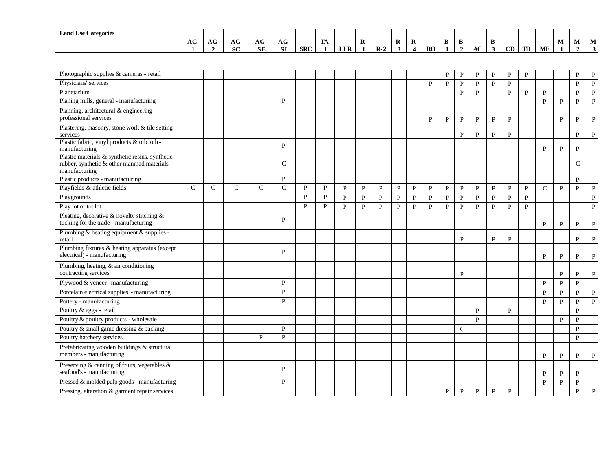| <b>Land Use Categories</b> |                  |                   |                     |           |                    |            |                   |            |              |                 |              |              |    |           |            |    |           |                |    |           |    |    |    |
|----------------------------|------------------|-------------------|---------------------|-----------|--------------------|------------|-------------------|------------|--------------|-----------------|--------------|--------------|----|-----------|------------|----|-----------|----------------|----|-----------|----|----|----|
|                            | $\sqrt{ }$<br>AG | $\sqrt{ }$<br>AG- | $\sim$<br>AG        | AG        | $AG-$<br>__        |            | <b>TRA</b><br>IA- |            | $\mathbf{R}$ |                 | $\mathbf{R}$ | $\mathbf{R}$ |    | <b>B-</b> | <b>B</b> - |    | <b>B-</b> |                |    |           | M- | М- | M- |
|                            |                  |                   | $\mathbf{C}$<br>ov. | <b>SE</b> | C1<br>$\mathbf{M}$ | <b>SRC</b> |                   | <b>LLR</b> |              | $\mathbf{R}$ -2 |              |              | RO |           |            | AC |           | $\alpha$<br>Uν | TD | <b>ME</b> |    |    |    |

| Photographic supplies & cameras - retail                                                                         |              |               |               |              |              |              |              |              |              |              |              |              |              | P            | P            | P            | $\mathbf{P}$ | $\mathbf{P}$ | P            |               |                | P             | P            |
|------------------------------------------------------------------------------------------------------------------|--------------|---------------|---------------|--------------|--------------|--------------|--------------|--------------|--------------|--------------|--------------|--------------|--------------|--------------|--------------|--------------|--------------|--------------|--------------|---------------|----------------|---------------|--------------|
| Physicians' services                                                                                             |              |               |               |              |              |              |              |              |              |              |              |              | P            | $\mathbf{P}$ | $\mathbf{P}$ | $\mathbf{P}$ | $\mathbf{P}$ | $\mathbf{P}$ |              |               |                | $\mathbf{P}$  | $\mathbf P$  |
| Planetarium                                                                                                      |              |               |               |              |              |              |              |              |              |              |              |              |              |              | $\mathbf{P}$ | P            |              | $\mathbf{P}$ | $\mathbf{P}$ | P             |                | $\mathbf{P}$  | ${\bf P}$    |
| Planing mills, general - manufacturing                                                                           |              |               |               |              | $\mathbf{P}$ |              |              |              |              |              |              |              |              |              |              |              |              |              |              | $\mathbf{p}$  | $\mathbf{P}$   | $\mathbf{P}$  | ${\bf P}$    |
| Planning, architectural & engineering<br>professional services                                                   |              |               |               |              |              |              |              |              |              |              |              |              | $\mathbf{P}$ | P            | P            | $\mathbf{P}$ | $\mathbf{P}$ | P            |              |               | P              | P             | P            |
| Plastering, masonry, stone work & tile setting<br>services                                                       |              |               |               |              |              |              |              |              |              |              |              |              |              |              | P            | P            | $\mathbf{P}$ | P            |              |               |                | P             | P            |
| Plastic fabric, vinyl products & oilcloth-<br>manufacturing                                                      |              |               |               |              | P            |              |              |              |              |              |              |              |              |              |              |              |              |              |              | P             | $\mathbf{P}$   | P             |              |
| Plastic materials & synthetic resins, synthetic<br>rubber, synthetic & other manmad materials -<br>manufacturing |              |               |               |              | $\mathbf C$  |              |              |              |              |              |              |              |              |              |              |              |              |              |              |               |                | $\mathcal{C}$ |              |
| Plastic products - manufacturing                                                                                 |              |               |               |              | P            |              |              |              |              |              |              |              |              |              |              |              |              |              |              |               |                | $\mathbf{P}$  |              |
| Playfields & athletic fields                                                                                     | $\mathsf{C}$ | $\mathcal{C}$ | $\mathcal{C}$ | $\mathsf{C}$ | $\mathsf{C}$ | P            | P            | $\mathbf{P}$ | $\mathbf{P}$ | $\mathbf{P}$ | $\mathbf{P}$ | $\mathbf{P}$ | $\mathbf{P}$ | $\mathbf{P}$ | P            | $\mathbf{P}$ | $\mathbf{P}$ | $\mathbf{P}$ | $\mathbf{P}$ | $\mathcal{C}$ | $\overline{P}$ | $\mathbf{P}$  | $\, {\bf P}$ |
| Playgrounds                                                                                                      |              |               |               |              |              | $\mathbf{P}$ | $\mathbf{P}$ | $\mathbf{P}$ | P            | $\mathbf{P}$ | $\mathbf{P}$ | ${\bf P}$    | $\, {\bf P}$ | $\mathbf{P}$ | $\, {\bf P}$ | $\, {\bf P}$ | $\mathbf{P}$ | $\mathbf{P}$ | $\mathbf{P}$ |               |                |               | $\, {\bf P}$ |
| Play lot or tot lot                                                                                              |              |               |               |              |              | P            | P            | P            | $\mathbf{P}$ | P            | P            | P            | P            | P            | P            | $\mathbf{P}$ | P            | $\mathbf{P}$ | $\mathbf{P}$ |               |                |               | $\mathbf{P}$ |
| Pleating, decorative & novelty stitching &<br>tucking for the trade - manufacturing                              |              |               |               |              | P            |              |              |              |              |              |              |              |              |              |              |              |              |              |              | $\mathbf{P}$  | P              | P             | $\mathbf{P}$ |
| Plumbing & heating equipment & supplies -<br>retail                                                              |              |               |               |              |              |              |              |              |              |              |              |              |              |              | $\mathbf{P}$ |              | $\mathbf{P}$ | $\mathbf{P}$ |              |               |                | P             | P            |
| Plumbing fixtures & heating apparatus (except<br>electrical) - manufacturing                                     |              |               |               |              | P            |              |              |              |              |              |              |              |              |              |              |              |              |              |              | P             | P              | P             | P            |
| Plumbing, heating, & air conditioning<br>contracting services                                                    |              |               |               |              |              |              |              |              |              |              |              |              |              |              | P            |              |              |              |              |               | P              | P             | P            |
| Plywood & veneer - manufacturing                                                                                 |              |               |               |              | P            |              |              |              |              |              |              |              |              |              |              |              |              |              |              | $\mathbf{P}$  | $\mathbf{P}$   | $\mathbf{P}$  |              |
| Porcelain electrical supplies - manufacturing                                                                    |              |               |               |              | P            |              |              |              |              |              |              |              |              |              |              |              |              |              |              | P             | P              | P             | P            |
| Pottery - manufacturing                                                                                          |              |               |               |              | P            |              |              |              |              |              |              |              |              |              |              |              |              |              |              | $\mathbf{p}$  | P              | $\mathbf{P}$  | $\mathbf{P}$ |
| Poultry & eggs - retail                                                                                          |              |               |               |              |              |              |              |              |              |              |              |              |              |              |              | $\mathbf{P}$ |              | P            |              |               |                | P             |              |
| Poultry & poultry products - wholesale                                                                           |              |               |               |              |              |              |              |              |              |              |              |              |              |              |              | P            |              |              |              |               | P              | P             |              |
| Poultry & small game dressing & packing                                                                          |              |               |               |              | P            |              |              |              |              |              |              |              |              |              | $\mathbf C$  |              |              |              |              |               |                | $\mathbf{P}$  |              |
| Poultry hatchery services                                                                                        |              |               |               | $\mathbf{P}$ | $\mathbf{P}$ |              |              |              |              |              |              |              |              |              |              |              |              |              |              |               |                | $\mathbf{P}$  |              |
| Prefabricating wooden buildings & structural<br>members - manufacturing                                          |              |               |               |              |              |              |              |              |              |              |              |              |              |              |              |              |              |              |              | P             | P              | P             | $\mathbf P$  |
| Preserving & canning of fruits, vegetables &<br>seafood's - manufacturing                                        |              |               |               |              | P            |              |              |              |              |              |              |              |              |              |              |              |              |              |              | P             | P              | P             |              |
| Pressed & molded pulp goods - manufacturing                                                                      |              |               |               |              | P            |              |              |              |              |              |              |              |              |              |              |              |              |              |              | $\mathbf{P}$  | $\mathbf{P}$   | $\mathbf{p}$  |              |
| Pressing, alteration & garment repair services                                                                   |              |               |               |              |              |              |              |              |              |              |              |              |              | P            | P            | $\mathbf{P}$ | $\mathbf{P}$ | P            |              |               |                | P             | $\mathbf{P}$ |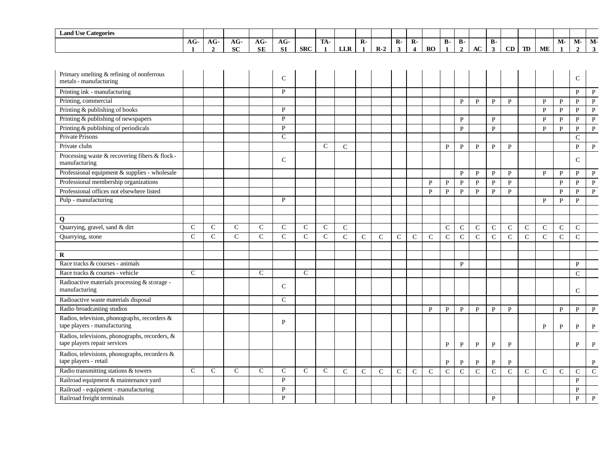| <b>Land Use Categories</b>                                                     |               |                     |              |                    |                    |               |                     |               |                |               |                   |                                           |               |                                |                                  |               |                           |              |              |               |                    |                    |                                |
|--------------------------------------------------------------------------------|---------------|---------------------|--------------|--------------------|--------------------|---------------|---------------------|---------------|----------------|---------------|-------------------|-------------------------------------------|---------------|--------------------------------|----------------------------------|---------------|---------------------------|--------------|--------------|---------------|--------------------|--------------------|--------------------------------|
|                                                                                | $AG-$         | AG-<br>$\mathbf{2}$ | $AG-$<br>SC  | $AG-$<br><b>SE</b> | $AG-$<br><b>SI</b> | <b>SRC</b>    | TA-<br>$\mathbf{1}$ | LLR           | $\overline{R}$ | $R-2$         | $\mathbf{R}$<br>3 | $\overline{R}$<br>$\overline{\mathbf{4}}$ | RO            | $\overline{B}$<br>$\mathbf{1}$ | $\overline{B}$<br>$\overline{2}$ | AC            | <b>B-</b><br>$\mathbf{3}$ | CD           | TD           | ME            | M-<br>$\mathbf{1}$ | M-<br>$\mathbf{2}$ | $\overline{M}$<br>$\mathbf{3}$ |
|                                                                                |               |                     |              |                    |                    |               |                     |               |                |               |                   |                                           |               |                                |                                  |               |                           |              |              |               |                    |                    |                                |
| Primary smelting & refining of nonferrous<br>metals - manufacturing            |               |                     |              |                    | $\mathcal{C}$      |               |                     |               |                |               |                   |                                           |               |                                |                                  |               |                           |              |              |               |                    | $\mathsf{C}$       |                                |
| Printing ink - manufacturing                                                   |               |                     |              |                    | $\mathbf{P}$       |               |                     |               |                |               |                   |                                           |               |                                |                                  |               |                           |              |              |               |                    | $\mathbf{P}$       | $\mathbf{P}$                   |
| Printing, commercial                                                           |               |                     |              |                    |                    |               |                     |               |                |               |                   |                                           |               |                                | $\mathbf{P}$                     | P             | P                         | $\mathbf{P}$ |              | P             | P                  | P                  | $\mathbf{P}$                   |
| Printing & publishing of books                                                 |               |                     |              |                    | $\mathbf{P}$       |               |                     |               |                |               |                   |                                           |               |                                |                                  |               |                           |              |              | $\mathbf{P}$  | P                  | $\mathbf{P}$       | $\mathbf{P}$                   |
| Printing & publishing of newspapers                                            |               |                     |              |                    | P                  |               |                     |               |                |               |                   |                                           |               |                                | $\mathbf{P}$                     |               | $\mathbf{P}$              |              |              | P             | $\mathbf{P}$       | $\mathbf{P}$       | $\mathbf{P}$                   |
| Printing & publishing of periodicals                                           |               |                     |              |                    | $\mathbf{P}$       |               |                     |               |                |               |                   |                                           |               |                                | $\, {\bf P}$                     |               | $\, {\bf P}$              |              |              | $\mathbf{P}$  | ${\bf P}$          | $\mathbf{P}$       | ${\bf P}$                      |
| <b>Private Prisons</b>                                                         |               |                     |              |                    | $\mathsf{C}$       |               |                     |               |                |               |                   |                                           |               |                                |                                  |               |                           |              |              |               |                    | $\mathbf C$        |                                |
| Private clubs                                                                  |               |                     |              |                    |                    |               | $\mathcal{C}$       | $\mathcal{C}$ |                |               |                   |                                           |               | P                              | $\mathbf{P}$                     | P             | P                         | $\mathbf{P}$ |              |               |                    | P                  | $\mathbf{P}$                   |
| Processing waste & recovering fibers & flock-<br>manufacturing                 |               |                     |              |                    | $\mathsf{C}$       |               |                     |               |                |               |                   |                                           |               |                                |                                  |               |                           |              |              |               |                    | $\mathsf{C}$       |                                |
| Professional equipment & supplies - wholesale                                  |               |                     |              |                    |                    |               |                     |               |                |               |                   |                                           |               |                                | $\mathbf P$                      | P             | P                         | $\mathbf{P}$ |              | P             | $\mathbf{P}$       | P                  | P                              |
| Professional membership organizations                                          |               |                     |              |                    |                    |               |                     |               |                |               |                   |                                           | P             | $\mathbf{P}$                   | $\, {\bf P}$                     | $\, {\bf P}$  | P                         | $\mathbf{P}$ |              |               | $\mathbf{P}$       | $\mathbf{P}$       | $\, {\bf P}$                   |
| Professional offices not elsewhere listed                                      |               |                     |              |                    |                    |               |                     |               |                |               |                   |                                           | P             | P                              | $\mathbf{P}$                     | $\mathbf{P}$  | P                         | $\mathbf{P}$ |              |               | P                  | P                  | $\mathbf{P}$                   |
| Pulp - manufacturing                                                           |               |                     |              |                    | $\mathbf{P}$       |               |                     |               |                |               |                   |                                           |               |                                |                                  |               |                           |              |              | $\mathbf{P}$  | $\mathbf{P}$       | $\mathbf{P}$       |                                |
|                                                                                |               |                     |              |                    |                    |               |                     |               |                |               |                   |                                           |               |                                |                                  |               |                           |              |              |               |                    |                    |                                |
| Q                                                                              |               |                     |              |                    |                    |               |                     |               |                |               |                   |                                           |               |                                |                                  |               |                           |              |              |               |                    |                    |                                |
| Quarrying, gravel, sand & dirt                                                 | $\mathsf{C}$  | $\mathsf{C}$        | $\mathsf{C}$ | $\mathsf{C}$       | $\mathsf{C}$       | $\mathsf{C}$  | $\mathcal{C}$       | $\mathbf C$   |                |               |                   |                                           |               | $\mathbf C$                    | $\mathsf{C}$                     | $\mathsf{C}$  | $\mathbf C$               | $\mathbf C$  | $\mathbf C$  | $\mathsf{C}$  | $\mathsf{C}$       | $\mathsf{C}$       |                                |
| Quarrying, stone                                                               | $\mathcal{C}$ | $\mathsf{C}$        | $\mathbf C$  | $\mathbf C$        | $\mathbf C$        | $\mathsf{C}$  | $\mathcal{C}$       | $\mathbf C$   | $\mathcal{C}$  | $\mathcal{C}$ | $\mathsf{C}$      | $\mathcal{C}$                             | $\mathcal{C}$ | $\mathsf{C}$                   | $\mathsf{C}$                     | $\mathbf C$   | $\mathbf C$               | $\mathbf C$  | $\mathbf C$  | $\mathcal{C}$ | $\mathcal{C}$      | $\mathbf C$        |                                |
|                                                                                |               |                     |              |                    |                    |               |                     |               |                |               |                   |                                           |               |                                |                                  |               |                           |              |              |               |                    |                    |                                |
| R                                                                              |               |                     |              |                    |                    |               |                     |               |                |               |                   |                                           |               |                                |                                  |               |                           |              |              |               |                    |                    |                                |
| Race tracks & courses - animals                                                |               |                     |              |                    |                    |               |                     |               |                |               |                   |                                           |               |                                | $\mathbf{P}$                     |               |                           |              |              |               |                    | $\mathbf{P}$       |                                |
| Race tracks & courses - vehicle                                                | $\mathcal{C}$ |                     |              | $\mathsf{C}$       |                    | $\mathcal{C}$ |                     |               |                |               |                   |                                           |               |                                |                                  |               |                           |              |              |               |                    | $\mathcal{C}$      |                                |
| Radioactive materials processing & storage -<br>manufacturing                  |               |                     |              |                    | $\mathcal{C}$      |               |                     |               |                |               |                   |                                           |               |                                |                                  |               |                           |              |              |               |                    | $\mathsf{C}$       |                                |
| Radioactive waste materials disposal                                           |               |                     |              |                    | $\mathcal{C}$      |               |                     |               |                |               |                   |                                           |               |                                |                                  |               |                           |              |              |               |                    |                    |                                |
| Radio broadcasting studios                                                     |               |                     |              |                    |                    |               |                     |               |                |               |                   |                                           | $\mathbf{P}$  | $\mathbf{P}$                   | $\mathbf{P}$                     | $\, {\bf P}$  | $\mathbf{P}$              | ${\bf P}$    |              |               | ${\bf P}$          | $\mathbf{P}$       | $\, {\bf P}$                   |
| Radios, television, phonographs, recorders &<br>tape players - manufacturing   |               |                     |              |                    | P                  |               |                     |               |                |               |                   |                                           |               |                                |                                  |               |                           |              |              | $\mathbf{P}$  | $\mathbf{P}$       | P                  | P                              |
| Radios, televisions, phonographs, recorders, &<br>tape players repair services |               |                     |              |                    |                    |               |                     |               |                |               |                   |                                           |               | P                              | P                                | $\mathbf{P}$  | P                         | P            |              |               |                    | P                  | P                              |
| Radios, televisions, phonographs, recorders &<br>tape players - retail         |               |                     |              |                    |                    |               |                     |               |                |               |                   |                                           |               | $\, {\bf P}$                   | $\mathbf{P}$                     | $\, {\bf P}$  | $\mathbf{P}$              | $\, {\bf P}$ |              |               |                    |                    | $\, {\bf P}$                   |
| Radio transmitting stations & towers                                           | $\mathsf{C}$  | $\mathbf C$         | $\mathbf C$  | $\mathbf C$        | $\mathsf{C}$       | $\mathsf{C}$  | $\mathcal{C}$       | $\mathcal{C}$ | $\mathcal{C}$  | $\mathbf{C}$  | $\mathsf{C}$      | $\mathcal{C}$                             | $\mathcal{C}$ | $\mathcal{C}$                  | $\mathcal{C}$                    | $\mathcal{C}$ | $\mathbf C$               | $\mathbf C$  | $\mathsf{C}$ | $\mathcal{C}$ | $\mathsf{C}$       | $\mathsf{C}$       | ${\bf C}$                      |
| Railroad equipment & maintenance yard                                          |               |                     |              |                    | P                  |               |                     |               |                |               |                   |                                           |               |                                |                                  |               |                           |              |              |               |                    | $\, {\bf P}$       |                                |
| Railroad - equipment - manufacturing                                           |               |                     |              |                    | P                  |               |                     |               |                |               |                   |                                           |               |                                |                                  |               |                           |              |              |               |                    | P                  |                                |
| Railroad freight terminals                                                     |               |                     |              |                    | P                  |               |                     |               |                |               |                   |                                           |               |                                |                                  |               | $\mathbf{P}$              |              |              |               |                    | $\mathbf{P}$       | $\mathbf{P}$                   |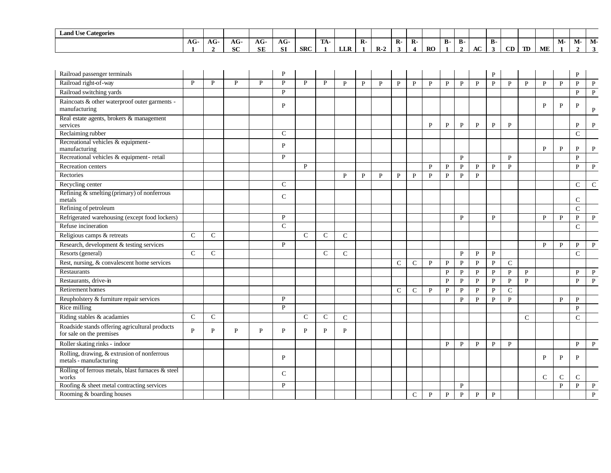| $\mathbf{r}$<br>$\sim$<br><b>Land Use Categories</b> |                  |    |                                   |                     |                   |            |                    |            |   |       |    |           |            |    |                   |     |                |    |    |    |      |    |
|------------------------------------------------------|------------------|----|-----------------------------------|---------------------|-------------------|------------|--------------------|------------|---|-------|----|-----------|------------|----|-------------------|-----|----------------|----|----|----|------|----|
|                                                      | $\sqrt{ }$<br>AU | AG | $\sim$<br>AG-                     | АU                  | $\sqrt{2}$<br>AG- |            | <b>COLLA</b><br>ıА |            | - |       | R. |           | Ð<br>- D - | D- |                   | в.  |                |    |    | М- | IVI- | M- |
|                                                      |                  |    | $\alpha$ $\alpha$<br>$\mathbf{u}$ | $C\mathbb{T}$<br>ЭĽ | CT.<br>ЭI.        | <b>SRC</b> |                    | <b>LLR</b> |   | $R-2$ |    | <b>RO</b> |            |    | . .<br>${\bf AC}$ | - 1 | $\alpha$<br>◡╜ | TD | ME |    |      |    |

| Railroad passenger terminals                                               |               |               |              |   | D            |               |               |               |              |              |               |               |              |              |              |              | P            |              |              |               |              | P             |              |
|----------------------------------------------------------------------------|---------------|---------------|--------------|---|--------------|---------------|---------------|---------------|--------------|--------------|---------------|---------------|--------------|--------------|--------------|--------------|--------------|--------------|--------------|---------------|--------------|---------------|--------------|
| Railroad right-of-way                                                      | P             | P             | $\mathbf{P}$ | P | P            | $\mathbf{p}$  | $\mathbf{P}$  | $\mathbf{P}$  | $\mathbf{P}$ | $\mathbf{P}$ | $\mathbf{P}$  | $\mathbf{P}$  | $\mathbf{P}$ | P            | P            | $\mathbf{P}$ | $\mathbf{P}$ | $\mathbf{P}$ | $\mathbf{P}$ | $\mathbf{P}$  | $\mathbf{P}$ | $\mathbf{P}$  | $\mathbf{P}$ |
| Railroad switching yards                                                   |               |               |              |   | P            |               |               |               |              |              |               |               |              |              |              |              |              |              |              |               |              | $\mathbf{P}$  | $\, {\bf P}$ |
| Raincoats & other waterproof outer garments -<br>manufacturing             |               |               |              |   | P            |               |               |               |              |              |               |               |              |              |              |              |              |              |              | P             | $\mathbf{P}$ | P             | P            |
| Real estate agents, brokers & management<br>services                       |               |               |              |   |              |               |               |               |              |              |               |               | P            | P            | P            | P            | $\mathbf{P}$ | P            |              |               |              | P             | P            |
| Reclaiming rubber                                                          |               |               |              |   | $\mathbf C$  |               |               |               |              |              |               |               |              |              |              |              |              |              |              |               |              | $\mathsf{C}$  |              |
| Recreational vehicles & equipment-<br>manufacturing                        |               |               |              |   | $\mathbf{p}$ |               |               |               |              |              |               |               |              |              |              |              |              |              |              | $\mathbf{P}$  | P            | P             | P            |
| Recreational vehicles & equipment-retail                                   |               |               |              |   | P            |               |               |               |              |              |               |               |              |              | P            |              |              | $\mathbf{P}$ |              |               |              | $\mathbf{P}$  |              |
| Recreation centers                                                         |               |               |              |   |              | P             |               |               |              |              |               |               | P            | P            | $\mathbf{P}$ | $\mathbf{P}$ | $\mathbf{P}$ | $\mathbf{P}$ |              |               |              | $\mathbf{P}$  | $\mathbf{P}$ |
| Rectories                                                                  |               |               |              |   |              |               |               | $\mathbf{P}$  | $\mathbf{P}$ | $\mathbf{P}$ | $\mathbf{P}$  | P             | $\mathbf{P}$ | $\mathbf{P}$ | $\mathbf{P}$ | $\mathbf{P}$ |              |              |              |               |              |               |              |
| Recycling center                                                           |               |               |              |   | $\mathbf C$  |               |               |               |              |              |               |               |              |              |              |              |              |              |              |               |              | $\mathsf{C}$  | $\mathsf{C}$ |
| Refining & smelting (primary) of nonferrous<br>metals                      |               |               |              |   | $\mathbf C$  |               |               |               |              |              |               |               |              |              |              |              |              |              |              |               |              | $\mathcal{C}$ |              |
| Refining of petroleum                                                      |               |               |              |   |              |               |               |               |              |              |               |               |              |              |              |              |              |              |              |               |              | $\mathbf C$   |              |
| Refrigerated warehousing (except food lockers)                             |               |               |              |   | P            |               |               |               |              |              |               |               |              |              | P            |              | P            |              |              | P             | $\mathbf{P}$ | $\mathbf{P}$  | $\mathbf{P}$ |
| Refuse incineration                                                        |               |               |              |   | $\mathbf C$  |               |               |               |              |              |               |               |              |              |              |              |              |              |              |               |              | $\mathsf{C}$  |              |
| Religious camps & retreats                                                 | $\mathcal{C}$ | $\mathcal{C}$ |              |   |              | $\mathcal{C}$ | $\mathcal{C}$ | $\mathcal{C}$ |              |              |               |               |              |              |              |              |              |              |              |               |              |               |              |
| Research, development & testing services                                   |               |               |              |   | P            |               |               |               |              |              |               |               |              |              |              |              |              |              |              | $\mathbf{P}$  | $\mathbf{P}$ | $\mathbf{P}$  | $\mathbf{P}$ |
| Resorts (general)                                                          | $\mathsf{C}$  | $\mathcal{C}$ |              |   |              |               | $\mathsf{C}$  | $\mathcal{C}$ |              |              |               |               |              |              | P            | P            | P            |              |              |               |              | $\mathcal{C}$ |              |
| Rest, nursing, & convalescent home services                                |               |               |              |   |              |               |               |               |              |              | $\mathcal{C}$ | ${\bf C}$     | $\mathbf{P}$ | P            | P            | $\mathbf{P}$ | $\mathbf{P}$ | $\mathbf C$  |              |               |              |               |              |
| Restaurants                                                                |               |               |              |   |              |               |               |               |              |              |               |               |              | P            | P            | P            | $\mathbf{P}$ | P            | P            |               |              | P             | P            |
| Restaurants, drive-in                                                      |               |               |              |   |              |               |               |               |              |              |               |               |              | P            | P            | P            | P            | $\mathbf{P}$ | $\mathbf{P}$ |               |              | P             | $\mathbf{P}$ |
| Retirement homes                                                           |               |               |              |   |              |               |               |               |              |              | $\mathcal{C}$ | $\mathsf{C}$  | P            | P            | P            | P            | $\mathbf{P}$ | $\mathsf{C}$ |              |               |              |               |              |
| Reupholstery & furniture repair services                                   |               |               |              |   | P            |               |               |               |              |              |               |               |              |              | P            | $\mathbf{P}$ | $\mathbf{P}$ | $\mathbf{P}$ |              |               | P            | $\mathbf{P}$  |              |
| Rice milling                                                               |               |               |              |   | P            |               |               |               |              |              |               |               |              |              |              |              |              |              |              |               |              | $\mathbf{P}$  |              |
| Riding stables & acadamies                                                 | $\mathcal{C}$ | $\mathcal{C}$ |              |   |              | $\mathcal{C}$ | $\mathcal{C}$ | $\mathsf{C}$  |              |              |               |               |              |              |              |              |              |              | $\mathbf C$  |               |              | $\mathsf{C}$  |              |
| Roadside stands offering agricultural products<br>for sale on the premises | P             | P             | P            | P | P            | P             | P             | P             |              |              |               |               |              |              |              |              |              |              |              |               |              |               |              |
| Roller skating rinks - indoor                                              |               |               |              |   |              |               |               |               |              |              |               |               |              | $\mathbf{P}$ | $\mathbf{P}$ | $\mathbf{P}$ | $\mathbf{P}$ | $\mathbf{P}$ |              |               |              | $\mathbf{P}$  | $\mathbf{P}$ |
| Rolling, drawing, & extrusion of nonferrous<br>metals - manufacturing      |               |               |              |   | P            |               |               |               |              |              |               |               |              |              |              |              |              |              |              | P             | $\mathbf{P}$ | P             |              |
| Rolling of ferrous metals, blast furnaces & steel<br>works                 |               |               |              |   | $\mathbf C$  |               |               |               |              |              |               |               |              |              |              |              |              |              |              | $\mathcal{C}$ | C            | C             |              |
| Roofing & sheet metal contracting services                                 |               |               |              |   | P            |               |               |               |              |              |               |               |              |              | P            |              |              |              |              |               | $\mathbf{P}$ | $\mathbf{P}$  | $\mathbf{P}$ |
| Rooming & boarding houses                                                  |               |               |              |   |              |               |               |               |              |              |               | $\mathcal{C}$ | $\mathbf P$  | P            | P            | $\mathbf{P}$ | P            |              |              |               |              |               | P            |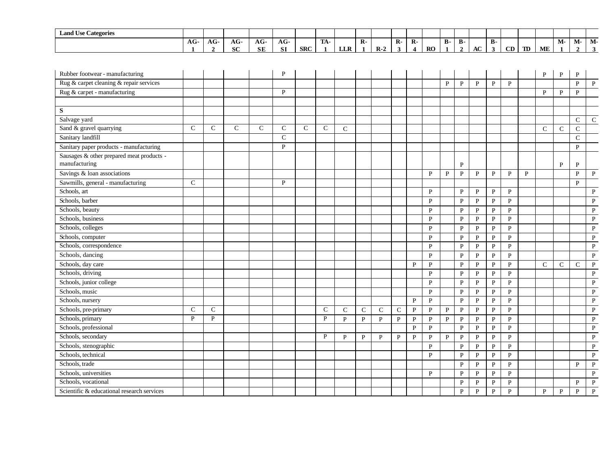| <b>Land Use Categories</b> |       |                   |                          |                   |                   |            |                   |            |              |       |              |    |           |                      |           |    |    |    |    |    |           |    |
|----------------------------|-------|-------------------|--------------------------|-------------------|-------------------|------------|-------------------|------------|--------------|-------|--------------|----|-----------|----------------------|-----------|----|----|----|----|----|-----------|----|
|                            | $AG-$ | $\sqrt{ }$<br>AG- | $\sqrt{2}$<br>AG.<br>__  | $\sqrt{ }$<br>AG- | $\sqrt{ }$<br>AG- |            | <b>TRA</b><br>IA- |            | $\mathbf{R}$ |       | $\mathbf{R}$ | R- |           | $\mathbf{D}$<br>- 15 | <b>B-</b> |    |    |    |    | M- | <b>M-</b> | M- |
|                            |       |                   | $\alpha$<br>$\mathbf{M}$ | <b>SE</b>         | <b>SI</b>         | <b>SRC</b> |                   | <b>LLR</b> |              | $R-2$ |              |    | <b>RO</b> |                      |           | AC | CD | TD | ME |    |           |    |
|                            |       |                   |                          |                   |                   |            |                   |            |              |       |              |    |           |                      |           |    |    |    |    |    |           |    |

| Rubber footwear - manufacturing            |               |               |               |               | P             |               |               |              |               |              |               |              |                |              |              |              |              |              |   | P             | P            | P            |              |
|--------------------------------------------|---------------|---------------|---------------|---------------|---------------|---------------|---------------|--------------|---------------|--------------|---------------|--------------|----------------|--------------|--------------|--------------|--------------|--------------|---|---------------|--------------|--------------|--------------|
| Rug & carpet cleaning & repair services    |               |               |               |               |               |               |               |              |               |              |               |              |                | P            | P            | P            | P            | P            |   |               |              | P            | P            |
| Rug & carpet - manufacturing               |               |               |               |               | P             |               |               |              |               |              |               |              |                |              |              |              |              |              |   | $\mathbf{P}$  | P            | $\mathbf{P}$ |              |
|                                            |               |               |               |               |               |               |               |              |               |              |               |              |                |              |              |              |              |              |   |               |              |              |              |
| S                                          |               |               |               |               |               |               |               |              |               |              |               |              |                |              |              |              |              |              |   |               |              |              |              |
| Salvage yard                               |               |               |               |               |               |               |               |              |               |              |               |              |                |              |              |              |              |              |   |               |              | $\mathbf C$  | $\mathbf C$  |
| Sand & gravel quarrying                    | $\mathcal{C}$ | $\mathcal{C}$ | $\mathcal{C}$ | $\mathcal{C}$ | $\mathcal{C}$ | $\mathcal{C}$ | $\mathsf{C}$  | $\mathbf C$  |               |              |               |              |                |              |              |              |              |              |   | $\mathcal{C}$ | $\mathsf{C}$ | $\mathbf C$  |              |
| Sanitary landfill                          |               |               |               |               | $\mathcal{C}$ |               |               |              |               |              |               |              |                |              |              |              |              |              |   |               |              | $\mathbf C$  |              |
| Sanitary paper products - manufacturing    |               |               |               |               | P             |               |               |              |               |              |               |              |                |              |              |              |              |              |   |               |              | $\mathbf{P}$ |              |
| Sausages & other prepared meat products -  |               |               |               |               |               |               |               |              |               |              |               |              |                |              |              |              |              |              |   |               |              |              |              |
| manufacturing                              |               |               |               |               |               |               |               |              |               |              |               |              |                |              | P            |              |              |              |   |               | $\mathbf{P}$ | $\mathbf{P}$ |              |
| Savings & loan associations                |               |               |               |               |               |               |               |              |               |              |               |              | P              | P            | P            | P            | $\mathbf{P}$ | P            | P |               |              | $\, {\bf P}$ | $\mathbf{P}$ |
| Sawmills, general - manufacturing          | $\mathsf{C}$  |               |               |               | P             |               |               |              |               |              |               |              |                |              |              |              |              |              |   |               |              | $\mathbf{P}$ |              |
| Schools, art                               |               |               |               |               |               |               |               |              |               |              |               |              | P              |              | P            | P            | $\mathbf{P}$ | $\mathbf{P}$ |   |               |              |              | $\mathbf{P}$ |
| Schools, barber                            |               |               |               |               |               |               |               |              |               |              |               |              | $\mathbf{P}$   |              | $\mathbf{P}$ | $\mathbf{P}$ | $\mathbf{P}$ | $\mathbf{P}$ |   |               |              |              | $\mathbf{P}$ |
| Schools, beauty                            |               |               |               |               |               |               |               |              |               |              |               |              | P              |              | P            | $\mathbf{P}$ | P            | $\mathbf{P}$ |   |               |              |              | $\mathbf{P}$ |
| Schools, business                          |               |               |               |               |               |               |               |              |               |              |               |              | P              |              | $\mathbf{P}$ | $\mathbf{P}$ | $\mathbf{P}$ | $\mathbf{P}$ |   |               |              |              | $\mathbf{P}$ |
| Schools, colleges                          |               |               |               |               |               |               |               |              |               |              |               |              | P              |              | $\mathbf{P}$ | ${\bf P}$    | $\mathbf{P}$ | $\mathbf{P}$ |   |               |              |              | $\, {\bf P}$ |
| Schools, computer                          |               |               |               |               |               |               |               |              |               |              |               |              | $\mathbf{P}$   |              | $\mathbf{P}$ | P            | $\mathbf{P}$ | $\mathbf{P}$ |   |               |              |              | $\, {\bf P}$ |
| Schools, correspondence                    |               |               |               |               |               |               |               |              |               |              |               |              | P              |              | P            | P            | P            | $\mathbf{P}$ |   |               |              |              | $\mathbf{P}$ |
| Schools, dancing                           |               |               |               |               |               |               |               |              |               |              |               |              | $\mathbf{P}$   |              | $\mathbf{P}$ | $\mathbf{P}$ | $\mathbf{P}$ | $\, {\bf P}$ |   |               |              |              | $\, {\bf P}$ |
| Schools, day care                          |               |               |               |               |               |               |               |              |               |              |               | P            | $\mathbf{P}$   |              | $\mathbf{P}$ | $\mathbf{P}$ | P            | $\mathbf{P}$ |   | $\mathcal{C}$ | $\mathsf{C}$ | $\mathbf C$  | $\mathbf{P}$ |
| Schools, driving                           |               |               |               |               |               |               |               |              |               |              |               |              | P              |              | $\mathbf{P}$ | $\mathbf{P}$ | P            | $\mathbf{P}$ |   |               |              |              | P            |
| Schools, junior college                    |               |               |               |               |               |               |               |              |               |              |               |              | P              |              | $\mathbf{P}$ | $\mathbf{P}$ | $\mathbf{P}$ | $\mathbf{P}$ |   |               |              |              | $\mathbf{P}$ |
| Schools, music                             |               |               |               |               |               |               |               |              |               |              |               |              | $\overline{P}$ |              | $\mathbf{P}$ | $\mathbf{P}$ | $\mathbf P$  | $\mathbf{P}$ |   |               |              |              | $\, {\bf P}$ |
| Schools, nursery                           |               |               |               |               |               |               |               |              |               |              |               | $\mathbf{P}$ | $\, {\bf P}$   |              | $\mathbf{P}$ | $\mathbf{P}$ | $\mathbf P$  | $\mathbf{P}$ |   |               |              |              | $\, {\bf P}$ |
| Schools, pre-primary                       | $\mathsf{C}$  | $\mathbf C$   |               |               |               |               | $\mathcal{C}$ | $\mathbf C$  | $\mathcal{C}$ | $\mathsf{C}$ | $\mathcal{C}$ | $\mathbf{P}$ | $\mathbf{P}$   | $\, {\bf P}$ | $\mathbf{P}$ | $\mathbf{P}$ | $\mathbf{P}$ | $\mathbf{P}$ |   |               |              |              | $\, {\bf P}$ |
| Schools, primary                           | P             | $\mathbf{p}$  |               |               |               |               | $\mathbf{P}$  | $\mathbf{p}$ | $\mathbf{P}$  | $\mathbf{P}$ | $\mathbf{P}$  | $\mathbf{P}$ | $\overline{P}$ | $\mathbf{P}$ | $\mathbf{P}$ | $\mathbf{P}$ | $\mathbf{P}$ | $\mathbf{P}$ |   |               |              |              | $\mathbf{P}$ |
| Schools, professional                      |               |               |               |               |               |               |               |              |               |              |               | $\mathbf{P}$ | $\mathbf{P}$   |              | $\mathbf{P}$ | $\mathbf{P}$ | $\mathbf{P}$ | $\mathbf{P}$ |   |               |              |              | $\, {\bf P}$ |
| Schools, secondary                         |               |               |               |               |               |               | P             | $\mathbf{P}$ | $\mathbf{P}$  | $\mathbf{P}$ | $\mathbf{P}$  | P            | $\mathbf{P}$   | $\mathbf{P}$ | P            | $\mathbf{P}$ | $\mathbf{P}$ | $\mathbf{P}$ |   |               |              |              | $\mathbf{P}$ |
| Schools, stenographic                      |               |               |               |               |               |               |               |              |               |              |               |              | $\mathbf{P}$   |              | $\mathbf{P}$ | $\mathbf{P}$ | $\mathbf{P}$ | $\mathbf{P}$ |   |               |              |              | $\mathbf{P}$ |
| Schools, technical                         |               |               |               |               |               |               |               |              |               |              |               |              | $\mathbf{P}$   |              | $\mathbf{P}$ | P            | $\mathbf{P}$ | $\mathbf{P}$ |   |               |              |              | $\, {\bf P}$ |
| Schools, trade                             |               |               |               |               |               |               |               |              |               |              |               |              |                |              | $\mathbf{P}$ | $\mathbf{P}$ | $\, {\bf P}$ | $\mathbf{P}$ |   |               |              | $\, {\bf P}$ | $\, {\bf P}$ |
| Schools, universities                      |               |               |               |               |               |               |               |              |               |              |               |              | $\mathbf{P}$   |              | $\mathbf{P}$ | $\mathbf{P}$ | $\mathbf{P}$ | $\mathbf{P}$ |   |               |              |              | $\mathbf{P}$ |
| Schools, vocational                        |               |               |               |               |               |               |               |              |               |              |               |              |                |              | $\mathbf{P}$ | $\mathbf{P}$ | P            | $\mathbf{P}$ |   |               |              | P            | $\, {\bf P}$ |
| Scientific & educational research services |               |               |               |               |               |               |               |              |               |              |               |              |                |              | P            | P            | P            | P            |   | P             | $\mathbf{P}$ | P            | P            |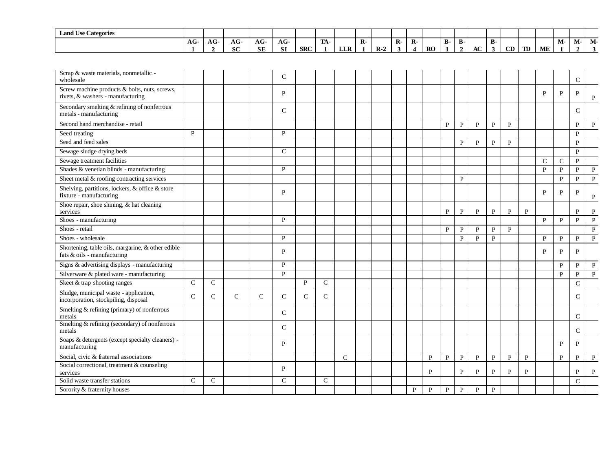| <b>Land Use Categories</b>                                                         |               |                                        |              |                  |                  |               |                     |              |              |       |                   |                                         |              |                           |                             |              |                           |              |              |               |              |                      |              |
|------------------------------------------------------------------------------------|---------------|----------------------------------------|--------------|------------------|------------------|---------------|---------------------|--------------|--------------|-------|-------------------|-----------------------------------------|--------------|---------------------------|-----------------------------|--------------|---------------------------|--------------|--------------|---------------|--------------|----------------------|--------------|
|                                                                                    | $AG-$<br>-1   | $\overline{\text{AG}}$<br>$\mathbf{2}$ | AG-<br>SC.   | AG-<br><b>SE</b> | AG-<br><b>SI</b> | <b>SRC</b>    | TA-<br>$\mathbf{1}$ | <b>LLR</b>   | $\mathbf{R}$ | $R-2$ | $\mathbf{R}$<br>3 | $\mathbf{R}$<br>$\overline{\mathbf{4}}$ | RO           | <b>B-</b><br>$\mathbf{1}$ | <b>B-</b><br>$\overline{2}$ | AC           | <b>B-</b><br>$\mathbf{3}$ | CD           | <b>TD</b>    | ME            | М-           | М-<br>$\overline{2}$ | M-<br>3      |
|                                                                                    |               |                                        |              |                  |                  |               |                     |              |              |       |                   |                                         |              |                           |                             |              |                           |              |              |               |              |                      |              |
| Scrap & waste materials, nonmetallic -<br>wholesale                                |               |                                        |              |                  | $\mathbf C$      |               |                     |              |              |       |                   |                                         |              |                           |                             |              |                           |              |              |               |              | $\mathsf{C}$         |              |
| Screw machine products & bolts, nuts, screws,<br>rivets, & washers - manufacturing |               |                                        |              |                  | P                |               |                     |              |              |       |                   |                                         |              |                           |                             |              |                           |              |              | $\mathbf{P}$  | $\mathbf{P}$ | P                    | $\mathbf P$  |
| Secondary smelting & refining of nonferrous<br>metals - manufacturing              |               |                                        |              |                  | $\mathcal{C}$    |               |                     |              |              |       |                   |                                         |              |                           |                             |              |                           |              |              |               |              | $\mathsf{C}$         |              |
| Second hand merchandise - retail                                                   |               |                                        |              |                  |                  |               |                     |              |              |       |                   |                                         |              | $\mathbf{P}$              | $\, {\bf P}$                | $\, {\bf P}$ | $\mathbf{P}$              | $\mathbf{P}$ |              |               |              | $\mathbf{P}$         | $\, {\bf P}$ |
| Seed treating                                                                      | P             |                                        |              |                  | P                |               |                     |              |              |       |                   |                                         |              |                           |                             |              |                           |              |              |               |              | $\mathbf{P}$         |              |
| Seed and feed sales                                                                |               |                                        |              |                  |                  |               |                     |              |              |       |                   |                                         |              |                           | P                           | P            | $\mathbf{P}$              | $\mathbf{P}$ |              |               |              | $\mathbf{P}$         |              |
| Sewage sludge drying beds                                                          |               |                                        |              |                  | $\mathcal{C}$    |               |                     |              |              |       |                   |                                         |              |                           |                             |              |                           |              |              |               |              | $\mathbf{P}$         |              |
| Sewage treatment facilities                                                        |               |                                        |              |                  |                  |               |                     |              |              |       |                   |                                         |              |                           |                             |              |                           |              |              | $\mathcal{C}$ | $\mathsf{C}$ | $\mathbf{P}$         |              |
| Shades & venetian blinds - manufacturing                                           |               |                                        |              |                  | P                |               |                     |              |              |       |                   |                                         |              |                           |                             |              |                           |              |              | $\mathbf{P}$  | $\mathbf{P}$ | $\mathbf{P}$         | $\mathbf{P}$ |
| Sheet metal & roofing contracting services                                         |               |                                        |              |                  |                  |               |                     |              |              |       |                   |                                         |              |                           | $\mathbf{P}$                |              |                           |              |              |               | $\mathbf{P}$ | $\mathbf{P}$         | $\mathbf{P}$ |
| Shelving, partitions, lockers, & office & store<br>fixture - manufacturing         |               |                                        |              |                  | P                |               |                     |              |              |       |                   |                                         |              |                           |                             |              |                           |              |              | P             | $\mathbf{P}$ | P                    | $\mathbf P$  |
| Shoe repair, shoe shining, & hat cleaning<br>services                              |               |                                        |              |                  |                  |               |                     |              |              |       |                   |                                         |              | $\mathbf{P}$              | $\, {\bf P}$                | $\mathbf{P}$ | $\mathbf{P}$              | $\mathbf{P}$ | $\mathbf{P}$ |               |              | P                    | $\mathbf{P}$ |
| Shoes - manufacturing                                                              |               |                                        |              |                  | P                |               |                     |              |              |       |                   |                                         |              |                           |                             |              |                           |              |              | $\mathbf{P}$  | $\mathbf{P}$ | $\mathbf{P}$         | $\, {\bf P}$ |
| Shoes - retail                                                                     |               |                                        |              |                  |                  |               |                     |              |              |       |                   |                                         |              | P                         | $\mathbf{P}$                | $\mathbf{P}$ | $\mathbf{P}$              | $\mathbf{P}$ |              |               |              |                      | $\, {\bf P}$ |
| Shoes - wholesale                                                                  |               |                                        |              |                  | $\mathbf{P}$     |               |                     |              |              |       |                   |                                         |              |                           | $\, {\bf P}$                | $\, {\bf P}$ | P                         |              |              | P             | P            | P                    | $\mathbf{P}$ |
| Shortening, table oils, margarine, & other edible<br>fats $&$ oils - manufacturing |               |                                        |              |                  | P                |               |                     |              |              |       |                   |                                         |              |                           |                             |              |                           |              |              | P             | P            | P                    |              |
| Signs & advertising displays - manufacturing                                       |               |                                        |              |                  | P                |               |                     |              |              |       |                   |                                         |              |                           |                             |              |                           |              |              |               | $\mathbf{P}$ | P                    | $\mathbf P$  |
| Silverware & plated ware - manufacturing                                           |               |                                        |              |                  | $\mathbf{P}$     |               |                     |              |              |       |                   |                                         |              |                           |                             |              |                           |              |              |               | $\mathbf{P}$ | $\mathbf{P}$         | $\, {\bf P}$ |
| Skeet & trap shooting ranges                                                       | $\mathsf{C}$  | $\mathsf{C}$                           |              |                  |                  | $\mathbf{P}$  | $\mathsf{C}$        |              |              |       |                   |                                         |              |                           |                             |              |                           |              |              |               |              | $\mathbf C$          |              |
| Sludge, municipal waste - application,<br>incorporation, stockpiling, disposal     | $\mathcal{C}$ | $\mathsf{C}$                           | $\mathsf{C}$ | $\mathsf{C}$     | $\mathsf{C}$     | $\mathcal{C}$ | $\mathcal{C}$       |              |              |       |                   |                                         |              |                           |                             |              |                           |              |              |               |              | $\mathsf{C}$         |              |
| Smelting & refining (primary) of nonferrous<br>metals                              |               |                                        |              |                  | $\mathsf{C}$     |               |                     |              |              |       |                   |                                         |              |                           |                             |              |                           |              |              |               |              | $\mathcal{C}$        |              |
| Smelting & refining (secondary) of nonferrous<br>metals                            |               |                                        |              |                  | $\mathbf C$      |               |                     |              |              |       |                   |                                         |              |                           |                             |              |                           |              |              |               |              | $\mathsf{C}$         |              |
| Soaps & detergents (except specialty cleaners) -<br>manufacturing                  |               |                                        |              |                  | P                |               |                     |              |              |       |                   |                                         |              |                           |                             |              |                           |              |              |               | P            | P                    |              |
| Social, civic & fraternal associations                                             |               |                                        |              |                  |                  |               |                     | $\mathsf{C}$ |              |       |                   |                                         | $\mathbf{P}$ | $\mathbf{P}$              | $\, {\bf P}$                | $\, {\bf P}$ | $\mathbf{P}$              | $\mathbf{P}$ | $\mathbf{P}$ |               | $\mathbf{P}$ | P                    | $\mathbf{P}$ |
| Social correctional, treatment & counseling<br>services                            |               |                                        |              |                  | $\mathbf{P}$     |               |                     |              |              |       |                   |                                         | P            |                           | $\mathbf{P}$                | $\mathbf{P}$ | P                         | $\mathbf{P}$ | P            |               |              | P                    | $\mathbf{P}$ |
| Solid waste transfer stations                                                      | $\mathsf{C}$  | $\mathsf{C}$                           |              |                  | $\mathsf{C}$     |               | $\mathcal{C}$       |              |              |       |                   |                                         |              |                           |                             |              |                           |              |              |               |              | $\mathsf{C}$         |              |
| Sorority & fraternity houses                                                       |               |                                        |              |                  |                  |               |                     |              |              |       |                   | $\mathbf{P}$                            | $\mathbf{p}$ | $\mathbf{P}$              | $\mathbf{P}$                | $\mathbf{P}$ | $\mathbf{P}$              |              |              |               |              |                      |              |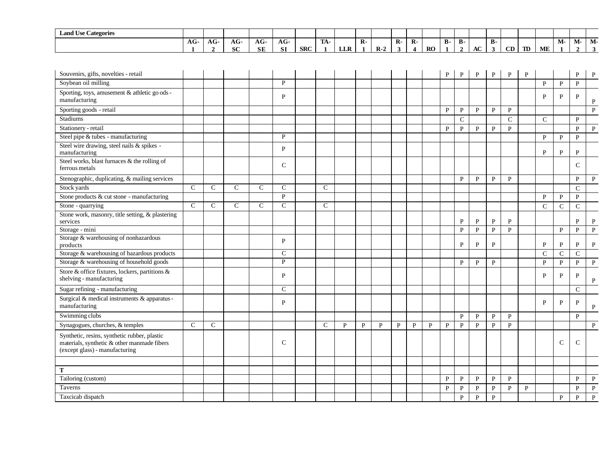| <b>Land Use Categories</b> |       |                   |               |                 |                        |            |     |            |              |          |              |         |           |           |         |              |    |    |              |    |    |        |      |
|----------------------------|-------|-------------------|---------------|-----------------|------------------------|------------|-----|------------|--------------|----------|--------------|---------|-----------|-----------|---------|--------------|----|----|--------------|----|----|--------|------|
|                            | $AG-$ | $\sqrt{2}$<br>AG- | $\sim$<br>AU  | AG <sub>c</sub> | $AG-$                  |            | TA- |            | $\mathbf{R}$ |          | $\mathbf{R}$ | n<br>л. |           | <b>B-</b> | D<br>D- |              | D. |    |              |    | M- | - IVI- | 1VI. |
|                            |       |                   | $\sim$<br>пv. | <b>SE</b>       | $\sim$<br>$\mathbf{5}$ | <b>SRC</b> |     | <b>LLR</b> |              | D<br>к., |              |         | <b>RO</b> |           |         | $\sim$<br>AC |    | CD | $\mathbf{T}$ | ME |    |        |      |

| Souvenirs, gifts, novelties - retail                                                                                          |               |               |               |               |               |               |              |   |   |   |   |   | P            | P            | P            | $\mathbf{P}$ | P             | P            |               |               | $\mathbf{P}$  | P            |
|-------------------------------------------------------------------------------------------------------------------------------|---------------|---------------|---------------|---------------|---------------|---------------|--------------|---|---|---|---|---|--------------|--------------|--------------|--------------|---------------|--------------|---------------|---------------|---------------|--------------|
| Soybean oil milling                                                                                                           |               |               |               |               | P             |               |              |   |   |   |   |   |              |              |              |              |               |              | $\mathbf{P}$  | $\, {\bf P}$  | $\mathbf{P}$  |              |
| Sporting, toys, amusement & athletic go ods -<br>manufacturing                                                                |               |               |               |               | P             |               |              |   |   |   |   |   |              |              |              |              |               |              | P             | P             | P             | $\mathbf P$  |
| Sporting goods - retail                                                                                                       |               |               |               |               |               |               |              |   |   |   |   |   | P            | P            | P            | P            | $\mathbf{P}$  |              |               |               |               | $\mathbf{P}$ |
| <b>Stadiums</b>                                                                                                               |               |               |               |               |               |               |              |   |   |   |   |   |              | ${\bf C}$    |              |              | $\mathcal{C}$ |              | $\mathsf{C}$  |               | $\mathbf{P}$  |              |
| Stationery - retail                                                                                                           |               |               |               |               |               |               |              |   |   |   |   |   | P            | $\mathbf{P}$ | $\mathbf{P}$ | $\mathbf{P}$ | $\mathbf{P}$  |              |               |               | $\mathbf{P}$  | $\, {\bf P}$ |
| Steel pipe & tubes - manufacturing                                                                                            |               |               |               |               | $\mathbf{P}$  |               |              |   |   |   |   |   |              |              |              |              |               |              | P             | P             | P             |              |
| Steel wire drawing, steel nails & spikes -<br>manufacturing                                                                   |               |               |               |               | P             |               |              |   |   |   |   |   |              |              |              |              |               |              | P             | P             | P             |              |
| Steel works, blast furnaces & the rolling of<br>ferrous metals                                                                |               |               |               |               | $\mathbf C$   |               |              |   |   |   |   |   |              |              |              |              |               |              |               |               | $\mathcal{C}$ |              |
| Stenographic, duplicating, & mailing services                                                                                 |               |               |               |               |               |               |              |   |   |   |   |   |              | P            | $\mathbf{P}$ | $\mathbf{P}$ | $\mathbf{P}$  |              |               |               | $\mathbf{P}$  | $\mathbf{P}$ |
| Stock yards                                                                                                                   | $\mathcal{C}$ | $\mathcal{C}$ | $\mathcal{C}$ | $\mathcal{C}$ | $\mathcal{C}$ | $\mathcal{C}$ |              |   |   |   |   |   |              |              |              |              |               |              |               |               | $\mathcal{C}$ |              |
| Stone products & cut stone - manufacturing                                                                                    |               |               |               |               | $\mathbf{P}$  |               |              |   |   |   |   |   |              |              |              |              |               |              | $\mathbf{P}$  | $\mathbf{P}$  | $\mathbf{P}$  |              |
| Stone - quarrying                                                                                                             | $\mathcal{C}$ | $\mathcal{C}$ | $\mathcal{C}$ | $\mathcal{C}$ | $\mathsf{C}$  | $\mathcal{C}$ |              |   |   |   |   |   |              |              |              |              |               |              | $\mathcal{C}$ | $\mathsf{C}$  | $\mathcal{C}$ |              |
| Stone work, masonry, title setting, & plastering<br>services                                                                  |               |               |               |               |               |               |              |   |   |   |   |   |              | P            | P            | $\mathbf{P}$ | P             |              |               |               | P             | P            |
| Storage - mini                                                                                                                |               |               |               |               |               |               |              |   |   |   |   |   |              | $\mathbf{P}$ | $\, {\bf P}$ | $\mathbf{P}$ | $\mathbf{P}$  |              |               | $\mathbf{P}$  | $\mathbf{P}$  | $\, {\bf P}$ |
| Storage & warehousing of nonhazardous<br>products                                                                             |               |               |               |               | P             |               |              |   |   |   |   |   |              | P            | ${\bf P}$    | $\mathbf{P}$ |               |              | P             | P             | P             | $\mathbf P$  |
| Storage & warehousing of hazardous products                                                                                   |               |               |               |               | $\mathcal{C}$ |               |              |   |   |   |   |   |              |              |              |              |               |              | $\mathcal{C}$ | $\mathcal{C}$ | $\mathcal{C}$ |              |
| Storage & warehousing of household goods                                                                                      |               |               |               |               | $\mathbf{P}$  |               |              |   |   |   |   |   |              | P            | $\mathbf{P}$ | $\mathbf{P}$ |               |              | $\mathbf{P}$  | P             | P             | $\mathbf{P}$ |
| Store & office fixtures, lockers, partitions &<br>shelving - manufacturing                                                    |               |               |               |               | P             |               |              |   |   |   |   |   |              |              |              |              |               |              | P             | P             | P             | $\mathbf P$  |
| Sugar refining - manufacturing                                                                                                |               |               |               |               | $\mathbf C$   |               |              |   |   |   |   |   |              |              |              |              |               |              |               |               | $\mathcal{C}$ |              |
| Surgical & medical instruments & apparatus -<br>manufacturing                                                                 |               |               |               |               | P             |               |              |   |   |   |   |   |              |              |              |              |               |              | P             | P             | P             | P            |
| Swimming clubs                                                                                                                |               |               |               |               |               |               |              |   |   |   |   |   |              | $\mathbf{P}$ | $\mathbf{P}$ | $\mathbf{P}$ | $\mathbf{P}$  |              |               |               | $\mathbf{P}$  |              |
| Synagogues, churches, & temples                                                                                               | $\mathsf{C}$  | $\mathsf{C}$  |               |               |               | $\mathsf{C}$  | $\mathbf{P}$ | P | P | P | P | P | P            | P            | $\mathbf{P}$ | P            | $\mathbf{P}$  |              |               |               |               | $\, {\bf P}$ |
| Synthetic, resins, synthetic rubber, plastic<br>materials, synthetic & other manmade fibers<br>(except glass) - manufacturing |               |               |               |               | $\mathbf C$   |               |              |   |   |   |   |   |              |              |              |              |               |              |               | C             | $\mathsf{C}$  |              |
|                                                                                                                               |               |               |               |               |               |               |              |   |   |   |   |   |              |              |              |              |               |              |               |               |               |              |
| T                                                                                                                             |               |               |               |               |               |               |              |   |   |   |   |   |              |              |              |              |               |              |               |               |               |              |
| Tailoring (custom)                                                                                                            |               |               |               |               |               |               |              |   |   |   |   |   | P            | P            | $\mathbf{P}$ | P            | $\mathbf{P}$  |              |               |               | $\mathbf{P}$  | P            |
| Taverns                                                                                                                       |               |               |               |               |               |               |              |   |   |   |   |   | $\mathbf{P}$ | $\mathbf{P}$ | ${\bf P}$    | P            | P             | $\mathbf{P}$ |               |               | $\mathbf{P}$  | $\mathbf{P}$ |
| Taxcicab dispatch                                                                                                             |               |               |               |               |               |               |              |   |   |   |   |   |              | $\mathbf{P}$ | $\mathbf{P}$ | $\mathbf{P}$ |               |              |               | P             | $\mathbf{p}$  | P            |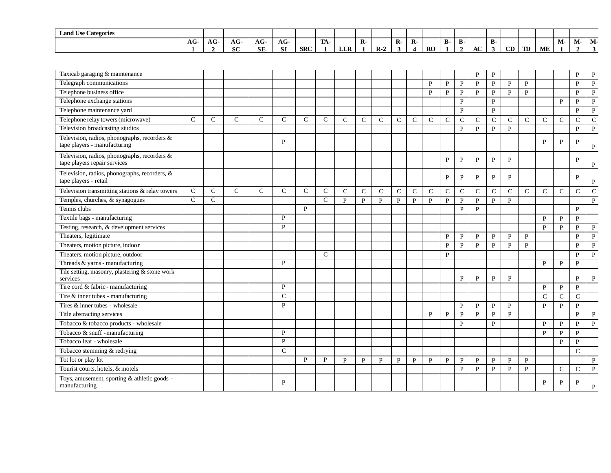| $\mathbf{r}$<br>$\sim$<br><b>Land Use Categories</b> |               |     |              |                            |                     |     |                  |            |   |      |    |        |           |         |         |    |              |    |    |    |    |      |       |
|------------------------------------------------------|---------------|-----|--------------|----------------------------|---------------------|-----|------------------|------------|---|------|----|--------|-----------|---------|---------|----|--------------|----|----|----|----|------|-------|
|                                                      | $\sim$<br>AG. | AG- | $\sim$<br>AG | $\sqrt{ }$<br>AG<br>$\sim$ | $AG-$               |     | <b>TRA</b><br>ПA |            | R |      | R- | D<br>K |           | Ð<br>D- | m<br>D- |    | $\mathbf{B}$ |    |    |    | M- | IVI- | -IVI. |
|                                                      |               |     | <b>SC</b>    | <b>SE</b>                  | C I<br>$\mathbf{A}$ | SRC |                  | <b>LLR</b> |   | $R-$ |    |        | <b>RO</b> |         |         | AC |              | CD | TD | ME |    |      |       |

| Taxicab garaging & maintenance                                               |               |               |               |               |               |               |               |              |              |              |             |               |               |              |              | P            | $\mathbf{P}$ |              |               |               |               | P             | P            |
|------------------------------------------------------------------------------|---------------|---------------|---------------|---------------|---------------|---------------|---------------|--------------|--------------|--------------|-------------|---------------|---------------|--------------|--------------|--------------|--------------|--------------|---------------|---------------|---------------|---------------|--------------|
| Telegraph communications                                                     |               |               |               |               |               |               |               |              |              |              |             |               | P             | $\mathbf{P}$ | $\mathbf{P}$ | $\mathbf{P}$ | ${\bf P}$    | $\mathbf{P}$ | $\mathbf{p}$  |               |               | $\mathbf{P}$  | $\mathbf{P}$ |
| Telephone business office                                                    |               |               |               |               |               |               |               |              |              |              |             |               | $\mathbf{P}$  | $\mathbf{P}$ | $\mathbf{P}$ | $\mathbf{p}$ | $\mathbf{P}$ | $\mathbf{P}$ | $\mathbf{p}$  |               |               | $\mathbf{P}$  | $\mathbf{P}$ |
| Telephone exchange stations                                                  |               |               |               |               |               |               |               |              |              |              |             |               |               |              | $\mathbf{P}$ |              | $\mathbf{P}$ |              |               |               | P             | P             | $\mathbf{P}$ |
| Telephone maintenance yard                                                   |               |               |               |               |               |               |               |              |              |              |             |               |               |              | $\mathbf{P}$ |              | $\mathbf{P}$ |              |               |               |               | $\mathbf{P}$  | $\mathbf{P}$ |
| Telephone relay towers (microwave)                                           | $\mathcal{C}$ | $\mathcal{C}$ | $\mathcal{C}$ | $\mathcal{C}$ | $\mathcal{C}$ | $\mathcal{C}$ | $\mathcal{C}$ | $\mathsf{C}$ | $\mathbf C$  | $\mathsf{C}$ | $\mathbf C$ | $\mathcal{C}$ | $\mathcal{C}$ | $\mathbf C$  | $\mathsf{C}$ | $\mathbf C$  | $\mathbf C$  | $\mathsf{C}$ | $\mathsf{C}$  | $\mathcal{C}$ | $\mathsf{C}$  | $\mathsf{C}$  | ${\bf C}$    |
| Television broadcasting studios                                              |               |               |               |               |               |               |               |              |              |              |             |               |               |              | $\mathbf{P}$ | $\mathbf{P}$ | $\, {\bf P}$ | $\, {\bf P}$ |               |               |               | P             | $\mathbf{P}$ |
| Television, radios, phonographs, recorders &<br>tape players - manufacturing |               |               |               |               | P             |               |               |              |              |              |             |               |               |              |              |              |              |              |               | P             | P             | P             | P            |
| Television, radios, phonographs, recorders &<br>tape players repair services |               |               |               |               |               |               |               |              |              |              |             |               |               | P            | P            | P            | $\mathbf{P}$ | P            |               |               |               | P             | P            |
| Television, radios, phonographs, recorders, &<br>tape players - retail       |               |               |               |               |               |               |               |              |              |              |             |               |               | P            | P            | P            | P            | P            |               |               |               | P             | P            |
| Television transmitting stations & relay towers                              | $\mathsf{C}$  | $\mathsf{C}$  | $\mathcal{C}$ | $\mathcal{C}$ | $\mathcal{C}$ | $\mathcal{C}$ | $\mathbf C$   | $\mathsf{C}$ | $\mathbf C$  | $\mathsf{C}$ | $\mathbf C$ | $\mathbf C$   | $\mathcal{C}$ | $\mathsf{C}$ | $\mathbf C$  | $\mathbf C$  | $\mathbf C$  | $\mathsf{C}$ | $\mathcal{C}$ | $\mathcal{C}$ | $\mathsf{C}$  | $\mathsf{C}$  | ${\bf C}$    |
| Temples, churches, & synagogues                                              | $\mathcal{C}$ | $\mathsf{C}$  |               |               |               |               | $\mathcal{C}$ | $\mathbf{P}$ | $\mathbf{P}$ | P            | P           | $\mathbf{P}$  | $\mathbf{P}$  | $\mathbf{P}$ | $\mathbf{P}$ | $\mathbf{P}$ | $\mathbf{P}$ | $\mathbf{P}$ |               |               |               |               | $\mathbf{P}$ |
| Tennis clubs                                                                 |               |               |               |               |               | P             |               |              |              |              |             |               |               |              | $\mathbf{P}$ | $\mathbf{P}$ |              |              |               |               |               | $\mathbf{P}$  |              |
| Textile bags - manufacturing                                                 |               |               |               |               | P             |               |               |              |              |              |             |               |               |              |              |              |              |              |               | $\mathbf{P}$  | P             | P             |              |
| Testing, research, & development services                                    |               |               |               |               | P             |               |               |              |              |              |             |               |               |              |              |              |              |              |               | $\mathbf{p}$  | $\mathbf{p}$  | $\mathbf{p}$  | $\mathbf{P}$ |
| Theaters, legitimate                                                         |               |               |               |               |               |               |               |              |              |              |             |               |               | $\mathbf{P}$ | $\mathbf{P}$ | P            | $\mathbf{P}$ | P            | $\mathbf{P}$  |               |               | $\mathbf{P}$  | $\mathbf{P}$ |
| Theaters, motion picture, indoor                                             |               |               |               |               |               |               |               |              |              |              |             |               |               | P            | P            | P            | P            | P            | P             |               |               | P             | P            |
| Theaters, motion picture, outdoor                                            |               |               |               |               |               |               | $\mathcal{C}$ |              |              |              |             |               |               | $\mathbf{P}$ |              |              |              |              |               |               |               | $\mathbf{P}$  | $\mathbf{P}$ |
| Threads & yarns - manufacturing                                              |               |               |               |               | P             |               |               |              |              |              |             |               |               |              |              |              |              |              |               | $\mathbf{P}$  | P             | $\mathbf{P}$  |              |
| Tile setting, masonry, plastering & stone work<br>services                   |               |               |               |               |               |               |               |              |              |              |             |               |               |              | P            | $\mathbf{P}$ | $\mathbf{P}$ | P            |               |               |               | P             | P            |
| Tire cord & fabric - manufacturing                                           |               |               |               |               | $\mathbf{P}$  |               |               |              |              |              |             |               |               |              |              |              |              |              |               | $\mathbf{P}$  | $\mathbf{P}$  | $\mathbf{P}$  |              |
| Tire $&$ inner tubes - manufacturing                                         |               |               |               |               | $\mathbf C$   |               |               |              |              |              |             |               |               |              |              |              |              |              |               | $\mathsf{C}$  | $\mathsf{C}$  | $\mathsf{C}$  |              |
| Tires & inner tubes - wholesale                                              |               |               |               |               | P             |               |               |              |              |              |             |               |               |              | P            | P            | $\mathbf{P}$ | P            |               | P             | P             | P             |              |
| Title abstracting services                                                   |               |               |               |               |               |               |               |              |              |              |             |               | P             | P            | $\mathbf{P}$ | $\mathbf{P}$ | ${\bf P}$    | $\mathbf{P}$ |               |               |               | $\mathbf{P}$  | $\mathbf{P}$ |
| Tobacco & tobacco products - wholesale                                       |               |               |               |               |               |               |               |              |              |              |             |               |               |              | $\mathbf{P}$ |              | $\mathbf{P}$ |              |               | $\mathbf{P}$  | P             | $\mathbf{P}$  | $\mathbf{P}$ |
| Tobacco & snuff - manufacturing                                              |               |               |               |               | P             |               |               |              |              |              |             |               |               |              |              |              |              |              |               | P             | P             | P             |              |
| Tobacco leaf - wholesale                                                     |               |               |               |               | P             |               |               |              |              |              |             |               |               |              |              |              |              |              |               |               | P             | P             |              |
| Tobacco stemming & redrying                                                  |               |               |               |               | $\mathcal{C}$ |               |               |              |              |              |             |               |               |              |              |              |              |              |               |               |               | $\mathbf C$   |              |
| Tot lot or play lot                                                          |               |               |               |               |               | P             | P             | P            | $\mathbf{P}$ | P            | P           | P             | P             | $\mathbf{P}$ | $\mathbf{P}$ | $\mathbf{P}$ | P            | $\mathbf{P}$ | P             |               |               |               | P            |
| Tourist courts, hotels, & motels                                             |               |               |               |               |               |               |               |              |              |              |             |               |               |              | P            | $\mathbf{P}$ | P            | $\mathbf{P}$ | P             |               | $\mathcal{C}$ | $\mathcal{C}$ | P            |
| Toys, amusement, sporting & athletic goods -<br>manufacturing                |               |               |               |               | P             |               |               |              |              |              |             |               |               |              |              |              |              |              |               | P             | P             | P             |              |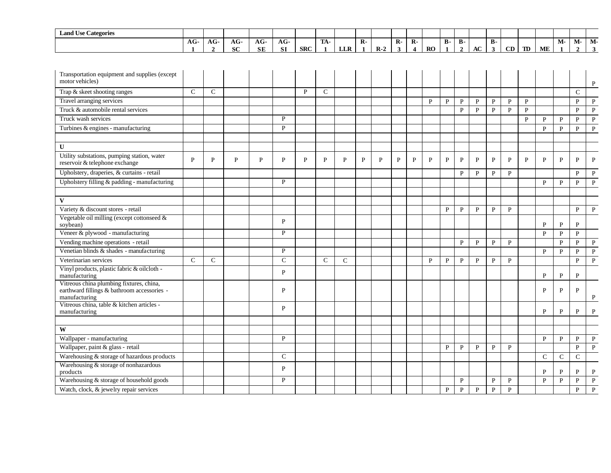| <b>Land Use Categories</b>                                                                               |                      |                     |                    |                  |                  |     |                     |            |                              |       |                   |                                         |              |              |                             |              |                           |              |              |               |              |                      |                      |
|----------------------------------------------------------------------------------------------------------|----------------------|---------------------|--------------------|------------------|------------------|-----|---------------------|------------|------------------------------|-------|-------------------|-----------------------------------------|--------------|--------------|-----------------------------|--------------|---------------------------|--------------|--------------|---------------|--------------|----------------------|----------------------|
|                                                                                                          | $AG-$<br>$\mathbf 1$ | AG-<br>$\mathbf{2}$ | $AG-$<br><b>SC</b> | AG-<br><b>SE</b> | AG-<br><b>SI</b> | SRC | TA-<br>$\mathbf{1}$ | <b>LLR</b> | $\mathbf{R}$<br>$\mathbf{1}$ | $R-2$ | $\mathbf{R}$<br>3 | $\mathbf{R}$<br>$\overline{\mathbf{4}}$ | RO           | <b>B-</b>    | <b>B-</b><br>$\overline{2}$ | AC           | <b>B-</b><br>$\mathbf{3}$ | CD           | $\mathbf{D}$ | <b>ME</b>     | М-           | М-<br>$\overline{2}$ | $M-$<br>$\mathbf{3}$ |
|                                                                                                          |                      |                     |                    |                  |                  |     |                     |            |                              |       |                   |                                         |              |              |                             |              |                           |              |              |               |              |                      |                      |
| Transportation equipment and supplies (except<br>motor vehicles)                                         |                      |                     |                    |                  |                  |     |                     |            |                              |       |                   |                                         |              |              |                             |              |                           |              |              |               |              |                      | $\mathbf{P}$         |
| Trap & skeet shooting ranges                                                                             | $\mathsf{C}$         | $\mathsf{C}$        |                    |                  |                  | P   | $\mathsf{C}$        |            |                              |       |                   |                                         |              |              |                             |              |                           |              |              |               |              | $\mathsf{C}$         |                      |
| Travel arranging services                                                                                |                      |                     |                    |                  |                  |     |                     |            |                              |       |                   |                                         | $\mathbf{p}$ | $\mathbf{P}$ | $\mathbf{P}$                | $\mathbf{P}$ | $\mathbf{P}$              | $\mathbf{P}$ | $\mathbf{P}$ |               |              | $\mathbf{p}$         | $\mathbf{P}$         |
| Truck & automobile rental services                                                                       |                      |                     |                    |                  |                  |     |                     |            |                              |       |                   |                                         |              |              | $\mathbf{P}$                | $\mathbf{P}$ | $\mathbf{P}$              | $\mathbf{P}$ | $\mathbf{P}$ |               |              | P                    | $\, {\bf P}$         |
| Truck wash services                                                                                      |                      |                     |                    |                  | P                |     |                     |            |                              |       |                   |                                         |              |              |                             |              |                           |              | $\mathbf{P}$ | P             | P            | P                    | $\, {\bf P}$         |
| Turbines & engines - manufacturing                                                                       |                      |                     |                    |                  | P                |     |                     |            |                              |       |                   |                                         |              |              |                             |              |                           |              |              | $\mathbf{p}$  | $\mathbf{P}$ | $\mathbf{p}$         | $\, {\bf P}$         |
| $\mathbf{U}$                                                                                             |                      |                     |                    |                  |                  |     |                     |            |                              |       |                   |                                         |              |              |                             |              |                           |              |              |               |              |                      |                      |
| Utility substations, pumping station, water<br>reservoir & telephone exchange                            | P                    | P                   | P                  | $\mathbf{P}$     | $\mathbf{P}$     | P   | $\mathbf{P}$        | P          | $\mathbf{P}$                 | P     | P                 | P                                       | P            | $\mathbf{P}$ | $\mathbf{P}$                | P            | $\mathbf P$               | P            | P            | P             | $\mathbf{P}$ | P                    | $\mathbf{P}$         |
| Upholstery, draperies, & curtains - retail                                                               |                      |                     |                    |                  |                  |     |                     |            |                              |       |                   |                                         |              |              | P                           | $\mathbf{P}$ | $\mathbf{P}$              | $\mathbf{P}$ |              |               |              | P                    | $\mathbf{P}$         |
| Upholstery filling & padding - manufacturing                                                             |                      |                     |                    |                  | P                |     |                     |            |                              |       |                   |                                         |              |              |                             |              |                           |              |              | $\mathbf{P}$  | $\mathbf{P}$ | P                    | ${\bf P}$            |
|                                                                                                          |                      |                     |                    |                  |                  |     |                     |            |                              |       |                   |                                         |              |              |                             |              |                           |              |              |               |              |                      |                      |
| $\mathbf{V}$                                                                                             |                      |                     |                    |                  |                  |     |                     |            |                              |       |                   |                                         |              |              |                             |              |                           |              |              |               |              |                      |                      |
| Variety & discount stores - retail                                                                       |                      |                     |                    |                  |                  |     |                     |            |                              |       |                   |                                         |              | P            | $\mathbf{P}$                | $\mathbf{P}$ | $\mathbf{P}$              | $\mathbf{P}$ |              |               |              | $\mathbf{P}$         | $\, {\bf P}$         |
| Vegetable oil milling (except cottonseed &<br>soybean)                                                   |                      |                     |                    |                  | $\mathbf{P}$     |     |                     |            |                              |       |                   |                                         |              |              |                             |              |                           |              |              | P             | $\mathbf{P}$ | P                    |                      |
| Veneer & plywood - manufacturing                                                                         |                      |                     |                    |                  | P                |     |                     |            |                              |       |                   |                                         |              |              |                             |              |                           |              |              | P             | P            | $\mathbf{P}$         |                      |
| Vending machine operations - retail                                                                      |                      |                     |                    |                  |                  |     |                     |            |                              |       |                   |                                         |              |              | $\mathbf{P}$                | $\mathbf{P}$ | $\mathbf{P}$              | $\mathbf{P}$ |              |               | $\mathbf{P}$ | P                    | $\mathbf{P}$         |
| Venetian blinds & shades - manufacturing                                                                 |                      |                     |                    |                  | P                |     |                     |            |                              |       |                   |                                         |              |              |                             |              |                           |              |              | $\mathbf{P}$  | $\mathbf{P}$ | $\mathbf{P}$         | $\mathbf{P}$         |
| Veterinarian services                                                                                    | $\mathsf{C}$         | $\mathsf{C}$        |                    |                  | $\mathsf{C}$     |     | $\mathsf{C}$        | ${\bf C}$  |                              |       |                   |                                         | P            | ${\bf P}$    | $\mathbf{P}$                | $\mathbf{P}$ | $\, {\bf P}$              | $\, {\bf P}$ |              |               |              | $\mathbf{P}$         | $\, {\bf P}$         |
| Vinyl products, plastic fabric & oilcloth -<br>manufacturing                                             |                      |                     |                    |                  | P                |     |                     |            |                              |       |                   |                                         |              |              |                             |              |                           |              |              | $\mathbf{P}$  | $\mathbf{P}$ | P                    |                      |
| Vitreous china plumbing fixtures, china,<br>earthward fillings & bathroom accessories -<br>manufacturing |                      |                     |                    |                  | $\mathbf{P}$     |     |                     |            |                              |       |                   |                                         |              |              |                             |              |                           |              |              | $\mathbf{P}$  | $\mathbf{P}$ | $\mathbf{P}$         | P                    |
| Vitreous china, table & kitchen articles -<br>manufacturing                                              |                      |                     |                    |                  | P                |     |                     |            |                              |       |                   |                                         |              |              |                             |              |                           |              |              | $\mathbf{P}$  | P            | P                    | $\mathbf{P}$         |
|                                                                                                          |                      |                     |                    |                  |                  |     |                     |            |                              |       |                   |                                         |              |              |                             |              |                           |              |              |               |              |                      |                      |
| W                                                                                                        |                      |                     |                    |                  |                  |     |                     |            |                              |       |                   |                                         |              |              |                             |              |                           |              |              |               |              |                      |                      |
| Wallpaper - manufacturing                                                                                |                      |                     |                    |                  | P                |     |                     |            |                              |       |                   |                                         |              |              |                             |              |                           |              |              | P             | P            | $\mathbf{P}$         | P                    |
| Wallpaper, paint & glass - retail                                                                        |                      |                     |                    |                  |                  |     |                     |            |                              |       |                   |                                         |              | ${\bf P}$    | $\mathbf{P}$                | $\mathbf{P}$ | $\mathbf{P}$              | $\mathbf{P}$ |              |               |              | $\mathbf{P}$         | $\, {\bf P}$         |
| Warehousing & storage of hazardous products                                                              |                      |                     |                    |                  | $\mathsf{C}$     |     |                     |            |                              |       |                   |                                         |              |              |                             |              |                           |              |              | $\mathcal{C}$ | $\mathbf C$  | $\mathcal{C}$        |                      |
| Warehousing & storage of nonhazardous<br>products                                                        |                      |                     |                    |                  | P                |     |                     |            |                              |       |                   |                                         |              |              |                             |              |                           |              |              | P             | P            | P                    | $\mathbf{P}$         |
| Warehousing & storage of household goods                                                                 |                      |                     |                    |                  | P                |     |                     |            |                              |       |                   |                                         |              |              | $\mathbf{P}$                |              | $\mathbf P$               | P            |              | P             | P            | P                    | $\mathbf{P}$         |
| Watch, clock, & jewelry repair services                                                                  |                      |                     |                    |                  |                  |     |                     |            |                              |       |                   |                                         |              | $\mathbf{P}$ | $\mathbf{P}$                | $\mathbf{p}$ | $\mathbf{P}$              | $\mathbf{p}$ |              |               |              | $\mathbf{P}$         | $\mathbf{P}$         |